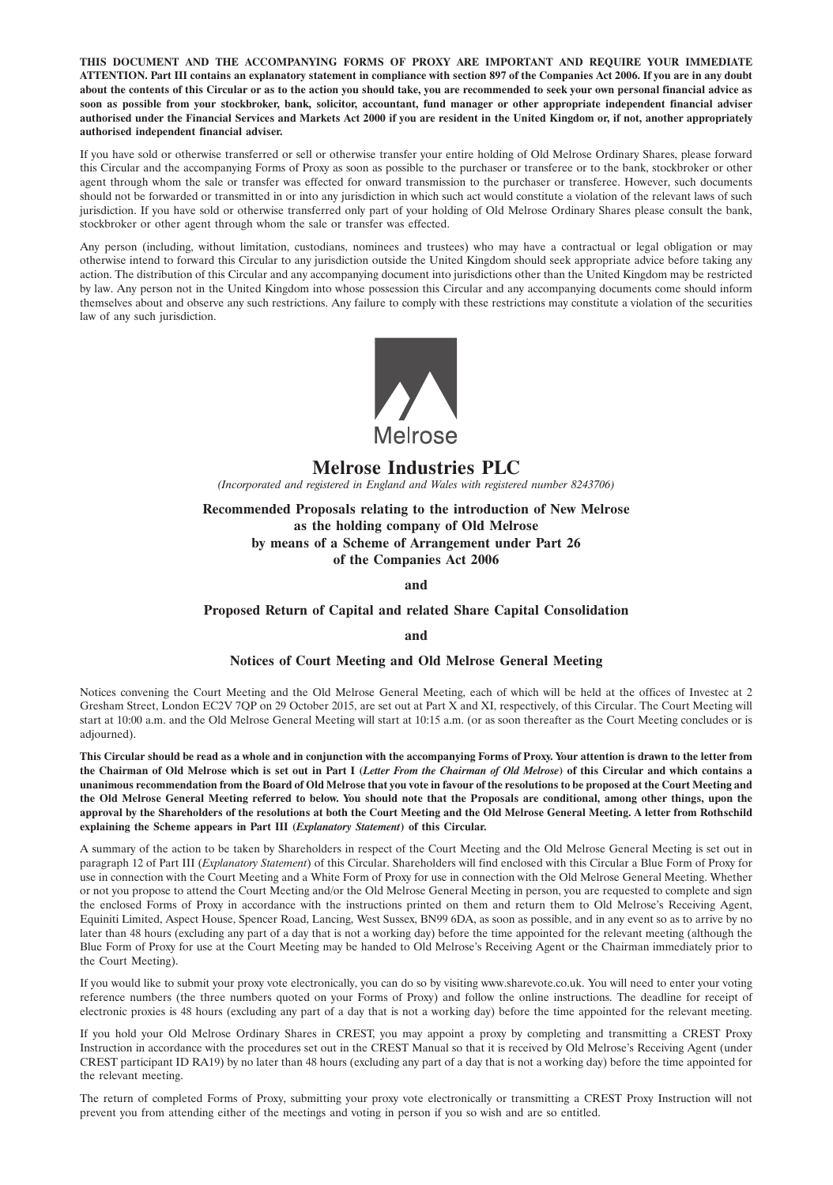**THIS DOCUMENT AND THE ACCOMPANYING FORMS OF PROXY ARE IMPORTANT AND REQUIRE YOUR IMMEDIATE ATTENTION. Part III contains an explanatory statement in compliance with section 897 of the Companies Act 2006. If you are in any doubt about the contents of this Circular or as to the action you should take, you are recommended to seek your own personal financial advice as soon as possible from your stockbroker, bank, solicitor, accountant, fund manager or other appropriate independent financial adviser authorised under the Financial Services and Markets Act 2000 if you are resident in the United Kingdom or, if not, another appropriately authorised independent financial adviser.**

If you have sold or otherwise transferred or sell or otherwise transfer your entire holding of Old Melrose Ordinary Shares, please forward this Circular and the accompanying Forms of Proxy as soon as possible to the purchaser or transferee or to the bank, stockbroker or other agent through whom the sale or transfer was effected for onward transmission to the purchaser or transferee. However, such documents should not be forwarded or transmitted in or into any jurisdiction in which such act would constitute a violation of the relevant laws of such jurisdiction. If you have sold or otherwise transferred only part of your holding of Old Melrose Ordinary Shares please consult the bank, stockbroker or other agent through whom the sale or transfer was effected.

Any person (including, without limitation, custodians, nominees and trustees) who may have a contractual or legal obligation or may otherwise intend to forward this Circular to any jurisdiction outside the United Kingdom should seek appropriate advice before taking any action. The distribution of this Circular and any accompanying document into jurisdictions other than the United Kingdom may be restricted by law. Any person not in the United Kingdom into whose possession this Circular and any accompanying documents come should inform themselves about and observe any such restrictions. Any failure to comply with these restrictions may constitute a violation of the securities law of any such jurisdiction.



# **Melrose Industries PLC**

*(Incorporated and registered in England and Wales with registered number 8243706)*

#### **Recommended Proposals relating to the introduction of New Melrose as the holding company of Old Melrose by means of a Scheme of Arrangement under Part 26 of the Companies Act 2006**

**and**

#### **Proposed Return of Capital and related Share Capital Consolidation**

**and**

#### **Notices of Court Meeting and Old Melrose General Meeting**

Notices convening the Court Meeting and the Old Melrose General Meeting, each of which will be held at the offices of Investec at 2 Gresham Street, London EC2V 7QP on 29 October 2015, are set out at Part X and XI, respectively, of this Circular. The Court Meeting will start at 10:00 a.m. and the Old Melrose General Meeting will start at 10:15 a.m. (or as soon thereafter as the Court Meeting concludes or is adjourned).

**This Circular should be read as a whole and in conjunction with the accompanying Forms of Proxy. Your attention is drawn to the letter from the Chairman of Old Melrose which is set out in Part I (***Letter From the Chairman of Old Melrose***) of this Circular and which contains a unanimous recommendation from the Board of Old Melrose that you vote in favour of the resolutions to be proposed at the Court Meeting and the Old Melrose General Meeting referred to below. You should note that the Proposals are conditional, among other things, upon the approval by the Shareholders of the resolutions at both the Court Meeting and the Old Melrose General Meeting. A letter from Rothschild explaining the Scheme appears in Part III (***Explanatory Statement***) of this Circular.**

A summary of the action to be taken by Shareholders in respect of the Court Meeting and the Old Melrose General Meeting is set out in paragraph 12 of Part III (*Explanatory Statement*) of this Circular. Shareholders will find enclosed with this Circular a Blue Form of Proxy for use in connection with the Court Meeting and a White Form of Proxy for use in connection with the Old Melrose General Meeting. Whether or not you propose to attend the Court Meeting and/or the Old Melrose General Meeting in person, you are requested to complete and sign the enclosed Forms of Proxy in accordance with the instructions printed on them and return them to Old Melrose's Receiving Agent, Equiniti Limited, Aspect House, Spencer Road, Lancing, West Sussex, BN99 6DA, as soon as possible, and in any event so as to arrive by no later than 48 hours (excluding any part of a day that is not a working day) before the time appointed for the relevant meeting (although the Blue Form of Proxy for use at the Court Meeting may be handed to Old Melrose's Receiving Agent or the Chairman immediately prior to the Court Meeting).

If you would like to submit your proxy vote electronically, you can do so by visiting www.sharevote.co.uk. You will need to enter your voting reference numbers (the three numbers quoted on your Forms of Proxy) and follow the online instructions. The deadline for receipt of electronic proxies is 48 hours (excluding any part of a day that is not a working day) before the time appointed for the relevant meeting.

If you hold your Old Melrose Ordinary Shares in CREST, you may appoint a proxy by completing and transmitting a CREST Proxy Instruction in accordance with the procedures set out in the CREST Manual so that it is received by Old Melrose's Receiving Agent (under CREST participant ID RA19) by no later than 48 hours (excluding any part of a day that is not a working day) before the time appointed for the relevant meeting.

The return of completed Forms of Proxy, submitting your proxy vote electronically or transmitting a CREST Proxy Instruction will not prevent you from attending either of the meetings and voting in person if you so wish and are so entitled.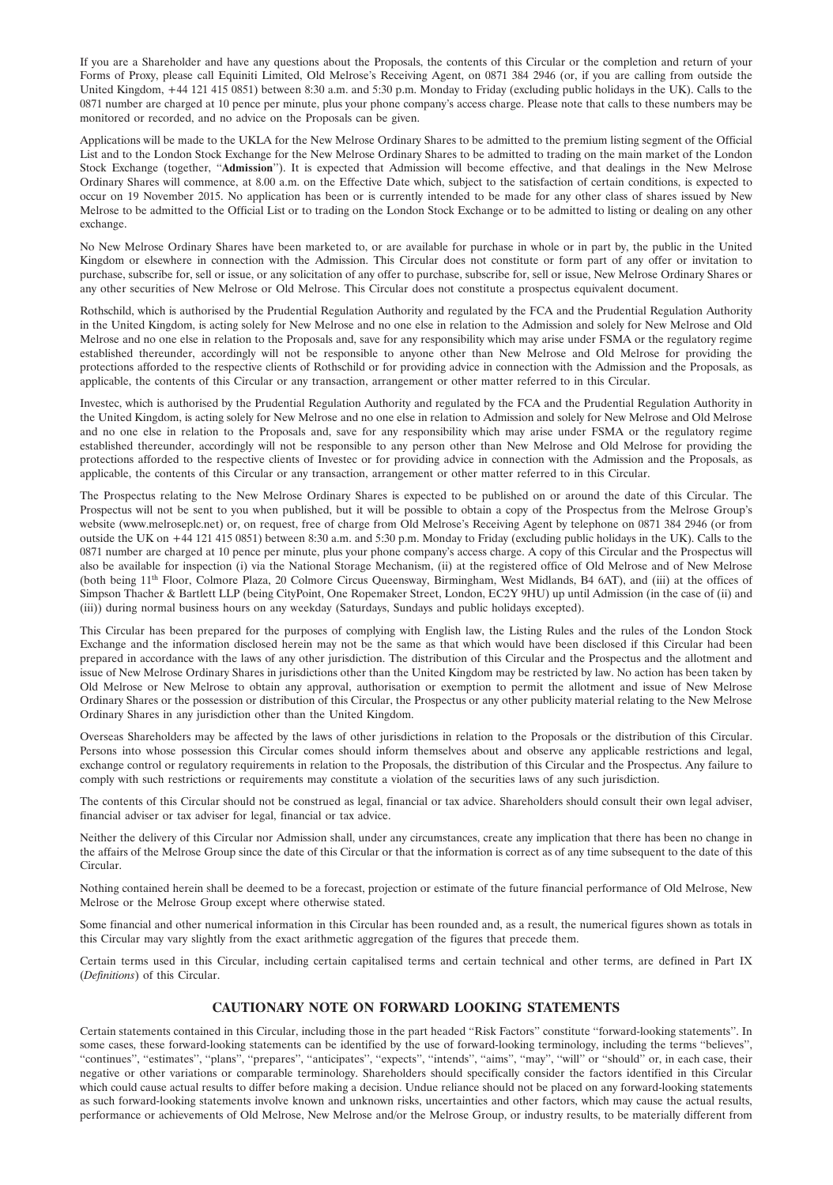If you are a Shareholder and have any questions about the Proposals, the contents of this Circular or the completion and return of your Forms of Proxy, please call Equiniti Limited, Old Melrose's Receiving Agent, on 0871 384 2946 (or, if you are calling from outside the United Kingdom, +44 121 415 0851) between 8:30 a.m. and 5:30 p.m. Monday to Friday (excluding public holidays in the UK). Calls to the 0871 number are charged at 10 pence per minute, plus your phone company's access charge. Please note that calls to these numbers may be monitored or recorded, and no advice on the Proposals can be given.

Applications will be made to the UKLA for the New Melrose Ordinary Shares to be admitted to the premium listing segment of the Official List and to the London Stock Exchange for the New Melrose Ordinary Shares to be admitted to trading on the main market of the London Stock Exchange (together, ''**Admission**''). It is expected that Admission will become effective, and that dealings in the New Melrose Ordinary Shares will commence, at 8.00 a.m. on the Effective Date which, subject to the satisfaction of certain conditions, is expected to occur on 19 November 2015. No application has been or is currently intended to be made for any other class of shares issued by New Melrose to be admitted to the Official List or to trading on the London Stock Exchange or to be admitted to listing or dealing on any other exchange.

No New Melrose Ordinary Shares have been marketed to, or are available for purchase in whole or in part by, the public in the United Kingdom or elsewhere in connection with the Admission. This Circular does not constitute or form part of any offer or invitation to purchase, subscribe for, sell or issue, or any solicitation of any offer to purchase, subscribe for, sell or issue, New Melrose Ordinary Shares or any other securities of New Melrose or Old Melrose. This Circular does not constitute a prospectus equivalent document.

Rothschild, which is authorised by the Prudential Regulation Authority and regulated by the FCA and the Prudential Regulation Authority in the United Kingdom, is acting solely for New Melrose and no one else in relation to the Admission and solely for New Melrose and Old Melrose and no one else in relation to the Proposals and, save for any responsibility which may arise under FSMA or the regulatory regime established thereunder, accordingly will not be responsible to anyone other than New Melrose and Old Melrose for providing the protections afforded to the respective clients of Rothschild or for providing advice in connection with the Admission and the Proposals, as applicable, the contents of this Circular or any transaction, arrangement or other matter referred to in this Circular.

Investec, which is authorised by the Prudential Regulation Authority and regulated by the FCA and the Prudential Regulation Authority in the United Kingdom, is acting solely for New Melrose and no one else in relation to Admission and solely for New Melrose and Old Melrose and no one else in relation to the Proposals and, save for any responsibility which may arise under FSMA or the regulatory regime established thereunder, accordingly will not be responsible to any person other than New Melrose and Old Melrose for providing the protections afforded to the respective clients of Investec or for providing advice in connection with the Admission and the Proposals, as applicable, the contents of this Circular or any transaction, arrangement or other matter referred to in this Circular.

The Prospectus relating to the New Melrose Ordinary Shares is expected to be published on or around the date of this Circular. The Prospectus will not be sent to you when published, but it will be possible to obtain a copy of the Prospectus from the Melrose Group's website (www.melroseplc.net) or, on request, free of charge from Old Melrose's Receiving Agent by telephone on 0871 384 2946 (or from outside the UK on +44 121 415 0851) between 8:30 a.m. and 5:30 p.m. Monday to Friday (excluding public holidays in the UK). Calls to the 0871 number are charged at 10 pence per minute, plus your phone company's access charge. A copy of this Circular and the Prospectus will also be available for inspection (i) via the National Storage Mechanism, (ii) at the registered office of Old Melrose and of New Melrose (both being 11<sup>th</sup> Floor, Colmore Plaza, 20 Colmore Circus Queensway, Birmingham, West Midlands, B4 6AT), and (iii) at the offices of Simpson Thacher & Bartlett LLP (being CityPoint, One Ropemaker Street, London, EC2Y 9HU) up until Admission (in the case of (ii) and (iii)) during normal business hours on any weekday (Saturdays, Sundays and public holidays excepted).

This Circular has been prepared for the purposes of complying with English law, the Listing Rules and the rules of the London Stock Exchange and the information disclosed herein may not be the same as that which would have been disclosed if this Circular had been prepared in accordance with the laws of any other jurisdiction. The distribution of this Circular and the Prospectus and the allotment and issue of New Melrose Ordinary Shares in jurisdictions other than the United Kingdom may be restricted by law. No action has been taken by Old Melrose or New Melrose to obtain any approval, authorisation or exemption to permit the allotment and issue of New Melrose Ordinary Shares or the possession or distribution of this Circular, the Prospectus or any other publicity material relating to the New Melrose Ordinary Shares in any jurisdiction other than the United Kingdom.

Overseas Shareholders may be affected by the laws of other jurisdictions in relation to the Proposals or the distribution of this Circular. Persons into whose possession this Circular comes should inform themselves about and observe any applicable restrictions and legal, exchange control or regulatory requirements in relation to the Proposals, the distribution of this Circular and the Prospectus. Any failure to comply with such restrictions or requirements may constitute a violation of the securities laws of any such jurisdiction.

The contents of this Circular should not be construed as legal, financial or tax advice. Shareholders should consult their own legal adviser, financial adviser or tax adviser for legal, financial or tax advice.

Neither the delivery of this Circular nor Admission shall, under any circumstances, create any implication that there has been no change in the affairs of the Melrose Group since the date of this Circular or that the information is correct as of any time subsequent to the date of this Circular.

Nothing contained herein shall be deemed to be a forecast, projection or estimate of the future financial performance of Old Melrose, New Melrose or the Melrose Group except where otherwise stated.

Some financial and other numerical information in this Circular has been rounded and, as a result, the numerical figures shown as totals in this Circular may vary slightly from the exact arithmetic aggregation of the figures that precede them.

Certain terms used in this Circular, including certain capitalised terms and certain technical and other terms, are defined in Part IX (*Definitions*) of this Circular.

#### **CAUTIONARY NOTE ON FORWARD LOOKING STATEMENTS**

Certain statements contained in this Circular, including those in the part headed ''Risk Factors'' constitute ''forward-looking statements''. In some cases, these forward-looking statements can be identified by the use of forward-looking terminology, including the terms ''believes'', "continues", "estimates", "plans", "prepares", "anticipates", "expects", "intends", "aims", "may", "will" or "should" or, in each case, their negative or other variations or comparable terminology. Shareholders should specifically consider the factors identified in this Circular which could cause actual results to differ before making a decision. Undue reliance should not be placed on any forward-looking statements as such forward-looking statements involve known and unknown risks, uncertainties and other factors, which may cause the actual results, performance or achievements of Old Melrose, New Melrose and/or the Melrose Group, or industry results, to be materially different from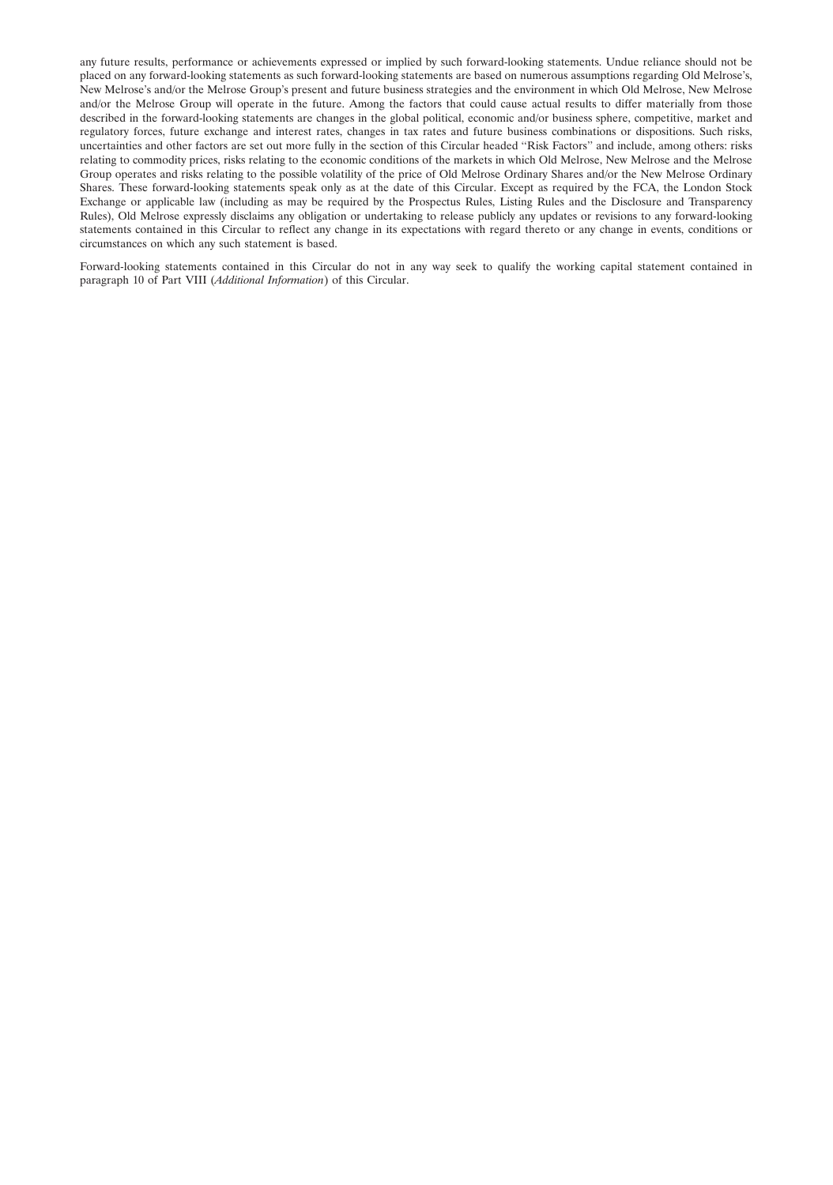any future results, performance or achievements expressed or implied by such forward-looking statements. Undue reliance should not be placed on any forward-looking statements as such forward-looking statements are based on numerous assumptions regarding Old Melrose's, New Melrose's and/or the Melrose Group's present and future business strategies and the environment in which Old Melrose, New Melrose and/or the Melrose Group will operate in the future. Among the factors that could cause actual results to differ materially from those described in the forward-looking statements are changes in the global political, economic and/or business sphere, competitive, market and regulatory forces, future exchange and interest rates, changes in tax rates and future business combinations or dispositions. Such risks, uncertainties and other factors are set out more fully in the section of this Circular headed ''Risk Factors'' and include, among others: risks relating to commodity prices, risks relating to the economic conditions of the markets in which Old Melrose, New Melrose and the Melrose Group operates and risks relating to the possible volatility of the price of Old Melrose Ordinary Shares and/or the New Melrose Ordinary Shares. These forward-looking statements speak only as at the date of this Circular. Except as required by the FCA, the London Stock Exchange or applicable law (including as may be required by the Prospectus Rules, Listing Rules and the Disclosure and Transparency Rules), Old Melrose expressly disclaims any obligation or undertaking to release publicly any updates or revisions to any forward-looking statements contained in this Circular to reflect any change in its expectations with regard thereto or any change in events, conditions or circumstances on which any such statement is based.

Forward-looking statements contained in this Circular do not in any way seek to qualify the working capital statement contained in paragraph 10 of Part VIII (*Additional Information*) of this Circular.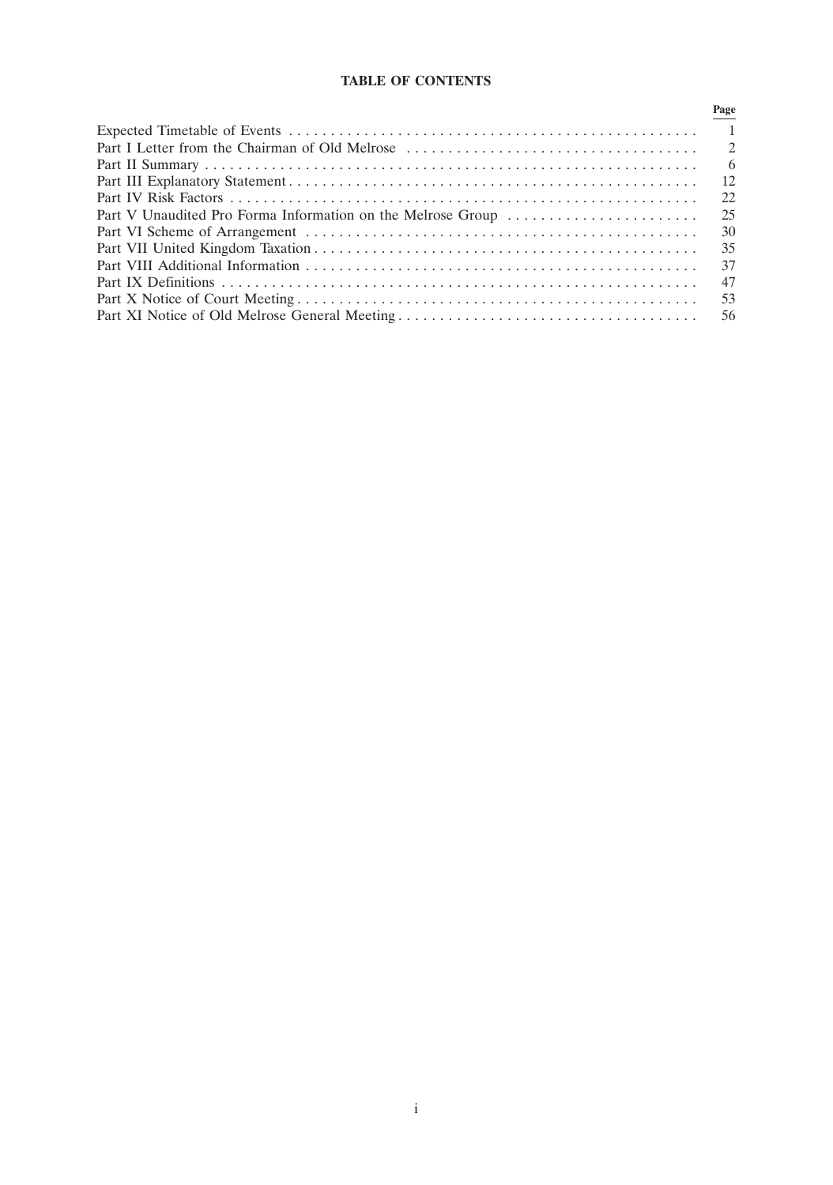# **TABLE OF CONTENTS**

| Page |
|------|
|      |
|      |
|      |
|      |
|      |
|      |
| 30   |
| 35   |
|      |
| 47   |
|      |
|      |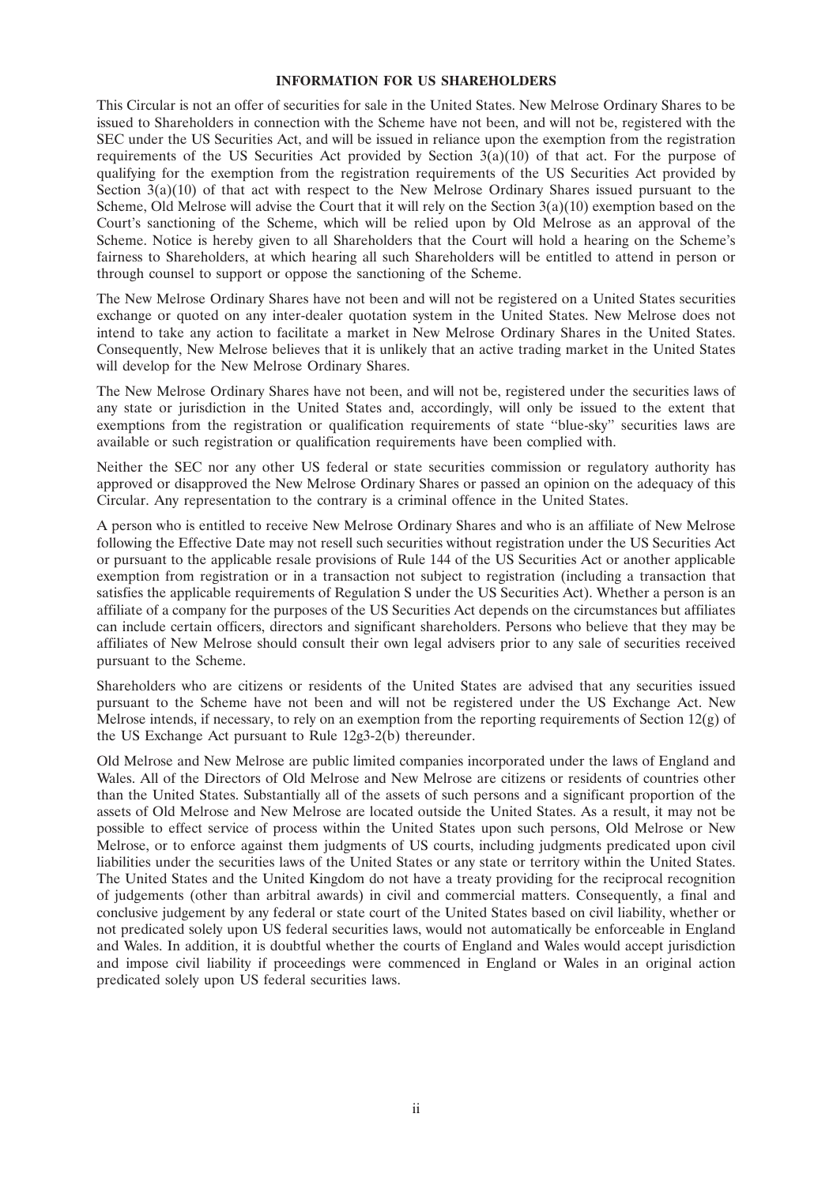#### **INFORMATION FOR US SHAREHOLDERS**

This Circular is not an offer of securities for sale in the United States. New Melrose Ordinary Shares to be issued to Shareholders in connection with the Scheme have not been, and will not be, registered with the SEC under the US Securities Act, and will be issued in reliance upon the exemption from the registration requirements of the US Securities Act provided by Section  $3(a)(10)$  of that act. For the purpose of qualifying for the exemption from the registration requirements of the US Securities Act provided by Section  $3(a)(10)$  of that act with respect to the New Melrose Ordinary Shares issued pursuant to the Scheme, Old Melrose will advise the Court that it will rely on the Section  $3(a)(10)$  exemption based on the Court's sanctioning of the Scheme, which will be relied upon by Old Melrose as an approval of the Scheme. Notice is hereby given to all Shareholders that the Court will hold a hearing on the Scheme's fairness to Shareholders, at which hearing all such Shareholders will be entitled to attend in person or through counsel to support or oppose the sanctioning of the Scheme.

The New Melrose Ordinary Shares have not been and will not be registered on a United States securities exchange or quoted on any inter-dealer quotation system in the United States. New Melrose does not intend to take any action to facilitate a market in New Melrose Ordinary Shares in the United States. Consequently, New Melrose believes that it is unlikely that an active trading market in the United States will develop for the New Melrose Ordinary Shares.

The New Melrose Ordinary Shares have not been, and will not be, registered under the securities laws of any state or jurisdiction in the United States and, accordingly, will only be issued to the extent that exemptions from the registration or qualification requirements of state ''blue-sky'' securities laws are available or such registration or qualification requirements have been complied with.

Neither the SEC nor any other US federal or state securities commission or regulatory authority has approved or disapproved the New Melrose Ordinary Shares or passed an opinion on the adequacy of this Circular. Any representation to the contrary is a criminal offence in the United States.

A person who is entitled to receive New Melrose Ordinary Shares and who is an affiliate of New Melrose following the Effective Date may not resell such securities without registration under the US Securities Act or pursuant to the applicable resale provisions of Rule 144 of the US Securities Act or another applicable exemption from registration or in a transaction not subject to registration (including a transaction that satisfies the applicable requirements of Regulation S under the US Securities Act). Whether a person is an affiliate of a company for the purposes of the US Securities Act depends on the circumstances but affiliates can include certain officers, directors and significant shareholders. Persons who believe that they may be affiliates of New Melrose should consult their own legal advisers prior to any sale of securities received pursuant to the Scheme.

Shareholders who are citizens or residents of the United States are advised that any securities issued pursuant to the Scheme have not been and will not be registered under the US Exchange Act. New Melrose intends, if necessary, to rely on an exemption from the reporting requirements of Section  $12(g)$  of the US Exchange Act pursuant to Rule 12g3-2(b) thereunder.

Old Melrose and New Melrose are public limited companies incorporated under the laws of England and Wales. All of the Directors of Old Melrose and New Melrose are citizens or residents of countries other than the United States. Substantially all of the assets of such persons and a significant proportion of the assets of Old Melrose and New Melrose are located outside the United States. As a result, it may not be possible to effect service of process within the United States upon such persons, Old Melrose or New Melrose, or to enforce against them judgments of US courts, including judgments predicated upon civil liabilities under the securities laws of the United States or any state or territory within the United States. The United States and the United Kingdom do not have a treaty providing for the reciprocal recognition of judgements (other than arbitral awards) in civil and commercial matters. Consequently, a final and conclusive judgement by any federal or state court of the United States based on civil liability, whether or not predicated solely upon US federal securities laws, would not automatically be enforceable in England and Wales. In addition, it is doubtful whether the courts of England and Wales would accept jurisdiction and impose civil liability if proceedings were commenced in England or Wales in an original action predicated solely upon US federal securities laws.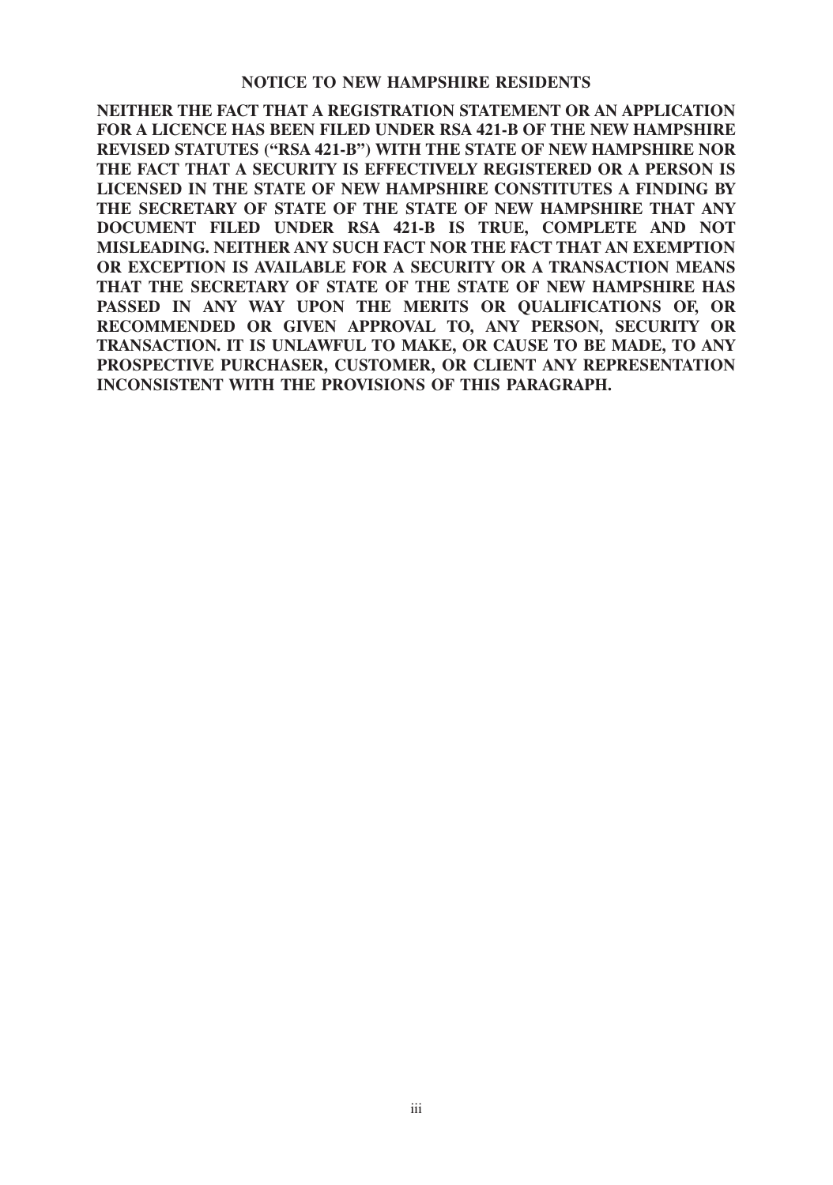# **NOTICE TO NEW HAMPSHIRE RESIDENTS**

**NEITHER THE FACT THAT A REGISTRATION STATEMENT OR AN APPLICATION FOR A LICENCE HAS BEEN FILED UNDER RSA 421-B OF THE NEW HAMPSHIRE REVISED STATUTES (''RSA 421-B'') WITH THE STATE OF NEW HAMPSHIRE NOR THE FACT THAT A SECURITY IS EFFECTIVELY REGISTERED OR A PERSON IS LICENSED IN THE STATE OF NEW HAMPSHIRE CONSTITUTES A FINDING BY THE SECRETARY OF STATE OF THE STATE OF NEW HAMPSHIRE THAT ANY DOCUMENT FILED UNDER RSA 421-B IS TRUE, COMPLETE AND NOT MISLEADING. NEITHER ANY SUCH FACT NOR THE FACT THAT AN EXEMPTION OR EXCEPTION IS AVAILABLE FOR A SECURITY OR A TRANSACTION MEANS THAT THE SECRETARY OF STATE OF THE STATE OF NEW HAMPSHIRE HAS PASSED IN ANY WAY UPON THE MERITS OR QUALIFICATIONS OF, OR RECOMMENDED OR GIVEN APPROVAL TO, ANY PERSON, SECURITY OR TRANSACTION. IT IS UNLAWFUL TO MAKE, OR CAUSE TO BE MADE, TO ANY PROSPECTIVE PURCHASER, CUSTOMER, OR CLIENT ANY REPRESENTATION INCONSISTENT WITH THE PROVISIONS OF THIS PARAGRAPH.**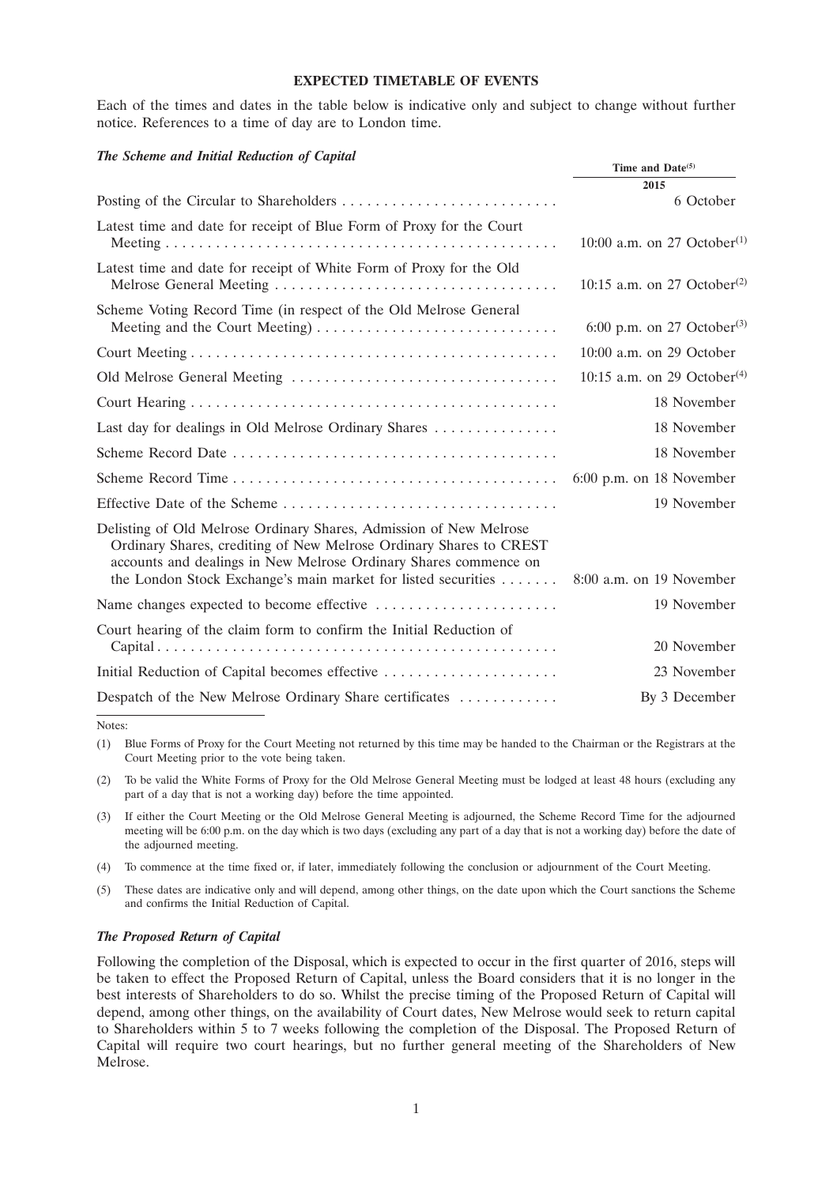#### **EXPECTED TIMETABLE OF EVENTS**

Each of the times and dates in the table below is indicative only and subject to change without further notice. References to a time of day are to London time.

| The Scheme and Initial Reduction of Capital                                                                                                                                                                                                                                   | Time and Date $(5)$                     |
|-------------------------------------------------------------------------------------------------------------------------------------------------------------------------------------------------------------------------------------------------------------------------------|-----------------------------------------|
|                                                                                                                                                                                                                                                                               | 2015                                    |
|                                                                                                                                                                                                                                                                               | 6 October                               |
| Latest time and date for receipt of Blue Form of Proxy for the Court                                                                                                                                                                                                          | 10:00 a.m. on 27 October <sup>(1)</sup> |
| Latest time and date for receipt of White Form of Proxy for the Old                                                                                                                                                                                                           | 10:15 a.m. on 27 October <sup>(2)</sup> |
| Scheme Voting Record Time (in respect of the Old Melrose General                                                                                                                                                                                                              | 6:00 p.m. on 27 October <sup>(3)</sup>  |
|                                                                                                                                                                                                                                                                               | 10:00 a.m. on 29 October                |
|                                                                                                                                                                                                                                                                               | 10:15 a.m. on 29 October <sup>(4)</sup> |
|                                                                                                                                                                                                                                                                               | 18 November                             |
| Last day for dealings in Old Melrose Ordinary Shares                                                                                                                                                                                                                          | 18 November                             |
|                                                                                                                                                                                                                                                                               | 18 November                             |
|                                                                                                                                                                                                                                                                               | $6:00$ p.m. on 18 November              |
|                                                                                                                                                                                                                                                                               | 19 November                             |
| Delisting of Old Melrose Ordinary Shares, Admission of New Melrose<br>Ordinary Shares, crediting of New Melrose Ordinary Shares to CREST<br>accounts and dealings in New Melrose Ordinary Shares commence on<br>the London Stock Exchange's main market for listed securities | 8:00 a.m. on 19 November                |
|                                                                                                                                                                                                                                                                               | 19 November                             |
| Court hearing of the claim form to confirm the Initial Reduction of                                                                                                                                                                                                           | 20 November                             |
| Initial Reduction of Capital becomes effective                                                                                                                                                                                                                                | 23 November                             |
| Despatch of the New Melrose Ordinary Share certificates                                                                                                                                                                                                                       | By 3 December                           |
|                                                                                                                                                                                                                                                                               |                                         |

Notes:

(1) Blue Forms of Proxy for the Court Meeting not returned by this time may be handed to the Chairman or the Registrars at the Court Meeting prior to the vote being taken.

- (4) To commence at the time fixed or, if later, immediately following the conclusion or adjournment of the Court Meeting.
- (5) These dates are indicative only and will depend, among other things, on the date upon which the Court sanctions the Scheme and confirms the Initial Reduction of Capital.

#### *The Proposed Return of Capital*

Following the completion of the Disposal, which is expected to occur in the first quarter of 2016, steps will be taken to effect the Proposed Return of Capital, unless the Board considers that it is no longer in the best interests of Shareholders to do so. Whilst the precise timing of the Proposed Return of Capital will depend, among other things, on the availability of Court dates, New Melrose would seek to return capital to Shareholders within 5 to 7 weeks following the completion of the Disposal. The Proposed Return of Capital will require two court hearings, but no further general meeting of the Shareholders of New Melrose.

<sup>(2)</sup> To be valid the White Forms of Proxy for the Old Melrose General Meeting must be lodged at least 48 hours (excluding any part of a day that is not a working day) before the time appointed.

<sup>(3)</sup> If either the Court Meeting or the Old Melrose General Meeting is adjourned, the Scheme Record Time for the adjourned meeting will be 6:00 p.m. on the day which is two days (excluding any part of a day that is not a working day) before the date of the adjourned meeting.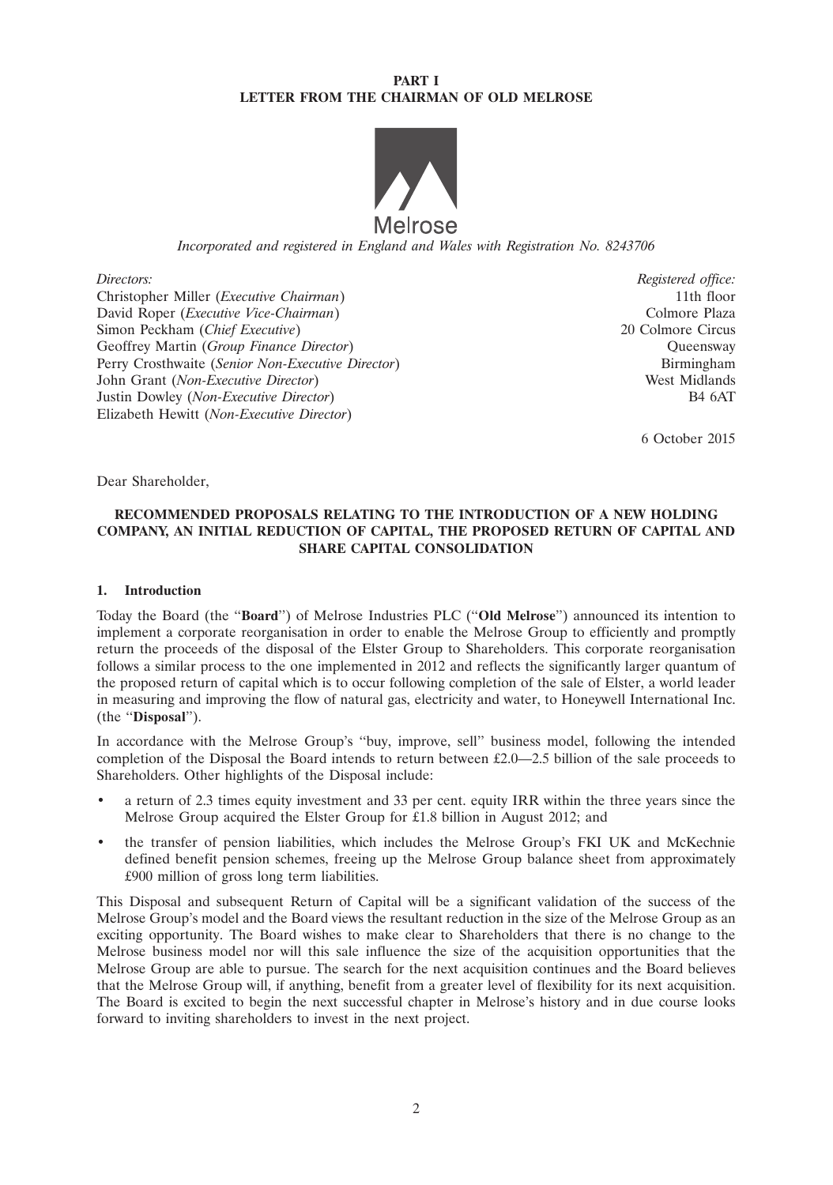#### **PART I LETTER FROM THE CHAIRMAN OF OLD MELROSE**



*Incorporated and registered in England and Wales with Registration No. 8243706*

Christopher Miller (*Executive Chairman*) 11th floor David Roper (*Executive Vice-Chairman*) Colmore Plaza Simon Peckham (*Chief Executive*) 20 Colmore Circus Geoffrey Martin (*Group Finance Director*) Queensway Perry Crosthwaite (*Senior Non-Executive Director*) Birmingham John Grant (*Non-Executive Director*) West Midlands Justin Dowley (*Non-Executive Director*) B4 6AT Elizabeth Hewitt (*Non-Executive Director*)

*Directors: Registered office:*

6 October 2015

Dear Shareholder,

# **RECOMMENDED PROPOSALS RELATING TO THE INTRODUCTION OF A NEW HOLDING COMPANY, AN INITIAL REDUCTION OF CAPITAL, THE PROPOSED RETURN OF CAPITAL AND SHARE CAPITAL CONSOLIDATION**

# **1. Introduction**

Today the Board (the ''**Board**'') of Melrose Industries PLC (''**Old Melrose**'') announced its intention to implement a corporate reorganisation in order to enable the Melrose Group to efficiently and promptly return the proceeds of the disposal of the Elster Group to Shareholders. This corporate reorganisation follows a similar process to the one implemented in 2012 and reflects the significantly larger quantum of the proposed return of capital which is to occur following completion of the sale of Elster, a world leader in measuring and improving the flow of natural gas, electricity and water, to Honeywell International Inc. (the ''**Disposal**'').

In accordance with the Melrose Group's ''buy, improve, sell'' business model, following the intended completion of the Disposal the Board intends to return between £2.0—2.5 billion of the sale proceeds to Shareholders. Other highlights of the Disposal include:

- a return of 2.3 times equity investment and 33 per cent. equity IRR within the three years since the Melrose Group acquired the Elster Group for £1.8 billion in August 2012; and
- the transfer of pension liabilities, which includes the Melrose Group's FKI UK and McKechnie defined benefit pension schemes, freeing up the Melrose Group balance sheet from approximately £900 million of gross long term liabilities.

This Disposal and subsequent Return of Capital will be a significant validation of the success of the Melrose Group's model and the Board views the resultant reduction in the size of the Melrose Group as an exciting opportunity. The Board wishes to make clear to Shareholders that there is no change to the Melrose business model nor will this sale influence the size of the acquisition opportunities that the Melrose Group are able to pursue. The search for the next acquisition continues and the Board believes that the Melrose Group will, if anything, benefit from a greater level of flexibility for its next acquisition. The Board is excited to begin the next successful chapter in Melrose's history and in due course looks forward to inviting shareholders to invest in the next project.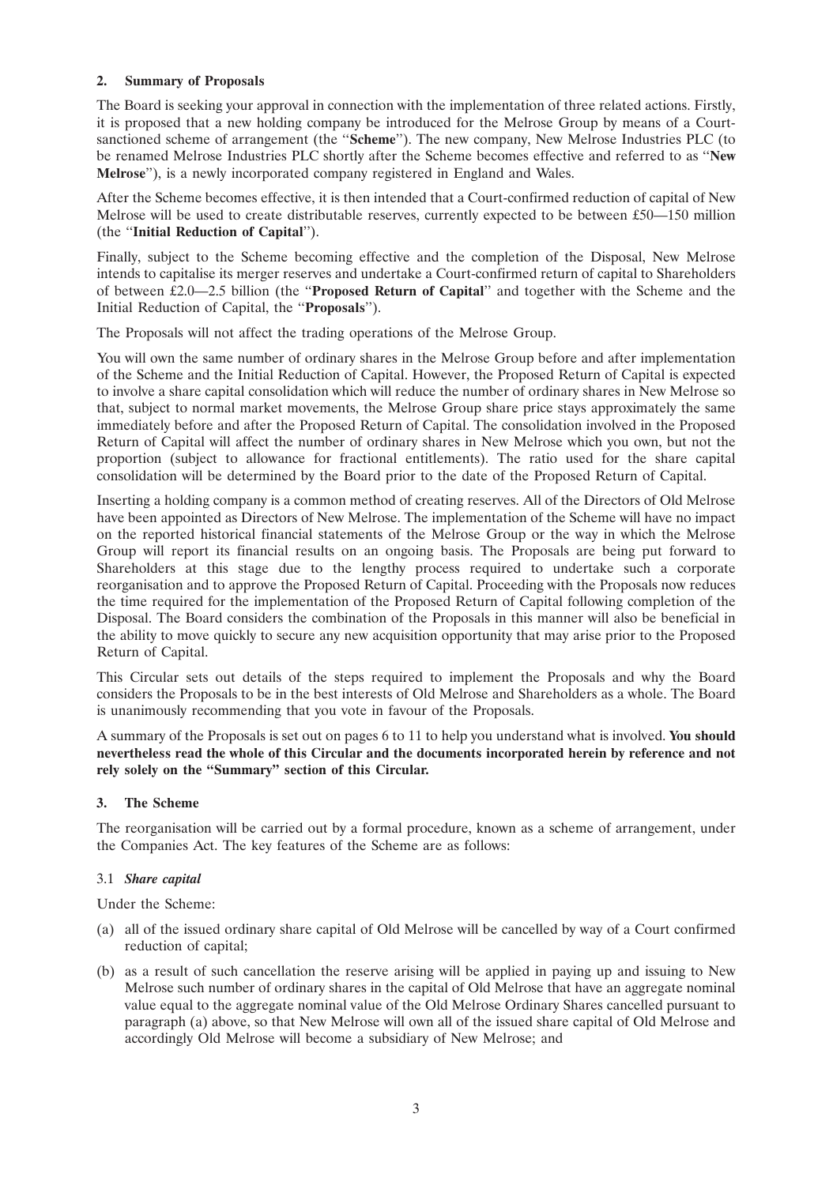# **2. Summary of Proposals**

The Board is seeking your approval in connection with the implementation of three related actions. Firstly, it is proposed that a new holding company be introduced for the Melrose Group by means of a Courtsanctioned scheme of arrangement (the ''**Scheme**''). The new company, New Melrose Industries PLC (to be renamed Melrose Industries PLC shortly after the Scheme becomes effective and referred to as ''**New Melrose**''), is a newly incorporated company registered in England and Wales.

After the Scheme becomes effective, it is then intended that a Court-confirmed reduction of capital of New Melrose will be used to create distributable reserves, currently expected to be between £50—150 million (the ''**Initial Reduction of Capital**'').

Finally, subject to the Scheme becoming effective and the completion of the Disposal, New Melrose intends to capitalise its merger reserves and undertake a Court-confirmed return of capital to Shareholders of between £2.0—2.5 billion (the ''**Proposed Return of Capital**'' and together with the Scheme and the Initial Reduction of Capital, the ''**Proposals**'').

The Proposals will not affect the trading operations of the Melrose Group.

You will own the same number of ordinary shares in the Melrose Group before and after implementation of the Scheme and the Initial Reduction of Capital. However, the Proposed Return of Capital is expected to involve a share capital consolidation which will reduce the number of ordinary shares in New Melrose so that, subject to normal market movements, the Melrose Group share price stays approximately the same immediately before and after the Proposed Return of Capital. The consolidation involved in the Proposed Return of Capital will affect the number of ordinary shares in New Melrose which you own, but not the proportion (subject to allowance for fractional entitlements). The ratio used for the share capital consolidation will be determined by the Board prior to the date of the Proposed Return of Capital.

Inserting a holding company is a common method of creating reserves. All of the Directors of Old Melrose have been appointed as Directors of New Melrose. The implementation of the Scheme will have no impact on the reported historical financial statements of the Melrose Group or the way in which the Melrose Group will report its financial results on an ongoing basis. The Proposals are being put forward to Shareholders at this stage due to the lengthy process required to undertake such a corporate reorganisation and to approve the Proposed Return of Capital. Proceeding with the Proposals now reduces the time required for the implementation of the Proposed Return of Capital following completion of the Disposal. The Board considers the combination of the Proposals in this manner will also be beneficial in the ability to move quickly to secure any new acquisition opportunity that may arise prior to the Proposed Return of Capital.

This Circular sets out details of the steps required to implement the Proposals and why the Board considers the Proposals to be in the best interests of Old Melrose and Shareholders as a whole. The Board is unanimously recommending that you vote in favour of the Proposals.

A summary of the Proposals is set out on pages 6 to 11 to help you understand what is involved. **You should nevertheless read the whole of this Circular and the documents incorporated herein by reference and not rely solely on the ''Summary'' section of this Circular.**

# **3. The Scheme**

The reorganisation will be carried out by a formal procedure, known as a scheme of arrangement, under the Companies Act. The key features of the Scheme are as follows:

# 3.1 *Share capital*

Under the Scheme:

- (a) all of the issued ordinary share capital of Old Melrose will be cancelled by way of a Court confirmed reduction of capital;
- (b) as a result of such cancellation the reserve arising will be applied in paying up and issuing to New Melrose such number of ordinary shares in the capital of Old Melrose that have an aggregate nominal value equal to the aggregate nominal value of the Old Melrose Ordinary Shares cancelled pursuant to paragraph (a) above, so that New Melrose will own all of the issued share capital of Old Melrose and accordingly Old Melrose will become a subsidiary of New Melrose; and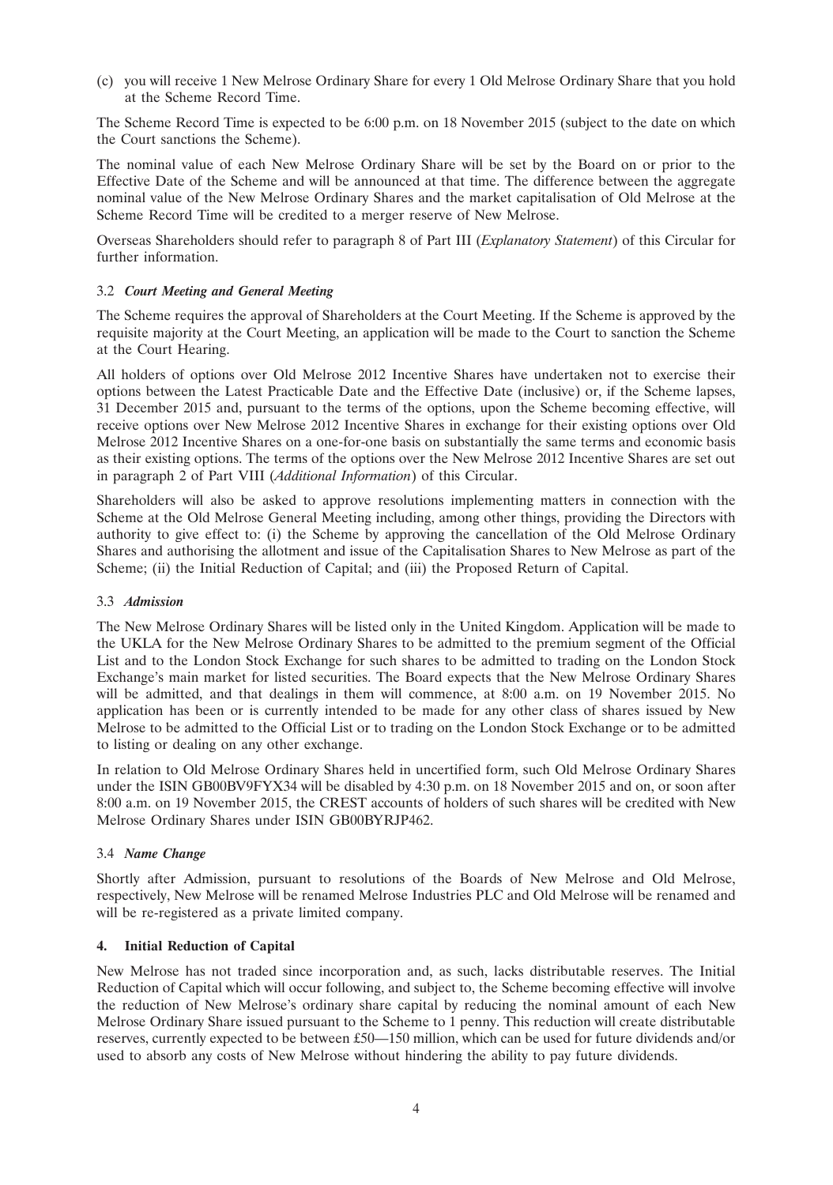(c) you will receive 1 New Melrose Ordinary Share for every 1 Old Melrose Ordinary Share that you hold at the Scheme Record Time.

The Scheme Record Time is expected to be 6:00 p.m. on 18 November 2015 (subject to the date on which the Court sanctions the Scheme).

The nominal value of each New Melrose Ordinary Share will be set by the Board on or prior to the Effective Date of the Scheme and will be announced at that time. The difference between the aggregate nominal value of the New Melrose Ordinary Shares and the market capitalisation of Old Melrose at the Scheme Record Time will be credited to a merger reserve of New Melrose.

Overseas Shareholders should refer to paragraph 8 of Part III (*Explanatory Statement*) of this Circular for further information.

# 3.2 *Court Meeting and General Meeting*

The Scheme requires the approval of Shareholders at the Court Meeting. If the Scheme is approved by the requisite majority at the Court Meeting, an application will be made to the Court to sanction the Scheme at the Court Hearing.

All holders of options over Old Melrose 2012 Incentive Shares have undertaken not to exercise their options between the Latest Practicable Date and the Effective Date (inclusive) or, if the Scheme lapses, 31 December 2015 and, pursuant to the terms of the options, upon the Scheme becoming effective, will receive options over New Melrose 2012 Incentive Shares in exchange for their existing options over Old Melrose 2012 Incentive Shares on a one-for-one basis on substantially the same terms and economic basis as their existing options. The terms of the options over the New Melrose 2012 Incentive Shares are set out in paragraph 2 of Part VIII (*Additional Information*) of this Circular.

Shareholders will also be asked to approve resolutions implementing matters in connection with the Scheme at the Old Melrose General Meeting including, among other things, providing the Directors with authority to give effect to: (i) the Scheme by approving the cancellation of the Old Melrose Ordinary Shares and authorising the allotment and issue of the Capitalisation Shares to New Melrose as part of the Scheme; (ii) the Initial Reduction of Capital; and (iii) the Proposed Return of Capital.

#### 3.3 *Admission*

The New Melrose Ordinary Shares will be listed only in the United Kingdom. Application will be made to the UKLA for the New Melrose Ordinary Shares to be admitted to the premium segment of the Official List and to the London Stock Exchange for such shares to be admitted to trading on the London Stock Exchange's main market for listed securities. The Board expects that the New Melrose Ordinary Shares will be admitted, and that dealings in them will commence, at 8:00 a.m. on 19 November 2015. No application has been or is currently intended to be made for any other class of shares issued by New Melrose to be admitted to the Official List or to trading on the London Stock Exchange or to be admitted to listing or dealing on any other exchange.

In relation to Old Melrose Ordinary Shares held in uncertified form, such Old Melrose Ordinary Shares under the ISIN GB00BV9FYX34 will be disabled by 4:30 p.m. on 18 November 2015 and on, or soon after 8:00 a.m. on 19 November 2015, the CREST accounts of holders of such shares will be credited with New Melrose Ordinary Shares under ISIN GB00BYRJP462.

#### 3.4 *Name Change*

Shortly after Admission, pursuant to resolutions of the Boards of New Melrose and Old Melrose, respectively, New Melrose will be renamed Melrose Industries PLC and Old Melrose will be renamed and will be re-registered as a private limited company.

#### **4. Initial Reduction of Capital**

New Melrose has not traded since incorporation and, as such, lacks distributable reserves. The Initial Reduction of Capital which will occur following, and subject to, the Scheme becoming effective will involve the reduction of New Melrose's ordinary share capital by reducing the nominal amount of each New Melrose Ordinary Share issued pursuant to the Scheme to 1 penny. This reduction will create distributable reserves, currently expected to be between £50—150 million, which can be used for future dividends and/or used to absorb any costs of New Melrose without hindering the ability to pay future dividends.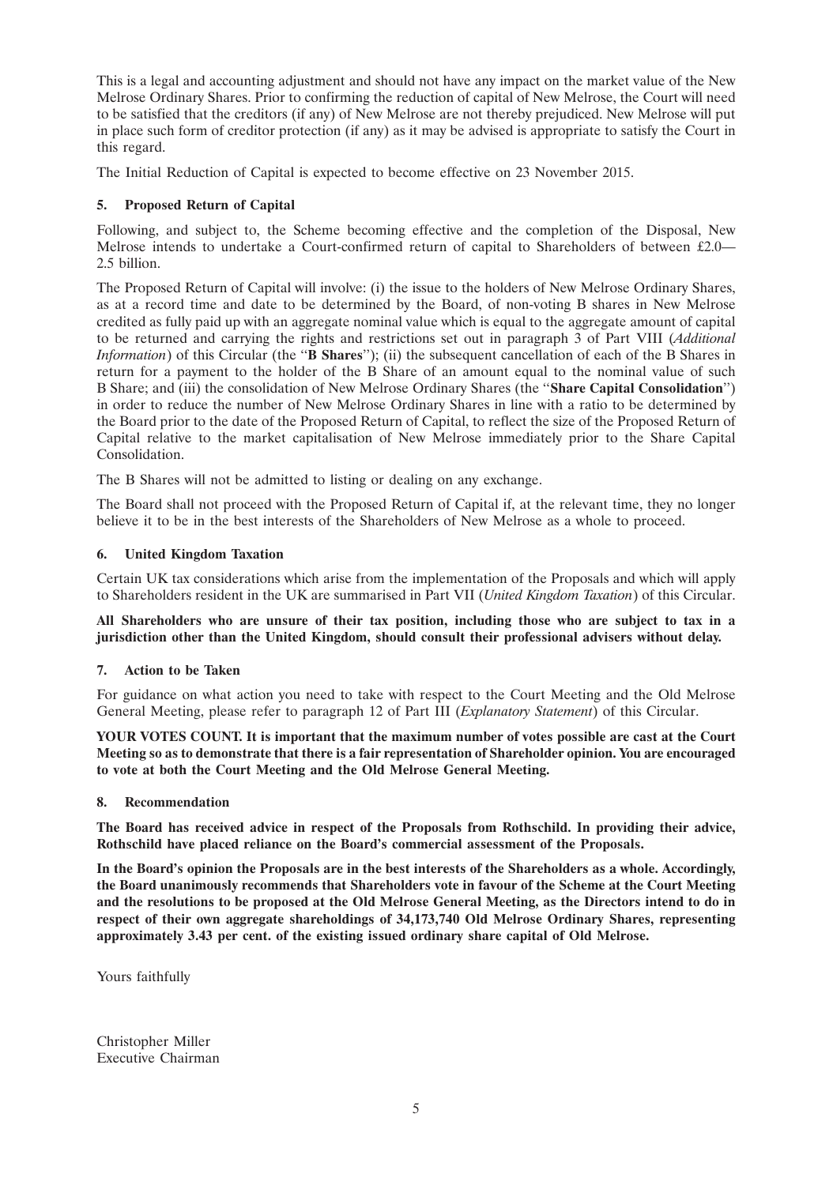This is a legal and accounting adjustment and should not have any impact on the market value of the New Melrose Ordinary Shares. Prior to confirming the reduction of capital of New Melrose, the Court will need to be satisfied that the creditors (if any) of New Melrose are not thereby prejudiced. New Melrose will put in place such form of creditor protection (if any) as it may be advised is appropriate to satisfy the Court in this regard.

The Initial Reduction of Capital is expected to become effective on 23 November 2015.

# **5. Proposed Return of Capital**

Following, and subject to, the Scheme becoming effective and the completion of the Disposal, New Melrose intends to undertake a Court-confirmed return of capital to Shareholders of between £2.0— 2.5 billion.

The Proposed Return of Capital will involve: (i) the issue to the holders of New Melrose Ordinary Shares, as at a record time and date to be determined by the Board, of non-voting B shares in New Melrose credited as fully paid up with an aggregate nominal value which is equal to the aggregate amount of capital to be returned and carrying the rights and restrictions set out in paragraph 3 of Part VIII (*Additional Information*) of this Circular (the "**B Shares**"); (ii) the subsequent cancellation of each of the B Shares in return for a payment to the holder of the B Share of an amount equal to the nominal value of such B Share; and (iii) the consolidation of New Melrose Ordinary Shares (the ''**Share Capital Consolidation**'') in order to reduce the number of New Melrose Ordinary Shares in line with a ratio to be determined by the Board prior to the date of the Proposed Return of Capital, to reflect the size of the Proposed Return of Capital relative to the market capitalisation of New Melrose immediately prior to the Share Capital Consolidation.

The B Shares will not be admitted to listing or dealing on any exchange.

The Board shall not proceed with the Proposed Return of Capital if, at the relevant time, they no longer believe it to be in the best interests of the Shareholders of New Melrose as a whole to proceed.

#### **6. United Kingdom Taxation**

Certain UK tax considerations which arise from the implementation of the Proposals and which will apply to Shareholders resident in the UK are summarised in Part VII (*United Kingdom Taxation*) of this Circular.

**All Shareholders who are unsure of their tax position, including those who are subject to tax in a jurisdiction other than the United Kingdom, should consult their professional advisers without delay.**

#### **7. Action to be Taken**

For guidance on what action you need to take with respect to the Court Meeting and the Old Melrose General Meeting, please refer to paragraph 12 of Part III (*Explanatory Statement*) of this Circular.

**YOUR VOTES COUNT. It is important that the maximum number of votes possible are cast at the Court Meeting so as to demonstrate that there is a fair representation of Shareholder opinion. You are encouraged to vote at both the Court Meeting and the Old Melrose General Meeting.**

#### **8. Recommendation**

**The Board has received advice in respect of the Proposals from Rothschild. In providing their advice, Rothschild have placed reliance on the Board's commercial assessment of the Proposals.**

**In the Board's opinion the Proposals are in the best interests of the Shareholders as a whole. Accordingly, the Board unanimously recommends that Shareholders vote in favour of the Scheme at the Court Meeting and the resolutions to be proposed at the Old Melrose General Meeting, as the Directors intend to do in respect of their own aggregate shareholdings of 34,173,740 Old Melrose Ordinary Shares, representing approximately 3.43 per cent. of the existing issued ordinary share capital of Old Melrose.**

Yours faithfully

Christopher Miller Executive Chairman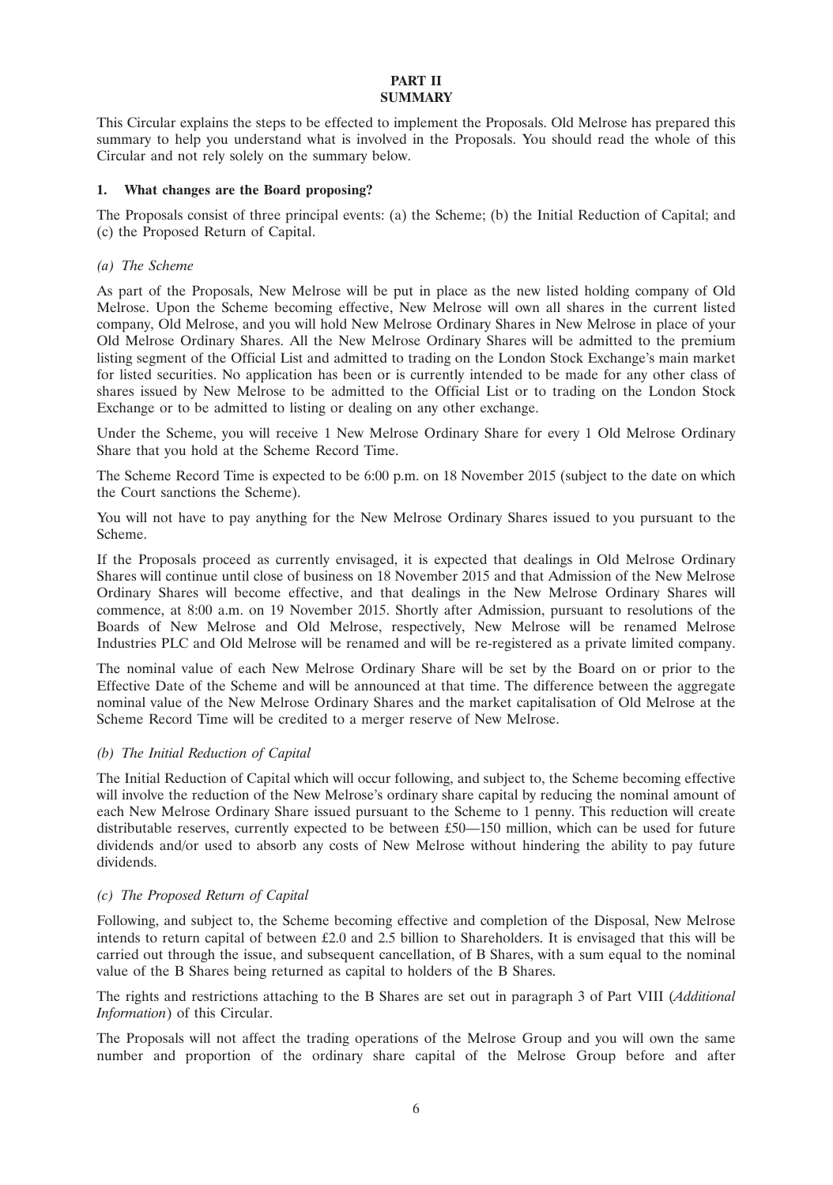#### **PART II SUMMARY**

This Circular explains the steps to be effected to implement the Proposals. Old Melrose has prepared this summary to help you understand what is involved in the Proposals. You should read the whole of this Circular and not rely solely on the summary below.

#### **1. What changes are the Board proposing?**

The Proposals consist of three principal events: (a) the Scheme; (b) the Initial Reduction of Capital; and (c) the Proposed Return of Capital.

#### *(a) The Scheme*

As part of the Proposals, New Melrose will be put in place as the new listed holding company of Old Melrose. Upon the Scheme becoming effective, New Melrose will own all shares in the current listed company, Old Melrose, and you will hold New Melrose Ordinary Shares in New Melrose in place of your Old Melrose Ordinary Shares. All the New Melrose Ordinary Shares will be admitted to the premium listing segment of the Official List and admitted to trading on the London Stock Exchange's main market for listed securities. No application has been or is currently intended to be made for any other class of shares issued by New Melrose to be admitted to the Official List or to trading on the London Stock Exchange or to be admitted to listing or dealing on any other exchange.

Under the Scheme, you will receive 1 New Melrose Ordinary Share for every 1 Old Melrose Ordinary Share that you hold at the Scheme Record Time.

The Scheme Record Time is expected to be 6:00 p.m. on 18 November 2015 (subject to the date on which the Court sanctions the Scheme).

You will not have to pay anything for the New Melrose Ordinary Shares issued to you pursuant to the Scheme.

If the Proposals proceed as currently envisaged, it is expected that dealings in Old Melrose Ordinary Shares will continue until close of business on 18 November 2015 and that Admission of the New Melrose Ordinary Shares will become effective, and that dealings in the New Melrose Ordinary Shares will commence, at 8:00 a.m. on 19 November 2015. Shortly after Admission, pursuant to resolutions of the Boards of New Melrose and Old Melrose, respectively, New Melrose will be renamed Melrose Industries PLC and Old Melrose will be renamed and will be re-registered as a private limited company.

The nominal value of each New Melrose Ordinary Share will be set by the Board on or prior to the Effective Date of the Scheme and will be announced at that time. The difference between the aggregate nominal value of the New Melrose Ordinary Shares and the market capitalisation of Old Melrose at the Scheme Record Time will be credited to a merger reserve of New Melrose.

#### *(b) The Initial Reduction of Capital*

The Initial Reduction of Capital which will occur following, and subject to, the Scheme becoming effective will involve the reduction of the New Melrose's ordinary share capital by reducing the nominal amount of each New Melrose Ordinary Share issued pursuant to the Scheme to 1 penny. This reduction will create distributable reserves, currently expected to be between £50—150 million, which can be used for future dividends and/or used to absorb any costs of New Melrose without hindering the ability to pay future dividends.

#### *(c) The Proposed Return of Capital*

Following, and subject to, the Scheme becoming effective and completion of the Disposal, New Melrose intends to return capital of between £2.0 and 2.5 billion to Shareholders. It is envisaged that this will be carried out through the issue, and subsequent cancellation, of B Shares, with a sum equal to the nominal value of the B Shares being returned as capital to holders of the B Shares.

The rights and restrictions attaching to the B Shares are set out in paragraph 3 of Part VIII (*Additional Information*) of this Circular.

The Proposals will not affect the trading operations of the Melrose Group and you will own the same number and proportion of the ordinary share capital of the Melrose Group before and after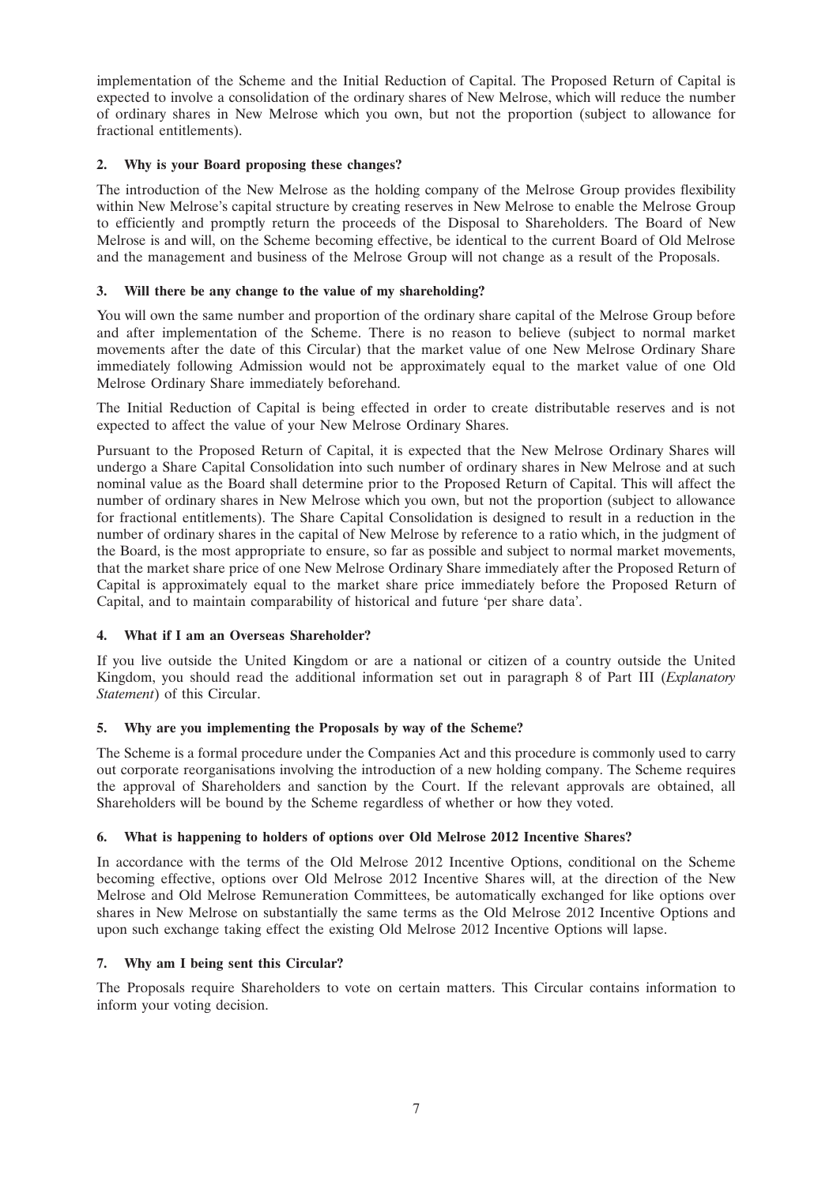implementation of the Scheme and the Initial Reduction of Capital. The Proposed Return of Capital is expected to involve a consolidation of the ordinary shares of New Melrose, which will reduce the number of ordinary shares in New Melrose which you own, but not the proportion (subject to allowance for fractional entitlements).

# **2. Why is your Board proposing these changes?**

The introduction of the New Melrose as the holding company of the Melrose Group provides flexibility within New Melrose's capital structure by creating reserves in New Melrose to enable the Melrose Group to efficiently and promptly return the proceeds of the Disposal to Shareholders. The Board of New Melrose is and will, on the Scheme becoming effective, be identical to the current Board of Old Melrose and the management and business of the Melrose Group will not change as a result of the Proposals.

# **3. Will there be any change to the value of my shareholding?**

You will own the same number and proportion of the ordinary share capital of the Melrose Group before and after implementation of the Scheme. There is no reason to believe (subject to normal market movements after the date of this Circular) that the market value of one New Melrose Ordinary Share immediately following Admission would not be approximately equal to the market value of one Old Melrose Ordinary Share immediately beforehand.

The Initial Reduction of Capital is being effected in order to create distributable reserves and is not expected to affect the value of your New Melrose Ordinary Shares.

Pursuant to the Proposed Return of Capital, it is expected that the New Melrose Ordinary Shares will undergo a Share Capital Consolidation into such number of ordinary shares in New Melrose and at such nominal value as the Board shall determine prior to the Proposed Return of Capital. This will affect the number of ordinary shares in New Melrose which you own, but not the proportion (subject to allowance for fractional entitlements). The Share Capital Consolidation is designed to result in a reduction in the number of ordinary shares in the capital of New Melrose by reference to a ratio which, in the judgment of the Board, is the most appropriate to ensure, so far as possible and subject to normal market movements, that the market share price of one New Melrose Ordinary Share immediately after the Proposed Return of Capital is approximately equal to the market share price immediately before the Proposed Return of Capital, and to maintain comparability of historical and future 'per share data'.

# **4. What if I am an Overseas Shareholder?**

If you live outside the United Kingdom or are a national or citizen of a country outside the United Kingdom, you should read the additional information set out in paragraph 8 of Part III (*Explanatory Statement*) of this Circular.

#### **5. Why are you implementing the Proposals by way of the Scheme?**

The Scheme is a formal procedure under the Companies Act and this procedure is commonly used to carry out corporate reorganisations involving the introduction of a new holding company. The Scheme requires the approval of Shareholders and sanction by the Court. If the relevant approvals are obtained, all Shareholders will be bound by the Scheme regardless of whether or how they voted.

#### **6. What is happening to holders of options over Old Melrose 2012 Incentive Shares?**

In accordance with the terms of the Old Melrose 2012 Incentive Options, conditional on the Scheme becoming effective, options over Old Melrose 2012 Incentive Shares will, at the direction of the New Melrose and Old Melrose Remuneration Committees, be automatically exchanged for like options over shares in New Melrose on substantially the same terms as the Old Melrose 2012 Incentive Options and upon such exchange taking effect the existing Old Melrose 2012 Incentive Options will lapse.

#### **7. Why am I being sent this Circular?**

The Proposals require Shareholders to vote on certain matters. This Circular contains information to inform your voting decision.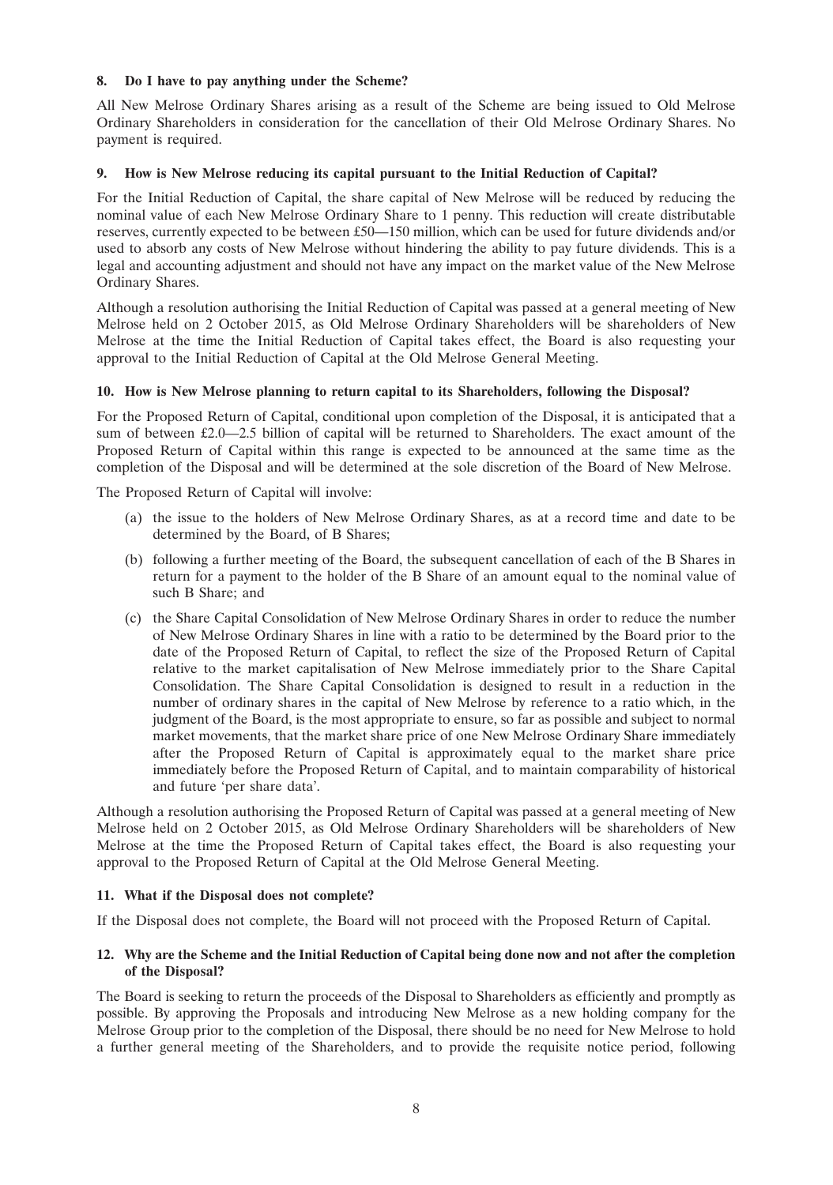# **8. Do I have to pay anything under the Scheme?**

All New Melrose Ordinary Shares arising as a result of the Scheme are being issued to Old Melrose Ordinary Shareholders in consideration for the cancellation of their Old Melrose Ordinary Shares. No payment is required.

#### **9. How is New Melrose reducing its capital pursuant to the Initial Reduction of Capital?**

For the Initial Reduction of Capital, the share capital of New Melrose will be reduced by reducing the nominal value of each New Melrose Ordinary Share to 1 penny. This reduction will create distributable reserves, currently expected to be between £50—150 million, which can be used for future dividends and/or used to absorb any costs of New Melrose without hindering the ability to pay future dividends. This is a legal and accounting adjustment and should not have any impact on the market value of the New Melrose Ordinary Shares.

Although a resolution authorising the Initial Reduction of Capital was passed at a general meeting of New Melrose held on 2 October 2015, as Old Melrose Ordinary Shareholders will be shareholders of New Melrose at the time the Initial Reduction of Capital takes effect, the Board is also requesting your approval to the Initial Reduction of Capital at the Old Melrose General Meeting.

# **10. How is New Melrose planning to return capital to its Shareholders, following the Disposal?**

For the Proposed Return of Capital, conditional upon completion of the Disposal, it is anticipated that a sum of between £2.0—2.5 billion of capital will be returned to Shareholders. The exact amount of the Proposed Return of Capital within this range is expected to be announced at the same time as the completion of the Disposal and will be determined at the sole discretion of the Board of New Melrose.

The Proposed Return of Capital will involve:

- (a) the issue to the holders of New Melrose Ordinary Shares, as at a record time and date to be determined by the Board, of B Shares;
- (b) following a further meeting of the Board, the subsequent cancellation of each of the B Shares in return for a payment to the holder of the B Share of an amount equal to the nominal value of such B Share; and
- (c) the Share Capital Consolidation of New Melrose Ordinary Shares in order to reduce the number of New Melrose Ordinary Shares in line with a ratio to be determined by the Board prior to the date of the Proposed Return of Capital, to reflect the size of the Proposed Return of Capital relative to the market capitalisation of New Melrose immediately prior to the Share Capital Consolidation. The Share Capital Consolidation is designed to result in a reduction in the number of ordinary shares in the capital of New Melrose by reference to a ratio which, in the judgment of the Board, is the most appropriate to ensure, so far as possible and subject to normal market movements, that the market share price of one New Melrose Ordinary Share immediately after the Proposed Return of Capital is approximately equal to the market share price immediately before the Proposed Return of Capital, and to maintain comparability of historical and future 'per share data'.

Although a resolution authorising the Proposed Return of Capital was passed at a general meeting of New Melrose held on 2 October 2015, as Old Melrose Ordinary Shareholders will be shareholders of New Melrose at the time the Proposed Return of Capital takes effect, the Board is also requesting your approval to the Proposed Return of Capital at the Old Melrose General Meeting.

#### **11. What if the Disposal does not complete?**

If the Disposal does not complete, the Board will not proceed with the Proposed Return of Capital.

#### **12. Why are the Scheme and the Initial Reduction of Capital being done now and not after the completion of the Disposal?**

The Board is seeking to return the proceeds of the Disposal to Shareholders as efficiently and promptly as possible. By approving the Proposals and introducing New Melrose as a new holding company for the Melrose Group prior to the completion of the Disposal, there should be no need for New Melrose to hold a further general meeting of the Shareholders, and to provide the requisite notice period, following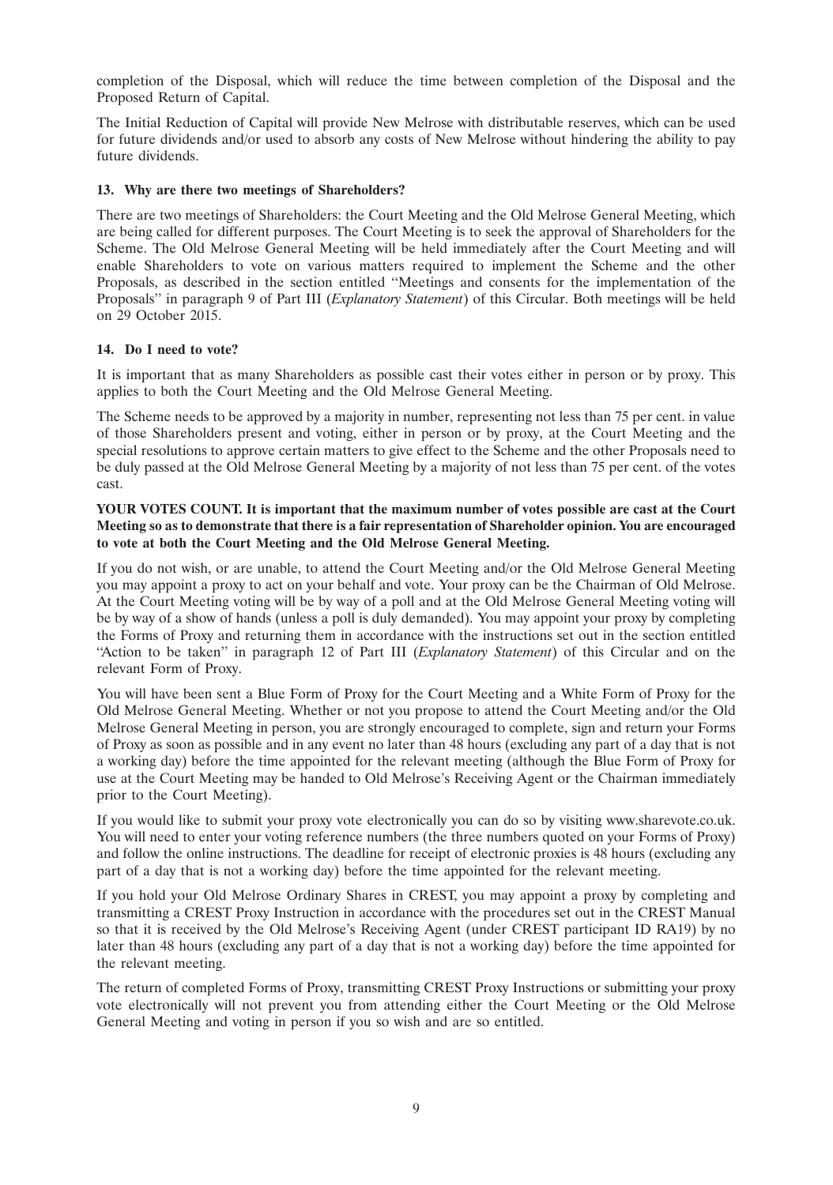completion of the Disposal, which will reduce the time between completion of the Disposal and the Proposed Return of Capital.

The Initial Reduction of Capital will provide New Melrose with distributable reserves, which can be used for future dividends and/or used to absorb any costs of New Melrose without hindering the ability to pay future dividends.

#### **13. Why are there two meetings of Shareholders?**

There are two meetings of Shareholders: the Court Meeting and the Old Melrose General Meeting, which are being called for different purposes. The Court Meeting is to seek the approval of Shareholders for the Scheme. The Old Melrose General Meeting will be held immediately after the Court Meeting and will enable Shareholders to vote on various matters required to implement the Scheme and the other Proposals, as described in the section entitled ''Meetings and consents for the implementation of the Proposals'' in paragraph 9 of Part III (*Explanatory Statement*) of this Circular. Both meetings will be held on 29 October 2015.

#### **14. Do I need to vote?**

It is important that as many Shareholders as possible cast their votes either in person or by proxy. This applies to both the Court Meeting and the Old Melrose General Meeting.

The Scheme needs to be approved by a majority in number, representing not less than 75 per cent. in value of those Shareholders present and voting, either in person or by proxy, at the Court Meeting and the special resolutions to approve certain matters to give effect to the Scheme and the other Proposals need to be duly passed at the Old Melrose General Meeting by a majority of not less than 75 per cent. of the votes cast.

# **YOUR VOTES COUNT. It is important that the maximum number of votes possible are cast at the Court Meeting so as to demonstrate that there is a fair representation of Shareholder opinion. You are encouraged to vote at both the Court Meeting and the Old Melrose General Meeting.**

If you do not wish, or are unable, to attend the Court Meeting and/or the Old Melrose General Meeting you may appoint a proxy to act on your behalf and vote. Your proxy can be the Chairman of Old Melrose. At the Court Meeting voting will be by way of a poll and at the Old Melrose General Meeting voting will be by way of a show of hands (unless a poll is duly demanded). You may appoint your proxy by completing the Forms of Proxy and returning them in accordance with the instructions set out in the section entitled ''Action to be taken'' in paragraph 12 of Part III (*Explanatory Statement*) of this Circular and on the relevant Form of Proxy.

You will have been sent a Blue Form of Proxy for the Court Meeting and a White Form of Proxy for the Old Melrose General Meeting. Whether or not you propose to attend the Court Meeting and/or the Old Melrose General Meeting in person, you are strongly encouraged to complete, sign and return your Forms of Proxy as soon as possible and in any event no later than 48 hours (excluding any part of a day that is not a working day) before the time appointed for the relevant meeting (although the Blue Form of Proxy for use at the Court Meeting may be handed to Old Melrose's Receiving Agent or the Chairman immediately prior to the Court Meeting).

If you would like to submit your proxy vote electronically you can do so by visiting www.sharevote.co.uk. You will need to enter your voting reference numbers (the three numbers quoted on your Forms of Proxy) and follow the online instructions. The deadline for receipt of electronic proxies is 48 hours (excluding any part of a day that is not a working day) before the time appointed for the relevant meeting.

If you hold your Old Melrose Ordinary Shares in CREST, you may appoint a proxy by completing and transmitting a CREST Proxy Instruction in accordance with the procedures set out in the CREST Manual so that it is received by the Old Melrose's Receiving Agent (under CREST participant ID RA19) by no later than 48 hours (excluding any part of a day that is not a working day) before the time appointed for the relevant meeting.

The return of completed Forms of Proxy, transmitting CREST Proxy Instructions or submitting your proxy vote electronically will not prevent you from attending either the Court Meeting or the Old Melrose General Meeting and voting in person if you so wish and are so entitled.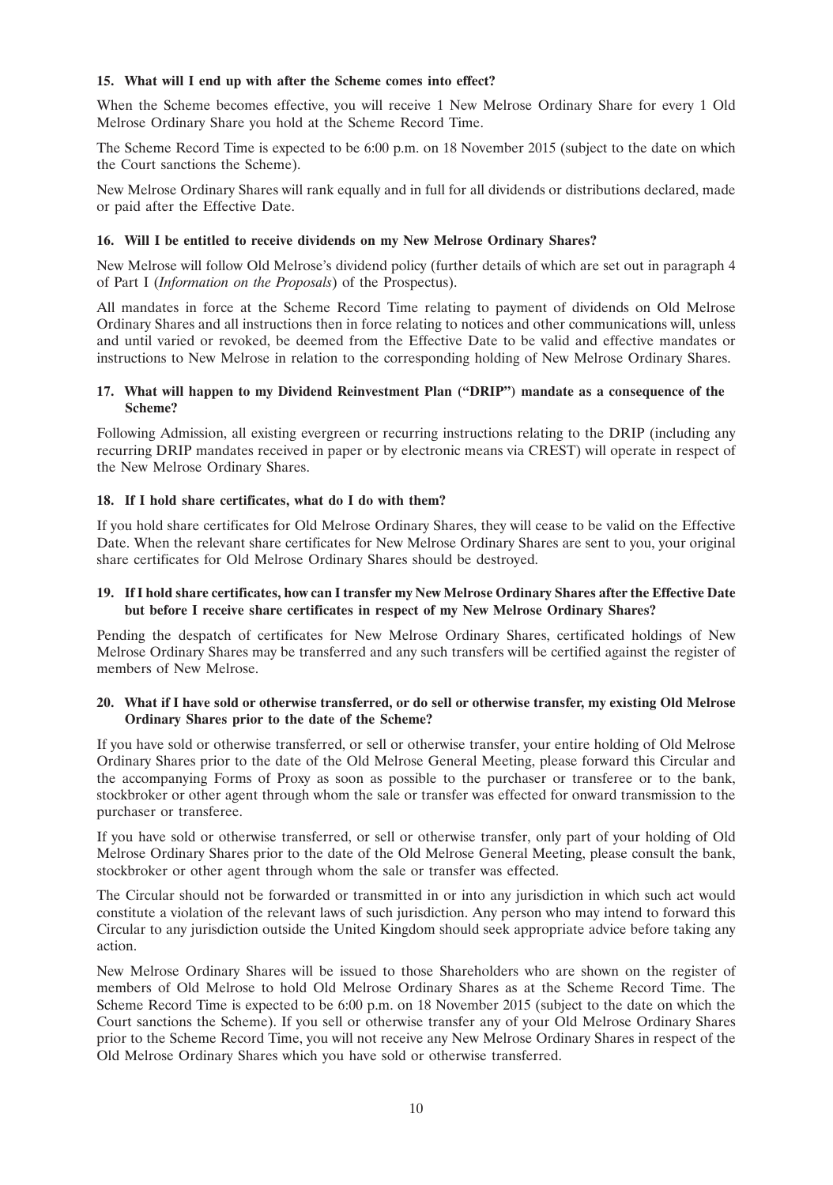#### **15. What will I end up with after the Scheme comes into effect?**

When the Scheme becomes effective, you will receive 1 New Melrose Ordinary Share for every 1 Old Melrose Ordinary Share you hold at the Scheme Record Time.

The Scheme Record Time is expected to be 6:00 p.m. on 18 November 2015 (subject to the date on which the Court sanctions the Scheme).

New Melrose Ordinary Shares will rank equally and in full for all dividends or distributions declared, made or paid after the Effective Date.

#### **16. Will I be entitled to receive dividends on my New Melrose Ordinary Shares?**

New Melrose will follow Old Melrose's dividend policy (further details of which are set out in paragraph 4 of Part I (*Information on the Proposals*) of the Prospectus).

All mandates in force at the Scheme Record Time relating to payment of dividends on Old Melrose Ordinary Shares and all instructions then in force relating to notices and other communications will, unless and until varied or revoked, be deemed from the Effective Date to be valid and effective mandates or instructions to New Melrose in relation to the corresponding holding of New Melrose Ordinary Shares.

#### **17. What will happen to my Dividend Reinvestment Plan (''DRIP'') mandate as a consequence of the Scheme?**

Following Admission, all existing evergreen or recurring instructions relating to the DRIP (including any recurring DRIP mandates received in paper or by electronic means via CREST) will operate in respect of the New Melrose Ordinary Shares.

#### **18. If I hold share certificates, what do I do with them?**

If you hold share certificates for Old Melrose Ordinary Shares, they will cease to be valid on the Effective Date. When the relevant share certificates for New Melrose Ordinary Shares are sent to you, your original share certificates for Old Melrose Ordinary Shares should be destroyed.

#### **19. If I hold share certificates, how can I transfer my New Melrose Ordinary Shares after the Effective Date but before I receive share certificates in respect of my New Melrose Ordinary Shares?**

Pending the despatch of certificates for New Melrose Ordinary Shares, certificated holdings of New Melrose Ordinary Shares may be transferred and any such transfers will be certified against the register of members of New Melrose.

#### **20. What if I have sold or otherwise transferred, or do sell or otherwise transfer, my existing Old Melrose Ordinary Shares prior to the date of the Scheme?**

If you have sold or otherwise transferred, or sell or otherwise transfer, your entire holding of Old Melrose Ordinary Shares prior to the date of the Old Melrose General Meeting, please forward this Circular and the accompanying Forms of Proxy as soon as possible to the purchaser or transferee or to the bank, stockbroker or other agent through whom the sale or transfer was effected for onward transmission to the purchaser or transferee.

If you have sold or otherwise transferred, or sell or otherwise transfer, only part of your holding of Old Melrose Ordinary Shares prior to the date of the Old Melrose General Meeting, please consult the bank, stockbroker or other agent through whom the sale or transfer was effected.

The Circular should not be forwarded or transmitted in or into any jurisdiction in which such act would constitute a violation of the relevant laws of such jurisdiction. Any person who may intend to forward this Circular to any jurisdiction outside the United Kingdom should seek appropriate advice before taking any action.

New Melrose Ordinary Shares will be issued to those Shareholders who are shown on the register of members of Old Melrose to hold Old Melrose Ordinary Shares as at the Scheme Record Time. The Scheme Record Time is expected to be 6:00 p.m. on 18 November 2015 (subject to the date on which the Court sanctions the Scheme). If you sell or otherwise transfer any of your Old Melrose Ordinary Shares prior to the Scheme Record Time, you will not receive any New Melrose Ordinary Shares in respect of the Old Melrose Ordinary Shares which you have sold or otherwise transferred.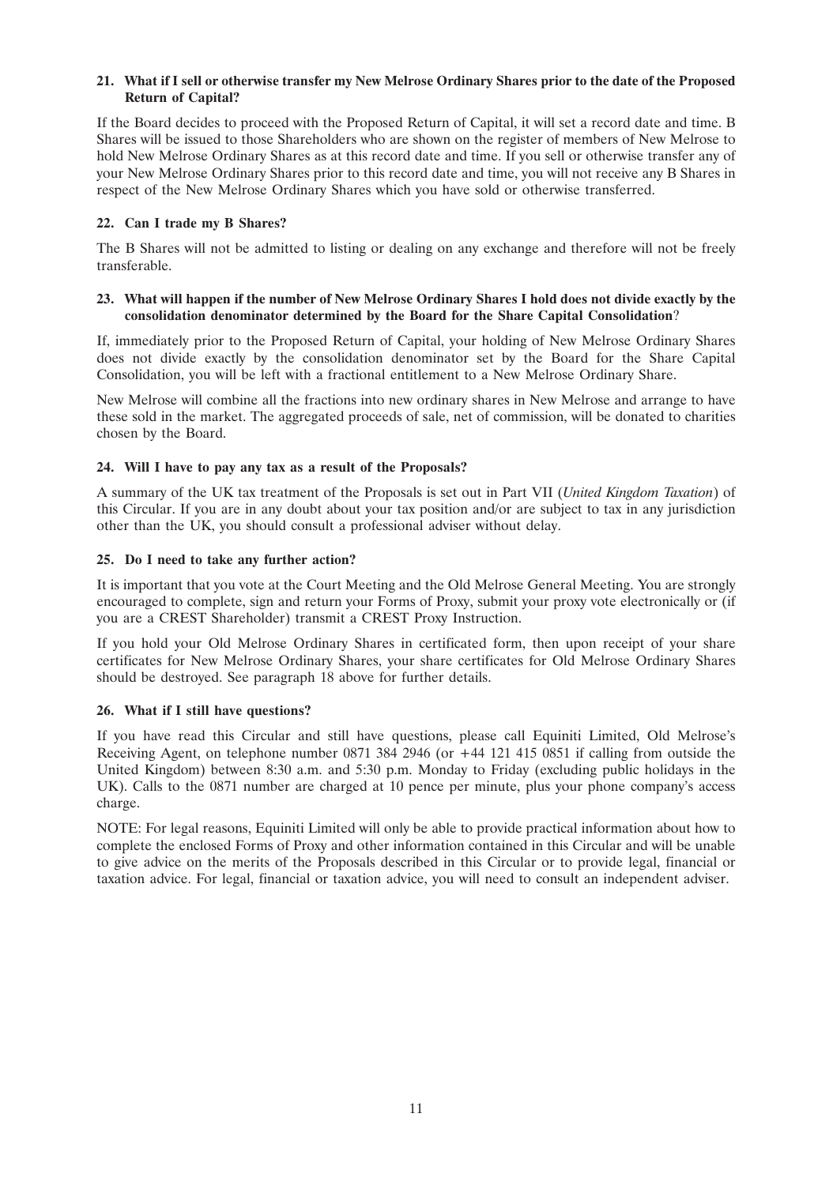# **21. What if I sell or otherwise transfer my New Melrose Ordinary Shares prior to the date of the Proposed Return of Capital?**

If the Board decides to proceed with the Proposed Return of Capital, it will set a record date and time. B Shares will be issued to those Shareholders who are shown on the register of members of New Melrose to hold New Melrose Ordinary Shares as at this record date and time. If you sell or otherwise transfer any of your New Melrose Ordinary Shares prior to this record date and time, you will not receive any B Shares in respect of the New Melrose Ordinary Shares which you have sold or otherwise transferred.

# **22. Can I trade my B Shares?**

The B Shares will not be admitted to listing or dealing on any exchange and therefore will not be freely transferable.

#### **23. What will happen if the number of New Melrose Ordinary Shares I hold does not divide exactly by the consolidation denominator determined by the Board for the Share Capital Consolidation**?

If, immediately prior to the Proposed Return of Capital, your holding of New Melrose Ordinary Shares does not divide exactly by the consolidation denominator set by the Board for the Share Capital Consolidation, you will be left with a fractional entitlement to a New Melrose Ordinary Share.

New Melrose will combine all the fractions into new ordinary shares in New Melrose and arrange to have these sold in the market. The aggregated proceeds of sale, net of commission, will be donated to charities chosen by the Board.

# **24. Will I have to pay any tax as a result of the Proposals?**

A summary of the UK tax treatment of the Proposals is set out in Part VII (*United Kingdom Taxation*) of this Circular. If you are in any doubt about your tax position and/or are subject to tax in any jurisdiction other than the UK, you should consult a professional adviser without delay.

#### **25. Do I need to take any further action?**

It is important that you vote at the Court Meeting and the Old Melrose General Meeting. You are strongly encouraged to complete, sign and return your Forms of Proxy, submit your proxy vote electronically or (if you are a CREST Shareholder) transmit a CREST Proxy Instruction.

If you hold your Old Melrose Ordinary Shares in certificated form, then upon receipt of your share certificates for New Melrose Ordinary Shares, your share certificates for Old Melrose Ordinary Shares should be destroyed. See paragraph 18 above for further details.

# **26. What if I still have questions?**

If you have read this Circular and still have questions, please call Equiniti Limited, Old Melrose's Receiving Agent, on telephone number 0871 384 2946 (or +44 121 415 0851 if calling from outside the United Kingdom) between 8:30 a.m. and 5:30 p.m. Monday to Friday (excluding public holidays in the UK). Calls to the 0871 number are charged at 10 pence per minute, plus your phone company's access charge.

NOTE: For legal reasons, Equiniti Limited will only be able to provide practical information about how to complete the enclosed Forms of Proxy and other information contained in this Circular and will be unable to give advice on the merits of the Proposals described in this Circular or to provide legal, financial or taxation advice. For legal, financial or taxation advice, you will need to consult an independent adviser.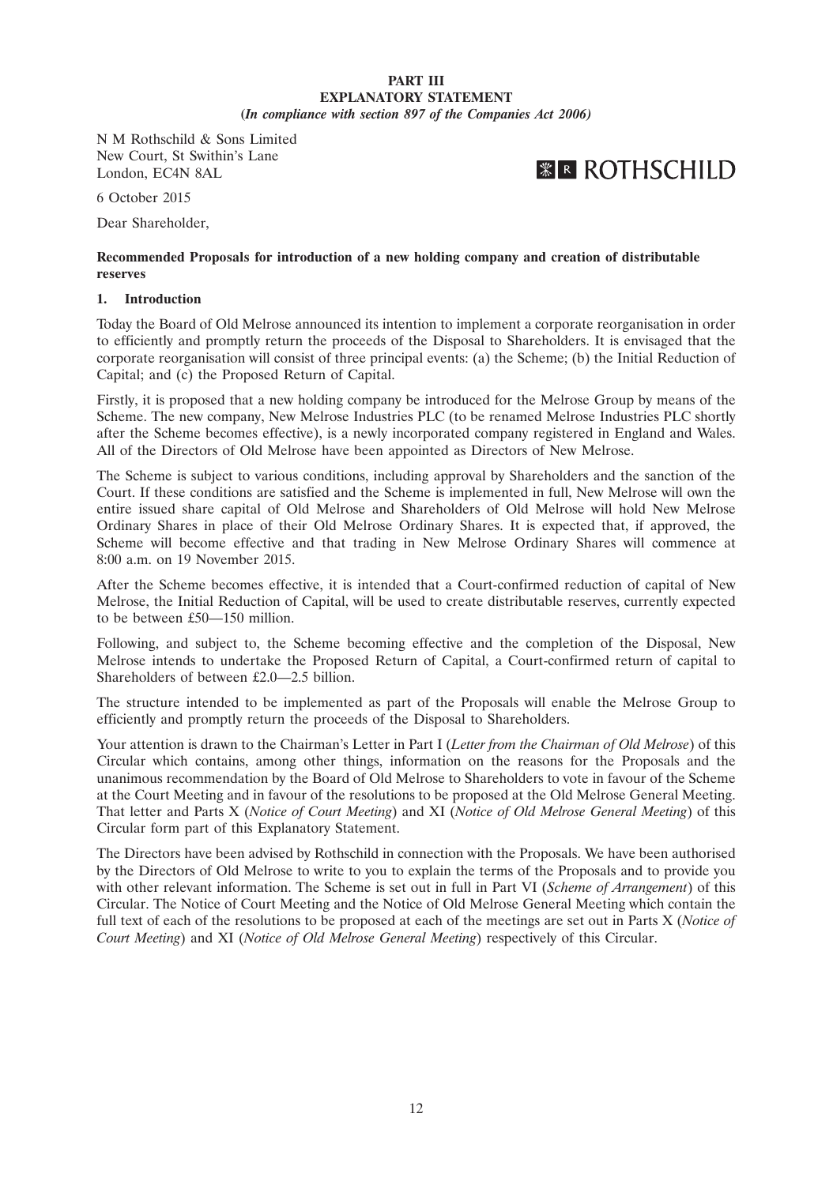# **PART III EXPLANATORY STATEMENT**

**(***In compliance with section 897 of the Companies Act 2006)*

N M Rothschild & Sons Limited New Court, St Swithin's Lane London, EC4N 8AL

6 October 2015

Dear Shareholder,

# **Recommended Proposals for introduction of a new holding company and creation of distributable reserves**

# **1. Introduction**

Today the Board of Old Melrose announced its intention to implement a corporate reorganisation in order to efficiently and promptly return the proceeds of the Disposal to Shareholders. It is envisaged that the corporate reorganisation will consist of three principal events: (a) the Scheme; (b) the Initial Reduction of Capital; and (c) the Proposed Return of Capital.

Firstly, it is proposed that a new holding company be introduced for the Melrose Group by means of the Scheme. The new company, New Melrose Industries PLC (to be renamed Melrose Industries PLC shortly after the Scheme becomes effective), is a newly incorporated company registered in England and Wales. All of the Directors of Old Melrose have been appointed as Directors of New Melrose.

The Scheme is subject to various conditions, including approval by Shareholders and the sanction of the Court. If these conditions are satisfied and the Scheme is implemented in full, New Melrose will own the entire issued share capital of Old Melrose and Shareholders of Old Melrose will hold New Melrose Ordinary Shares in place of their Old Melrose Ordinary Shares. It is expected that, if approved, the Scheme will become effective and that trading in New Melrose Ordinary Shares will commence at 8:00 a.m. on 19 November 2015.

After the Scheme becomes effective, it is intended that a Court-confirmed reduction of capital of New Melrose, the Initial Reduction of Capital, will be used to create distributable reserves, currently expected to be between £50—150 million.

Following, and subject to, the Scheme becoming effective and the completion of the Disposal, New Melrose intends to undertake the Proposed Return of Capital, a Court-confirmed return of capital to Shareholders of between £2.0—2.5 billion.

The structure intended to be implemented as part of the Proposals will enable the Melrose Group to efficiently and promptly return the proceeds of the Disposal to Shareholders.

Your attention is drawn to the Chairman's Letter in Part I (*Letter from the Chairman of Old Melrose*) of this Circular which contains, among other things, information on the reasons for the Proposals and the unanimous recommendation by the Board of Old Melrose to Shareholders to vote in favour of the Scheme at the Court Meeting and in favour of the resolutions to be proposed at the Old Melrose General Meeting. That letter and Parts X (*Notice of Court Meeting*) and XI (*Notice of Old Melrose General Meeting*) of this Circular form part of this Explanatory Statement.

The Directors have been advised by Rothschild in connection with the Proposals. We have been authorised by the Directors of Old Melrose to write to you to explain the terms of the Proposals and to provide you with other relevant information. The Scheme is set out in full in Part VI (*Scheme of Arrangement*) of this Circular. The Notice of Court Meeting and the Notice of Old Melrose General Meeting which contain the full text of each of the resolutions to be proposed at each of the meetings are set out in Parts X (*Notice of Court Meeting*) and XI (*Notice of Old Melrose General Meeting*) respectively of this Circular.

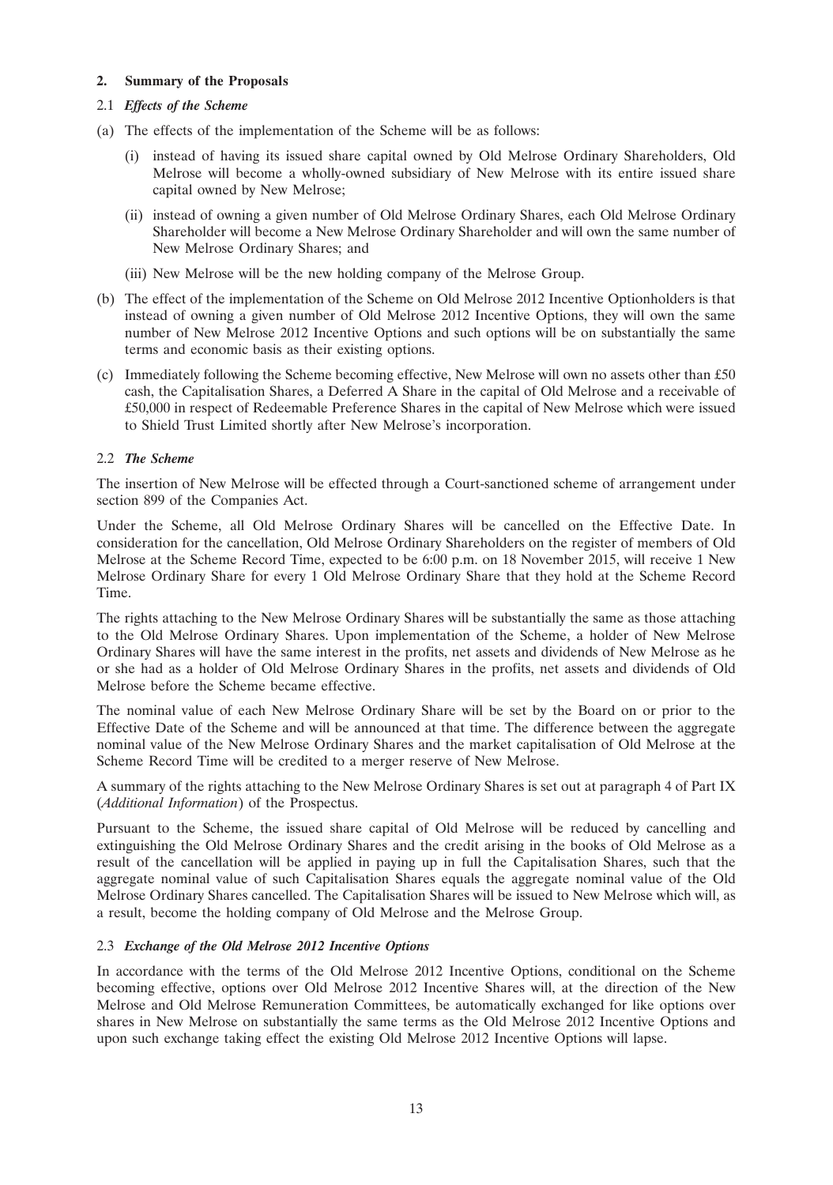### **2. Summary of the Proposals**

# 2.1 *Effects of the Scheme*

- (a) The effects of the implementation of the Scheme will be as follows:
	- (i) instead of having its issued share capital owned by Old Melrose Ordinary Shareholders, Old Melrose will become a wholly-owned subsidiary of New Melrose with its entire issued share capital owned by New Melrose;
	- (ii) instead of owning a given number of Old Melrose Ordinary Shares, each Old Melrose Ordinary Shareholder will become a New Melrose Ordinary Shareholder and will own the same number of New Melrose Ordinary Shares; and
	- (iii) New Melrose will be the new holding company of the Melrose Group.
- (b) The effect of the implementation of the Scheme on Old Melrose 2012 Incentive Optionholders is that instead of owning a given number of Old Melrose 2012 Incentive Options, they will own the same number of New Melrose 2012 Incentive Options and such options will be on substantially the same terms and economic basis as their existing options.
- (c) Immediately following the Scheme becoming effective, New Melrose will own no assets other than £50 cash, the Capitalisation Shares, a Deferred A Share in the capital of Old Melrose and a receivable of £50,000 in respect of Redeemable Preference Shares in the capital of New Melrose which were issued to Shield Trust Limited shortly after New Melrose's incorporation.

# 2.2 *The Scheme*

The insertion of New Melrose will be effected through a Court-sanctioned scheme of arrangement under section 899 of the Companies Act.

Under the Scheme, all Old Melrose Ordinary Shares will be cancelled on the Effective Date. In consideration for the cancellation, Old Melrose Ordinary Shareholders on the register of members of Old Melrose at the Scheme Record Time, expected to be 6:00 p.m. on 18 November 2015, will receive 1 New Melrose Ordinary Share for every 1 Old Melrose Ordinary Share that they hold at the Scheme Record Time.

The rights attaching to the New Melrose Ordinary Shares will be substantially the same as those attaching to the Old Melrose Ordinary Shares. Upon implementation of the Scheme, a holder of New Melrose Ordinary Shares will have the same interest in the profits, net assets and dividends of New Melrose as he or she had as a holder of Old Melrose Ordinary Shares in the profits, net assets and dividends of Old Melrose before the Scheme became effective.

The nominal value of each New Melrose Ordinary Share will be set by the Board on or prior to the Effective Date of the Scheme and will be announced at that time. The difference between the aggregate nominal value of the New Melrose Ordinary Shares and the market capitalisation of Old Melrose at the Scheme Record Time will be credited to a merger reserve of New Melrose.

A summary of the rights attaching to the New Melrose Ordinary Shares is set out at paragraph 4 of Part IX (*Additional Information*) of the Prospectus.

Pursuant to the Scheme, the issued share capital of Old Melrose will be reduced by cancelling and extinguishing the Old Melrose Ordinary Shares and the credit arising in the books of Old Melrose as a result of the cancellation will be applied in paying up in full the Capitalisation Shares, such that the aggregate nominal value of such Capitalisation Shares equals the aggregate nominal value of the Old Melrose Ordinary Shares cancelled. The Capitalisation Shares will be issued to New Melrose which will, as a result, become the holding company of Old Melrose and the Melrose Group.

#### 2.3 *Exchange of the Old Melrose 2012 Incentive Options*

In accordance with the terms of the Old Melrose 2012 Incentive Options, conditional on the Scheme becoming effective, options over Old Melrose 2012 Incentive Shares will, at the direction of the New Melrose and Old Melrose Remuneration Committees, be automatically exchanged for like options over shares in New Melrose on substantially the same terms as the Old Melrose 2012 Incentive Options and upon such exchange taking effect the existing Old Melrose 2012 Incentive Options will lapse.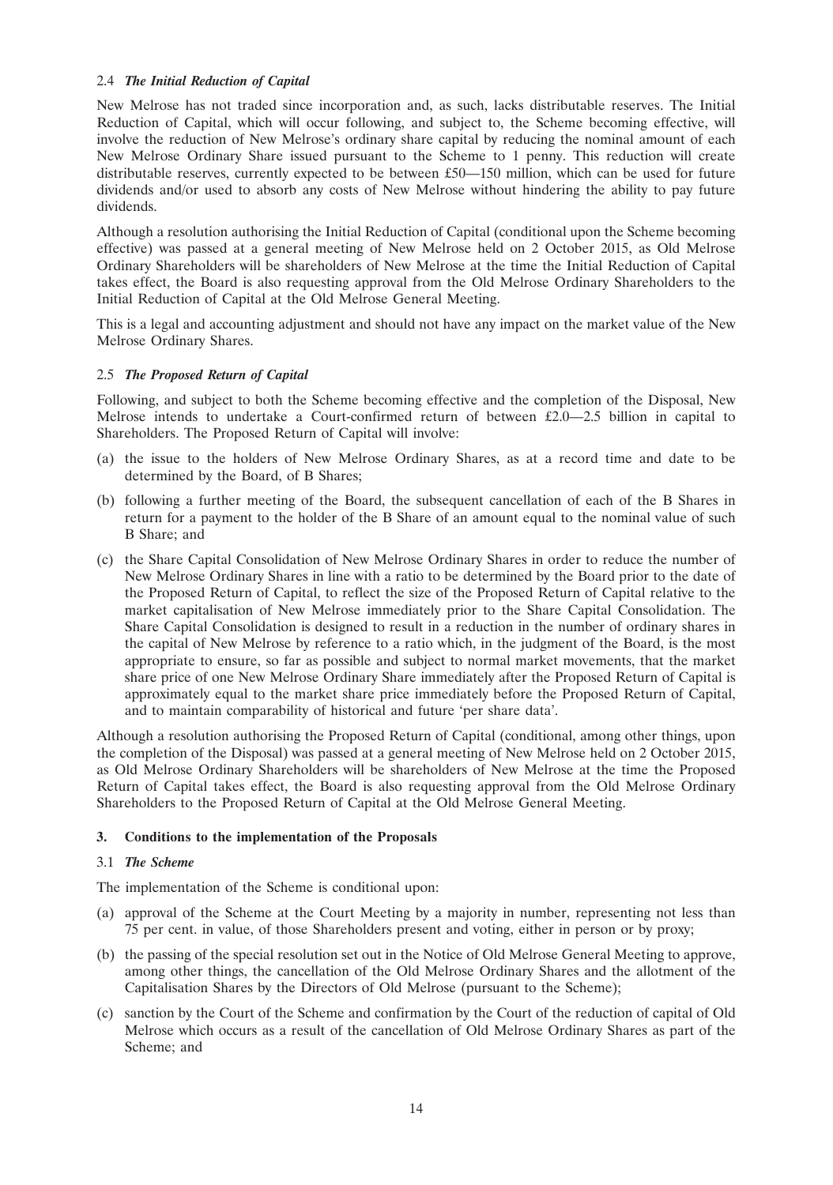#### 2.4 *The Initial Reduction of Capital*

New Melrose has not traded since incorporation and, as such, lacks distributable reserves. The Initial Reduction of Capital, which will occur following, and subject to, the Scheme becoming effective, will involve the reduction of New Melrose's ordinary share capital by reducing the nominal amount of each New Melrose Ordinary Share issued pursuant to the Scheme to 1 penny. This reduction will create distributable reserves, currently expected to be between £50—150 million, which can be used for future dividends and/or used to absorb any costs of New Melrose without hindering the ability to pay future dividends.

Although a resolution authorising the Initial Reduction of Capital (conditional upon the Scheme becoming effective) was passed at a general meeting of New Melrose held on 2 October 2015, as Old Melrose Ordinary Shareholders will be shareholders of New Melrose at the time the Initial Reduction of Capital takes effect, the Board is also requesting approval from the Old Melrose Ordinary Shareholders to the Initial Reduction of Capital at the Old Melrose General Meeting.

This is a legal and accounting adjustment and should not have any impact on the market value of the New Melrose Ordinary Shares.

#### 2.5 *The Proposed Return of Capital*

Following, and subject to both the Scheme becoming effective and the completion of the Disposal, New Melrose intends to undertake a Court-confirmed return of between £2.0—2.5 billion in capital to Shareholders. The Proposed Return of Capital will involve:

- (a) the issue to the holders of New Melrose Ordinary Shares, as at a record time and date to be determined by the Board, of B Shares;
- (b) following a further meeting of the Board, the subsequent cancellation of each of the B Shares in return for a payment to the holder of the B Share of an amount equal to the nominal value of such B Share; and
- (c) the Share Capital Consolidation of New Melrose Ordinary Shares in order to reduce the number of New Melrose Ordinary Shares in line with a ratio to be determined by the Board prior to the date of the Proposed Return of Capital, to reflect the size of the Proposed Return of Capital relative to the market capitalisation of New Melrose immediately prior to the Share Capital Consolidation. The Share Capital Consolidation is designed to result in a reduction in the number of ordinary shares in the capital of New Melrose by reference to a ratio which, in the judgment of the Board, is the most appropriate to ensure, so far as possible and subject to normal market movements, that the market share price of one New Melrose Ordinary Share immediately after the Proposed Return of Capital is approximately equal to the market share price immediately before the Proposed Return of Capital, and to maintain comparability of historical and future 'per share data'.

Although a resolution authorising the Proposed Return of Capital (conditional, among other things, upon the completion of the Disposal) was passed at a general meeting of New Melrose held on 2 October 2015, as Old Melrose Ordinary Shareholders will be shareholders of New Melrose at the time the Proposed Return of Capital takes effect, the Board is also requesting approval from the Old Melrose Ordinary Shareholders to the Proposed Return of Capital at the Old Melrose General Meeting.

#### **3. Conditions to the implementation of the Proposals**

# 3.1 *The Scheme*

The implementation of the Scheme is conditional upon:

- (a) approval of the Scheme at the Court Meeting by a majority in number, representing not less than 75 per cent. in value, of those Shareholders present and voting, either in person or by proxy;
- (b) the passing of the special resolution set out in the Notice of Old Melrose General Meeting to approve, among other things, the cancellation of the Old Melrose Ordinary Shares and the allotment of the Capitalisation Shares by the Directors of Old Melrose (pursuant to the Scheme);
- (c) sanction by the Court of the Scheme and confirmation by the Court of the reduction of capital of Old Melrose which occurs as a result of the cancellation of Old Melrose Ordinary Shares as part of the Scheme; and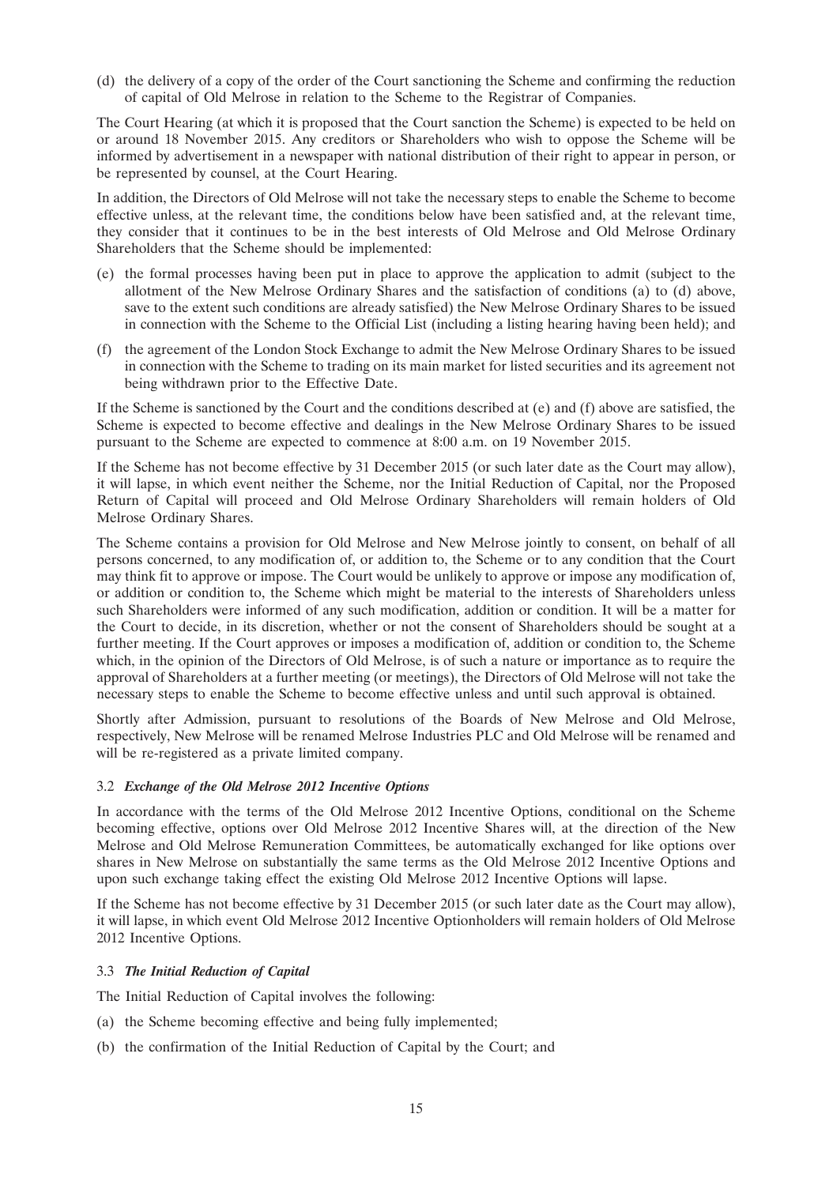(d) the delivery of a copy of the order of the Court sanctioning the Scheme and confirming the reduction of capital of Old Melrose in relation to the Scheme to the Registrar of Companies.

The Court Hearing (at which it is proposed that the Court sanction the Scheme) is expected to be held on or around 18 November 2015. Any creditors or Shareholders who wish to oppose the Scheme will be informed by advertisement in a newspaper with national distribution of their right to appear in person, or be represented by counsel, at the Court Hearing.

In addition, the Directors of Old Melrose will not take the necessary steps to enable the Scheme to become effective unless, at the relevant time, the conditions below have been satisfied and, at the relevant time, they consider that it continues to be in the best interests of Old Melrose and Old Melrose Ordinary Shareholders that the Scheme should be implemented:

- (e) the formal processes having been put in place to approve the application to admit (subject to the allotment of the New Melrose Ordinary Shares and the satisfaction of conditions (a) to (d) above, save to the extent such conditions are already satisfied) the New Melrose Ordinary Shares to be issued in connection with the Scheme to the Official List (including a listing hearing having been held); and
- (f) the agreement of the London Stock Exchange to admit the New Melrose Ordinary Shares to be issued in connection with the Scheme to trading on its main market for listed securities and its agreement not being withdrawn prior to the Effective Date.

If the Scheme is sanctioned by the Court and the conditions described at (e) and (f) above are satisfied, the Scheme is expected to become effective and dealings in the New Melrose Ordinary Shares to be issued pursuant to the Scheme are expected to commence at 8:00 a.m. on 19 November 2015.

If the Scheme has not become effective by 31 December 2015 (or such later date as the Court may allow), it will lapse, in which event neither the Scheme, nor the Initial Reduction of Capital, nor the Proposed Return of Capital will proceed and Old Melrose Ordinary Shareholders will remain holders of Old Melrose Ordinary Shares.

The Scheme contains a provision for Old Melrose and New Melrose jointly to consent, on behalf of all persons concerned, to any modification of, or addition to, the Scheme or to any condition that the Court may think fit to approve or impose. The Court would be unlikely to approve or impose any modification of, or addition or condition to, the Scheme which might be material to the interests of Shareholders unless such Shareholders were informed of any such modification, addition or condition. It will be a matter for the Court to decide, in its discretion, whether or not the consent of Shareholders should be sought at a further meeting. If the Court approves or imposes a modification of, addition or condition to, the Scheme which, in the opinion of the Directors of Old Melrose, is of such a nature or importance as to require the approval of Shareholders at a further meeting (or meetings), the Directors of Old Melrose will not take the necessary steps to enable the Scheme to become effective unless and until such approval is obtained.

Shortly after Admission, pursuant to resolutions of the Boards of New Melrose and Old Melrose, respectively, New Melrose will be renamed Melrose Industries PLC and Old Melrose will be renamed and will be re-registered as a private limited company.

#### 3.2 *Exchange of the Old Melrose 2012 Incentive Options*

In accordance with the terms of the Old Melrose 2012 Incentive Options, conditional on the Scheme becoming effective, options over Old Melrose 2012 Incentive Shares will, at the direction of the New Melrose and Old Melrose Remuneration Committees, be automatically exchanged for like options over shares in New Melrose on substantially the same terms as the Old Melrose 2012 Incentive Options and upon such exchange taking effect the existing Old Melrose 2012 Incentive Options will lapse.

If the Scheme has not become effective by 31 December 2015 (or such later date as the Court may allow), it will lapse, in which event Old Melrose 2012 Incentive Optionholders will remain holders of Old Melrose 2012 Incentive Options.

#### 3.3 *The Initial Reduction of Capital*

The Initial Reduction of Capital involves the following:

- (a) the Scheme becoming effective and being fully implemented;
- (b) the confirmation of the Initial Reduction of Capital by the Court; and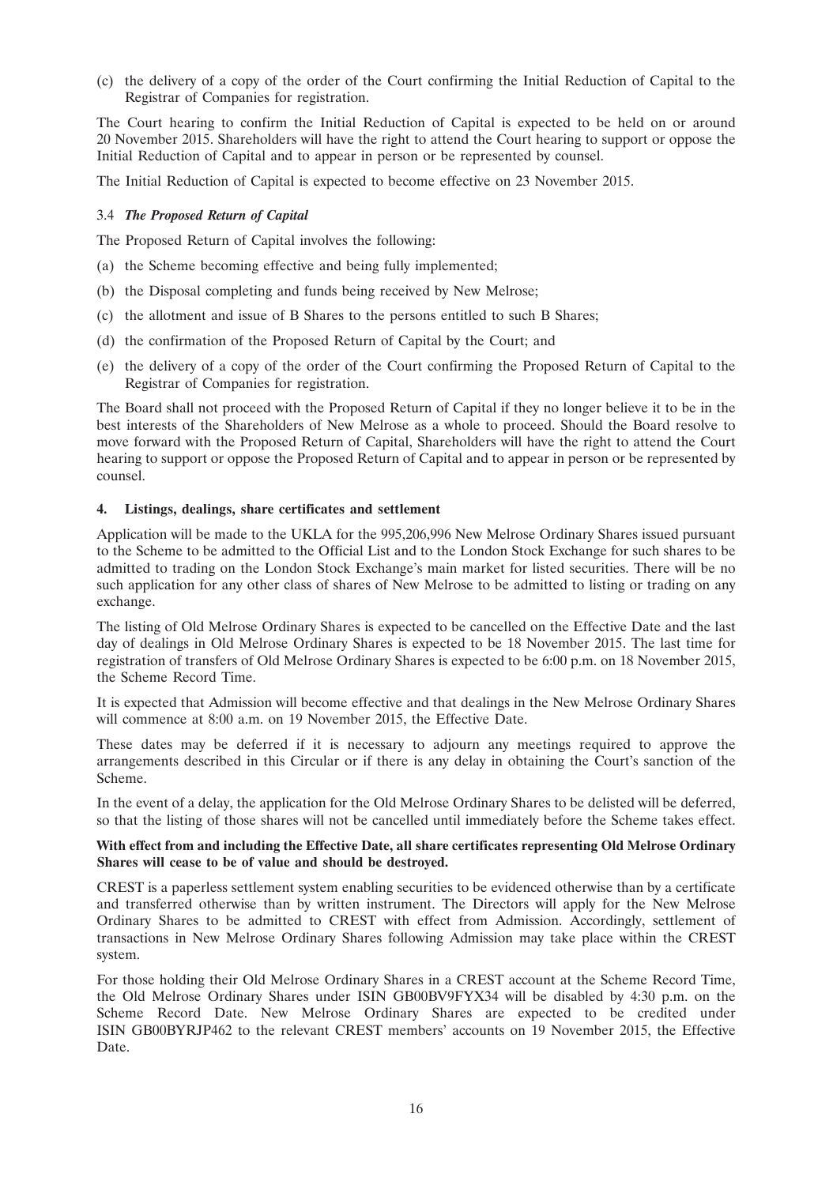(c) the delivery of a copy of the order of the Court confirming the Initial Reduction of Capital to the Registrar of Companies for registration.

The Court hearing to confirm the Initial Reduction of Capital is expected to be held on or around 20 November 2015. Shareholders will have the right to attend the Court hearing to support or oppose the Initial Reduction of Capital and to appear in person or be represented by counsel.

The Initial Reduction of Capital is expected to become effective on 23 November 2015.

#### 3.4 *The Proposed Return of Capital*

The Proposed Return of Capital involves the following:

- (a) the Scheme becoming effective and being fully implemented;
- (b) the Disposal completing and funds being received by New Melrose;
- (c) the allotment and issue of B Shares to the persons entitled to such B Shares;
- (d) the confirmation of the Proposed Return of Capital by the Court; and
- (e) the delivery of a copy of the order of the Court confirming the Proposed Return of Capital to the Registrar of Companies for registration.

The Board shall not proceed with the Proposed Return of Capital if they no longer believe it to be in the best interests of the Shareholders of New Melrose as a whole to proceed. Should the Board resolve to move forward with the Proposed Return of Capital, Shareholders will have the right to attend the Court hearing to support or oppose the Proposed Return of Capital and to appear in person or be represented by counsel.

#### **4. Listings, dealings, share certificates and settlement**

Application will be made to the UKLA for the 995,206,996 New Melrose Ordinary Shares issued pursuant to the Scheme to be admitted to the Official List and to the London Stock Exchange for such shares to be admitted to trading on the London Stock Exchange's main market for listed securities. There will be no such application for any other class of shares of New Melrose to be admitted to listing or trading on any exchange.

The listing of Old Melrose Ordinary Shares is expected to be cancelled on the Effective Date and the last day of dealings in Old Melrose Ordinary Shares is expected to be 18 November 2015. The last time for registration of transfers of Old Melrose Ordinary Shares is expected to be 6:00 p.m. on 18 November 2015, the Scheme Record Time.

It is expected that Admission will become effective and that dealings in the New Melrose Ordinary Shares will commence at 8:00 a.m. on 19 November 2015, the Effective Date.

These dates may be deferred if it is necessary to adjourn any meetings required to approve the arrangements described in this Circular or if there is any delay in obtaining the Court's sanction of the Scheme.

In the event of a delay, the application for the Old Melrose Ordinary Shares to be delisted will be deferred, so that the listing of those shares will not be cancelled until immediately before the Scheme takes effect.

#### **With effect from and including the Effective Date, all share certificates representing Old Melrose Ordinary Shares will cease to be of value and should be destroyed.**

CREST is a paperless settlement system enabling securities to be evidenced otherwise than by a certificate and transferred otherwise than by written instrument. The Directors will apply for the New Melrose Ordinary Shares to be admitted to CREST with effect from Admission. Accordingly, settlement of transactions in New Melrose Ordinary Shares following Admission may take place within the CREST system.

For those holding their Old Melrose Ordinary Shares in a CREST account at the Scheme Record Time, the Old Melrose Ordinary Shares under ISIN GB00BV9FYX34 will be disabled by 4:30 p.m. on the Scheme Record Date. New Melrose Ordinary Shares are expected to be credited under ISIN GB00BYRJP462 to the relevant CREST members' accounts on 19 November 2015, the Effective Date.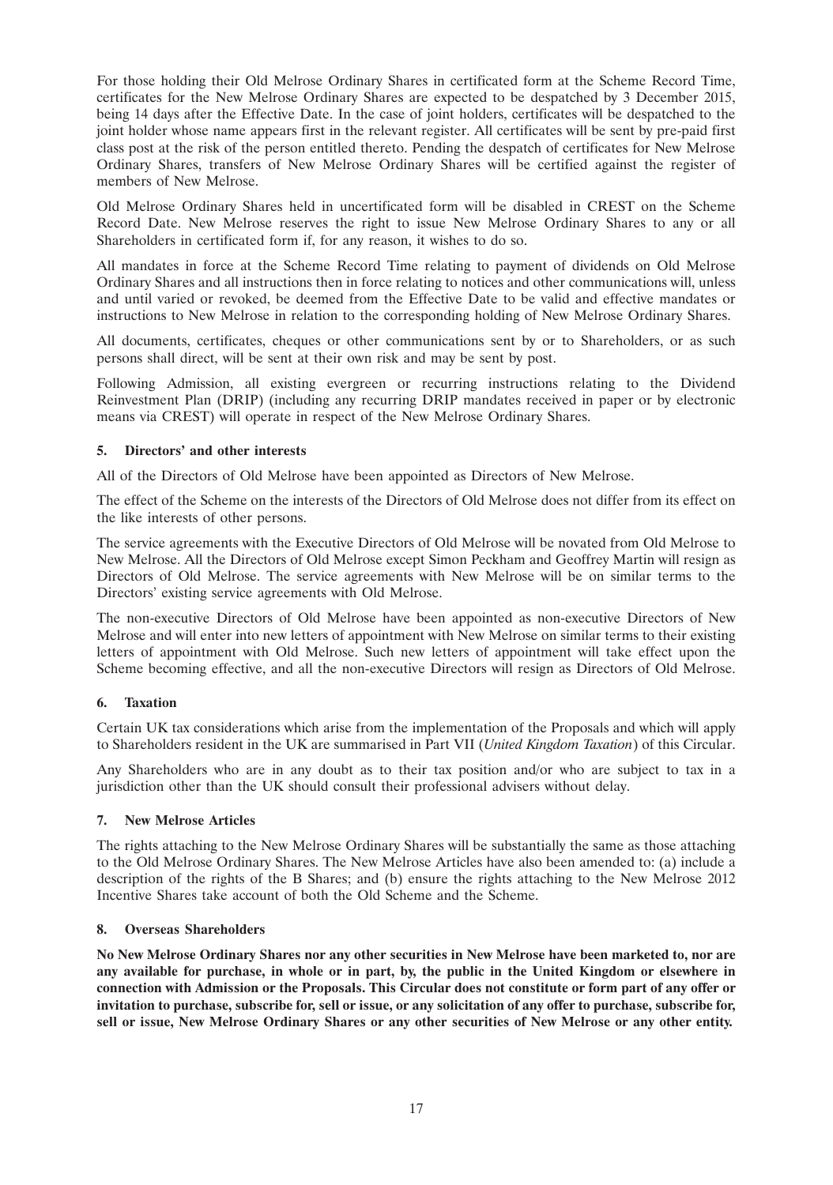For those holding their Old Melrose Ordinary Shares in certificated form at the Scheme Record Time, certificates for the New Melrose Ordinary Shares are expected to be despatched by 3 December 2015, being 14 days after the Effective Date. In the case of joint holders, certificates will be despatched to the joint holder whose name appears first in the relevant register. All certificates will be sent by pre-paid first class post at the risk of the person entitled thereto. Pending the despatch of certificates for New Melrose Ordinary Shares, transfers of New Melrose Ordinary Shares will be certified against the register of members of New Melrose.

Old Melrose Ordinary Shares held in uncertificated form will be disabled in CREST on the Scheme Record Date. New Melrose reserves the right to issue New Melrose Ordinary Shares to any or all Shareholders in certificated form if, for any reason, it wishes to do so.

All mandates in force at the Scheme Record Time relating to payment of dividends on Old Melrose Ordinary Shares and all instructions then in force relating to notices and other communications will, unless and until varied or revoked, be deemed from the Effective Date to be valid and effective mandates or instructions to New Melrose in relation to the corresponding holding of New Melrose Ordinary Shares.

All documents, certificates, cheques or other communications sent by or to Shareholders, or as such persons shall direct, will be sent at their own risk and may be sent by post.

Following Admission, all existing evergreen or recurring instructions relating to the Dividend Reinvestment Plan (DRIP) (including any recurring DRIP mandates received in paper or by electronic means via CREST) will operate in respect of the New Melrose Ordinary Shares.

# **5. Directors' and other interests**

All of the Directors of Old Melrose have been appointed as Directors of New Melrose.

The effect of the Scheme on the interests of the Directors of Old Melrose does not differ from its effect on the like interests of other persons.

The service agreements with the Executive Directors of Old Melrose will be novated from Old Melrose to New Melrose. All the Directors of Old Melrose except Simon Peckham and Geoffrey Martin will resign as Directors of Old Melrose. The service agreements with New Melrose will be on similar terms to the Directors' existing service agreements with Old Melrose.

The non-executive Directors of Old Melrose have been appointed as non-executive Directors of New Melrose and will enter into new letters of appointment with New Melrose on similar terms to their existing letters of appointment with Old Melrose. Such new letters of appointment will take effect upon the Scheme becoming effective, and all the non-executive Directors will resign as Directors of Old Melrose.

#### **6. Taxation**

Certain UK tax considerations which arise from the implementation of the Proposals and which will apply to Shareholders resident in the UK are summarised in Part VII (*United Kingdom Taxation*) of this Circular.

Any Shareholders who are in any doubt as to their tax position and/or who are subject to tax in a jurisdiction other than the UK should consult their professional advisers without delay.

#### **7. New Melrose Articles**

The rights attaching to the New Melrose Ordinary Shares will be substantially the same as those attaching to the Old Melrose Ordinary Shares. The New Melrose Articles have also been amended to: (a) include a description of the rights of the B Shares; and (b) ensure the rights attaching to the New Melrose 2012 Incentive Shares take account of both the Old Scheme and the Scheme.

#### **8. Overseas Shareholders**

**No New Melrose Ordinary Shares nor any other securities in New Melrose have been marketed to, nor are any available for purchase, in whole or in part, by, the public in the United Kingdom or elsewhere in connection with Admission or the Proposals. This Circular does not constitute or form part of any offer or invitation to purchase, subscribe for, sell or issue, or any solicitation of any offer to purchase, subscribe for, sell or issue, New Melrose Ordinary Shares or any other securities of New Melrose or any other entity.**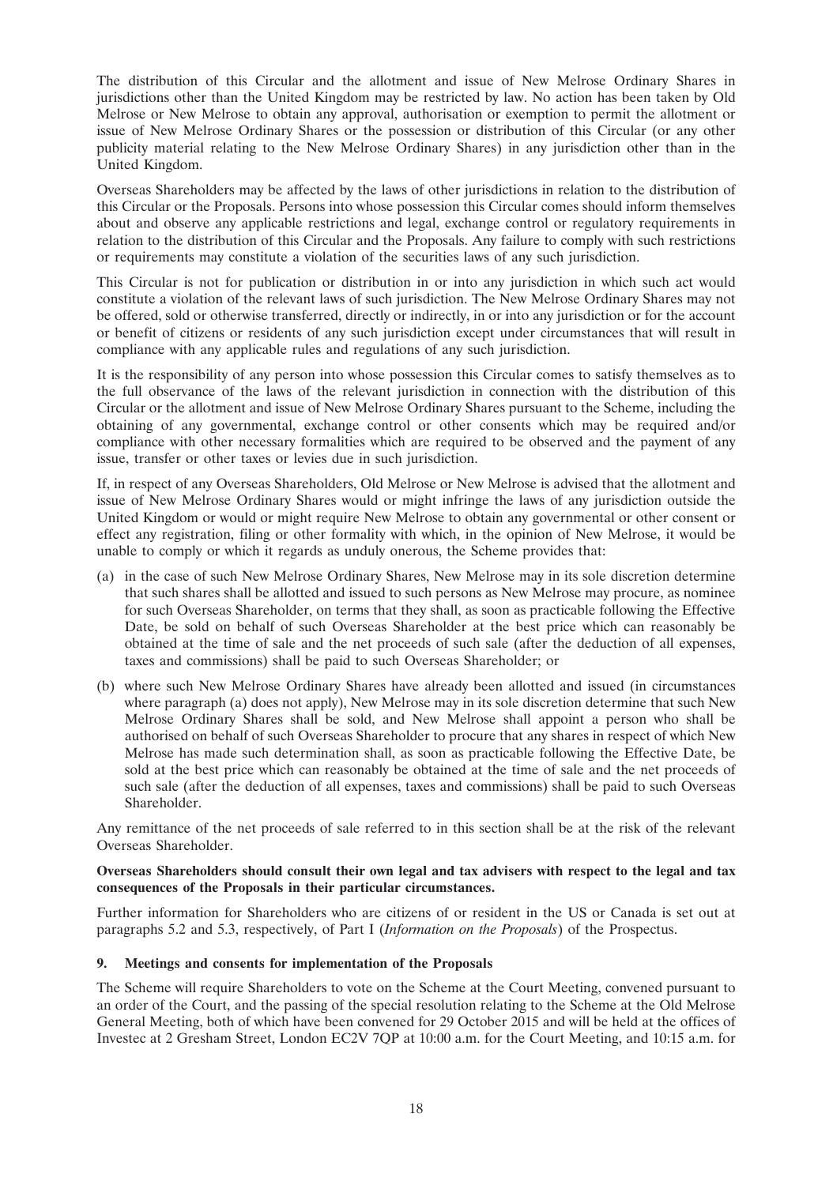The distribution of this Circular and the allotment and issue of New Melrose Ordinary Shares in jurisdictions other than the United Kingdom may be restricted by law. No action has been taken by Old Melrose or New Melrose to obtain any approval, authorisation or exemption to permit the allotment or issue of New Melrose Ordinary Shares or the possession or distribution of this Circular (or any other publicity material relating to the New Melrose Ordinary Shares) in any jurisdiction other than in the United Kingdom.

Overseas Shareholders may be affected by the laws of other jurisdictions in relation to the distribution of this Circular or the Proposals. Persons into whose possession this Circular comes should inform themselves about and observe any applicable restrictions and legal, exchange control or regulatory requirements in relation to the distribution of this Circular and the Proposals. Any failure to comply with such restrictions or requirements may constitute a violation of the securities laws of any such jurisdiction.

This Circular is not for publication or distribution in or into any jurisdiction in which such act would constitute a violation of the relevant laws of such jurisdiction. The New Melrose Ordinary Shares may not be offered, sold or otherwise transferred, directly or indirectly, in or into any jurisdiction or for the account or benefit of citizens or residents of any such jurisdiction except under circumstances that will result in compliance with any applicable rules and regulations of any such jurisdiction.

It is the responsibility of any person into whose possession this Circular comes to satisfy themselves as to the full observance of the laws of the relevant jurisdiction in connection with the distribution of this Circular or the allotment and issue of New Melrose Ordinary Shares pursuant to the Scheme, including the obtaining of any governmental, exchange control or other consents which may be required and/or compliance with other necessary formalities which are required to be observed and the payment of any issue, transfer or other taxes or levies due in such jurisdiction.

If, in respect of any Overseas Shareholders, Old Melrose or New Melrose is advised that the allotment and issue of New Melrose Ordinary Shares would or might infringe the laws of any jurisdiction outside the United Kingdom or would or might require New Melrose to obtain any governmental or other consent or effect any registration, filing or other formality with which, in the opinion of New Melrose, it would be unable to comply or which it regards as unduly onerous, the Scheme provides that:

- (a) in the case of such New Melrose Ordinary Shares, New Melrose may in its sole discretion determine that such shares shall be allotted and issued to such persons as New Melrose may procure, as nominee for such Overseas Shareholder, on terms that they shall, as soon as practicable following the Effective Date, be sold on behalf of such Overseas Shareholder at the best price which can reasonably be obtained at the time of sale and the net proceeds of such sale (after the deduction of all expenses, taxes and commissions) shall be paid to such Overseas Shareholder; or
- (b) where such New Melrose Ordinary Shares have already been allotted and issued (in circumstances where paragraph (a) does not apply), New Melrose may in its sole discretion determine that such New Melrose Ordinary Shares shall be sold, and New Melrose shall appoint a person who shall be authorised on behalf of such Overseas Shareholder to procure that any shares in respect of which New Melrose has made such determination shall, as soon as practicable following the Effective Date, be sold at the best price which can reasonably be obtained at the time of sale and the net proceeds of such sale (after the deduction of all expenses, taxes and commissions) shall be paid to such Overseas Shareholder.

Any remittance of the net proceeds of sale referred to in this section shall be at the risk of the relevant Overseas Shareholder.

### **Overseas Shareholders should consult their own legal and tax advisers with respect to the legal and tax consequences of the Proposals in their particular circumstances.**

Further information for Shareholders who are citizens of or resident in the US or Canada is set out at paragraphs 5.2 and 5.3, respectively, of Part I (*Information on the Proposals*) of the Prospectus.

#### **9. Meetings and consents for implementation of the Proposals**

The Scheme will require Shareholders to vote on the Scheme at the Court Meeting, convened pursuant to an order of the Court, and the passing of the special resolution relating to the Scheme at the Old Melrose General Meeting, both of which have been convened for 29 October 2015 and will be held at the offices of Investec at 2 Gresham Street, London EC2V 7QP at 10:00 a.m. for the Court Meeting, and 10:15 a.m. for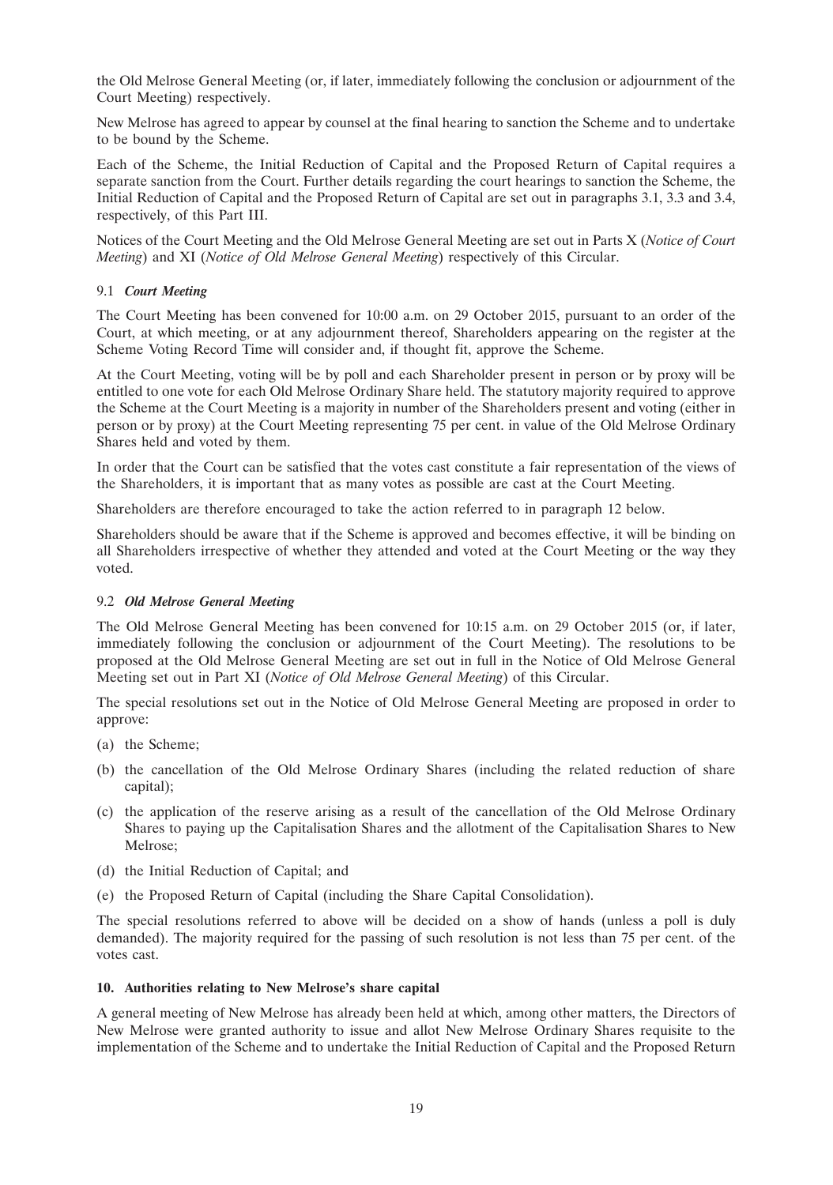the Old Melrose General Meeting (or, if later, immediately following the conclusion or adjournment of the Court Meeting) respectively.

New Melrose has agreed to appear by counsel at the final hearing to sanction the Scheme and to undertake to be bound by the Scheme.

Each of the Scheme, the Initial Reduction of Capital and the Proposed Return of Capital requires a separate sanction from the Court. Further details regarding the court hearings to sanction the Scheme, the Initial Reduction of Capital and the Proposed Return of Capital are set out in paragraphs 3.1, 3.3 and 3.4, respectively, of this Part III.

Notices of the Court Meeting and the Old Melrose General Meeting are set out in Parts X (*Notice of Court Meeting*) and XI (*Notice of Old Melrose General Meeting*) respectively of this Circular.

# 9.1 *Court Meeting*

The Court Meeting has been convened for 10:00 a.m. on 29 October 2015, pursuant to an order of the Court, at which meeting, or at any adjournment thereof, Shareholders appearing on the register at the Scheme Voting Record Time will consider and, if thought fit, approve the Scheme.

At the Court Meeting, voting will be by poll and each Shareholder present in person or by proxy will be entitled to one vote for each Old Melrose Ordinary Share held. The statutory majority required to approve the Scheme at the Court Meeting is a majority in number of the Shareholders present and voting (either in person or by proxy) at the Court Meeting representing 75 per cent. in value of the Old Melrose Ordinary Shares held and voted by them.

In order that the Court can be satisfied that the votes cast constitute a fair representation of the views of the Shareholders, it is important that as many votes as possible are cast at the Court Meeting.

Shareholders are therefore encouraged to take the action referred to in paragraph 12 below.

Shareholders should be aware that if the Scheme is approved and becomes effective, it will be binding on all Shareholders irrespective of whether they attended and voted at the Court Meeting or the way they voted.

#### 9.2 *Old Melrose General Meeting*

The Old Melrose General Meeting has been convened for 10:15 a.m. on 29 October 2015 (or, if later, immediately following the conclusion or adjournment of the Court Meeting). The resolutions to be proposed at the Old Melrose General Meeting are set out in full in the Notice of Old Melrose General Meeting set out in Part XI (*Notice of Old Melrose General Meeting*) of this Circular.

The special resolutions set out in the Notice of Old Melrose General Meeting are proposed in order to approve:

- (a) the Scheme;
- (b) the cancellation of the Old Melrose Ordinary Shares (including the related reduction of share capital);
- (c) the application of the reserve arising as a result of the cancellation of the Old Melrose Ordinary Shares to paying up the Capitalisation Shares and the allotment of the Capitalisation Shares to New Melrose;
- (d) the Initial Reduction of Capital; and
- (e) the Proposed Return of Capital (including the Share Capital Consolidation).

The special resolutions referred to above will be decided on a show of hands (unless a poll is duly demanded). The majority required for the passing of such resolution is not less than 75 per cent. of the votes cast.

#### **10. Authorities relating to New Melrose's share capital**

A general meeting of New Melrose has already been held at which, among other matters, the Directors of New Melrose were granted authority to issue and allot New Melrose Ordinary Shares requisite to the implementation of the Scheme and to undertake the Initial Reduction of Capital and the Proposed Return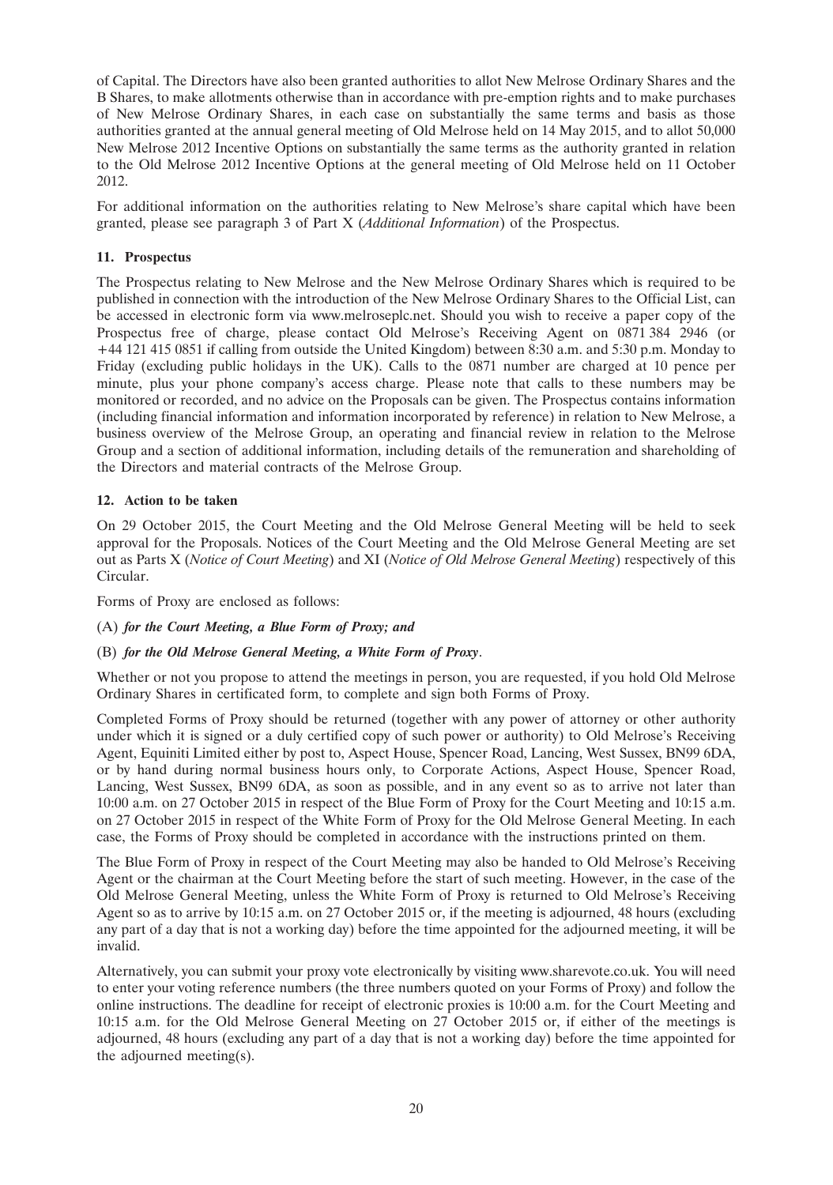of Capital. The Directors have also been granted authorities to allot New Melrose Ordinary Shares and the B Shares, to make allotments otherwise than in accordance with pre-emption rights and to make purchases of New Melrose Ordinary Shares, in each case on substantially the same terms and basis as those authorities granted at the annual general meeting of Old Melrose held on 14 May 2015, and to allot 50,000 New Melrose 2012 Incentive Options on substantially the same terms as the authority granted in relation to the Old Melrose 2012 Incentive Options at the general meeting of Old Melrose held on 11 October 2012.

For additional information on the authorities relating to New Melrose's share capital which have been granted, please see paragraph 3 of Part X (*Additional Information*) of the Prospectus.

# **11. Prospectus**

The Prospectus relating to New Melrose and the New Melrose Ordinary Shares which is required to be published in connection with the introduction of the New Melrose Ordinary Shares to the Official List, can be accessed in electronic form via www.melroseplc.net. Should you wish to receive a paper copy of the Prospectus free of charge, please contact Old Melrose's Receiving Agent on 0871 384 2946 (or +44 121 415 0851 if calling from outside the United Kingdom) between 8:30 a.m. and 5:30 p.m. Monday to Friday (excluding public holidays in the UK). Calls to the 0871 number are charged at 10 pence per minute, plus your phone company's access charge. Please note that calls to these numbers may be monitored or recorded, and no advice on the Proposals can be given. The Prospectus contains information (including financial information and information incorporated by reference) in relation to New Melrose, a business overview of the Melrose Group, an operating and financial review in relation to the Melrose Group and a section of additional information, including details of the remuneration and shareholding of the Directors and material contracts of the Melrose Group.

# **12. Action to be taken**

On 29 October 2015, the Court Meeting and the Old Melrose General Meeting will be held to seek approval for the Proposals. Notices of the Court Meeting and the Old Melrose General Meeting are set out as Parts X (*Notice of Court Meeting*) and XI (*Notice of Old Melrose General Meeting*) respectively of this Circular.

Forms of Proxy are enclosed as follows:

#### (A) *for the Court Meeting, a Blue Form of Proxy; and*

#### (B) *for the Old Melrose General Meeting, a White Form of Proxy*.

Whether or not you propose to attend the meetings in person, you are requested, if you hold Old Melrose Ordinary Shares in certificated form, to complete and sign both Forms of Proxy.

Completed Forms of Proxy should be returned (together with any power of attorney or other authority under which it is signed or a duly certified copy of such power or authority) to Old Melrose's Receiving Agent, Equiniti Limited either by post to, Aspect House, Spencer Road, Lancing, West Sussex, BN99 6DA, or by hand during normal business hours only, to Corporate Actions, Aspect House, Spencer Road, Lancing, West Sussex, BN99 6DA, as soon as possible, and in any event so as to arrive not later than 10:00 a.m. on 27 October 2015 in respect of the Blue Form of Proxy for the Court Meeting and 10:15 a.m. on 27 October 2015 in respect of the White Form of Proxy for the Old Melrose General Meeting. In each case, the Forms of Proxy should be completed in accordance with the instructions printed on them.

The Blue Form of Proxy in respect of the Court Meeting may also be handed to Old Melrose's Receiving Agent or the chairman at the Court Meeting before the start of such meeting. However, in the case of the Old Melrose General Meeting, unless the White Form of Proxy is returned to Old Melrose's Receiving Agent so as to arrive by 10:15 a.m. on 27 October 2015 or, if the meeting is adjourned, 48 hours (excluding any part of a day that is not a working day) before the time appointed for the adjourned meeting, it will be invalid.

Alternatively, you can submit your proxy vote electronically by visiting www.sharevote.co.uk. You will need to enter your voting reference numbers (the three numbers quoted on your Forms of Proxy) and follow the online instructions. The deadline for receipt of electronic proxies is 10:00 a.m. for the Court Meeting and 10:15 a.m. for the Old Melrose General Meeting on 27 October 2015 or, if either of the meetings is adjourned, 48 hours (excluding any part of a day that is not a working day) before the time appointed for the adjourned meeting(s).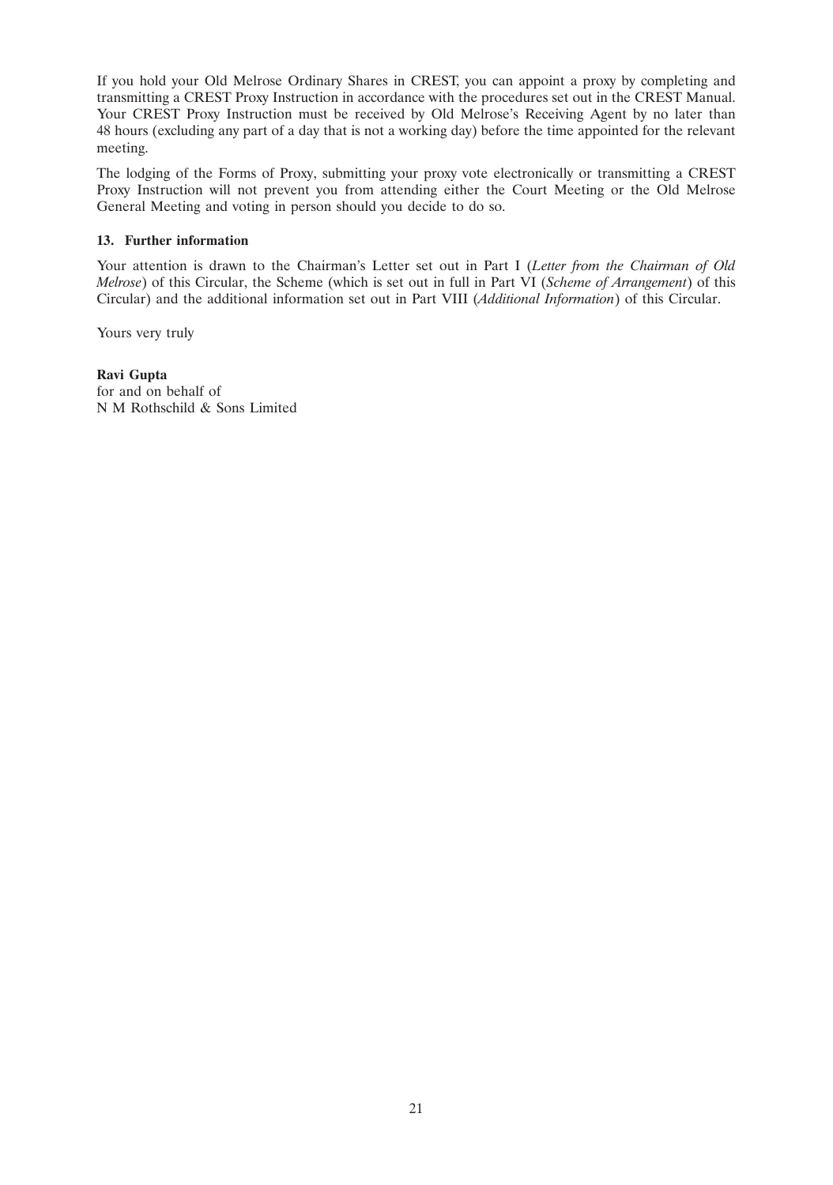If you hold your Old Melrose Ordinary Shares in CREST, you can appoint a proxy by completing and transmitting a CREST Proxy Instruction in accordance with the procedures set out in the CREST Manual. Your CREST Proxy Instruction must be received by Old Melrose's Receiving Agent by no later than 48 hours (excluding any part of a day that is not a working day) before the time appointed for the relevant meeting.

The lodging of the Forms of Proxy, submitting your proxy vote electronically or transmitting a CREST Proxy Instruction will not prevent you from attending either the Court Meeting or the Old Melrose General Meeting and voting in person should you decide to do so.

# **13. Further information**

Your attention is drawn to the Chairman's Letter set out in Part I (*Letter from the Chairman of Old Melrose*) of this Circular, the Scheme (which is set out in full in Part VI (*Scheme of Arrangement*) of this Circular) and the additional information set out in Part VIII (*Additional Information*) of this Circular.

Yours very truly

**Ravi Gupta** for and on behalf of N M Rothschild & Sons Limited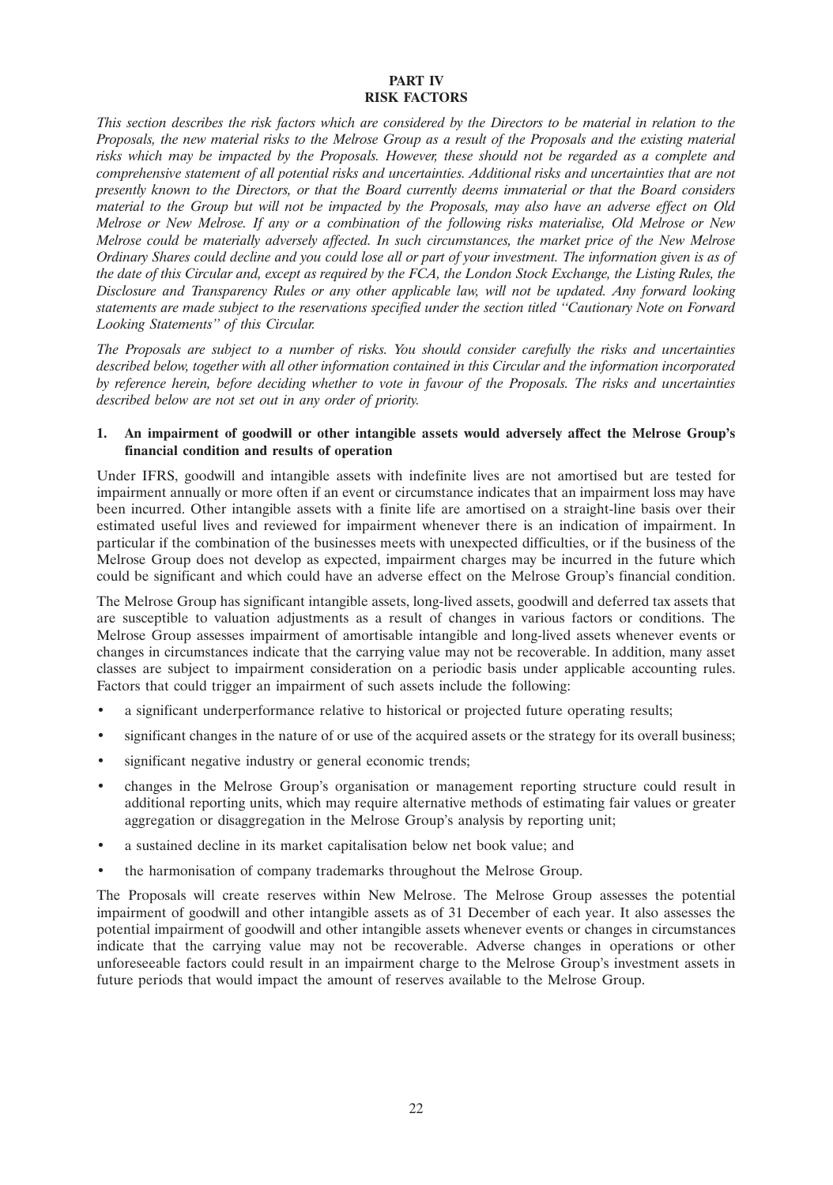#### **PART IV RISK FACTORS**

*This section describes the risk factors which are considered by the Directors to be material in relation to the Proposals, the new material risks to the Melrose Group as a result of the Proposals and the existing material risks which may be impacted by the Proposals. However, these should not be regarded as a complete and comprehensive statement of all potential risks and uncertainties. Additional risks and uncertainties that are not presently known to the Directors, or that the Board currently deems immaterial or that the Board considers material to the Group but will not be impacted by the Proposals, may also have an adverse effect on Old Melrose or New Melrose. If any or a combination of the following risks materialise, Old Melrose or New Melrose could be materially adversely affected. In such circumstances, the market price of the New Melrose Ordinary Shares could decline and you could lose all or part of your investment. The information given is as of the date of this Circular and, except as required by the FCA, the London Stock Exchange, the Listing Rules, the Disclosure and Transparency Rules or any other applicable law, will not be updated. Any forward looking statements are made subject to the reservations specified under the section titled ''Cautionary Note on Forward Looking Statements'' of this Circular.*

*The Proposals are subject to a number of risks. You should consider carefully the risks and uncertainties described below, together with all other information contained in this Circular and the information incorporated by reference herein, before deciding whether to vote in favour of the Proposals. The risks and uncertainties described below are not set out in any order of priority.*

#### **1. An impairment of goodwill or other intangible assets would adversely affect the Melrose Group's financial condition and results of operation**

Under IFRS, goodwill and intangible assets with indefinite lives are not amortised but are tested for impairment annually or more often if an event or circumstance indicates that an impairment loss may have been incurred. Other intangible assets with a finite life are amortised on a straight-line basis over their estimated useful lives and reviewed for impairment whenever there is an indication of impairment. In particular if the combination of the businesses meets with unexpected difficulties, or if the business of the Melrose Group does not develop as expected, impairment charges may be incurred in the future which could be significant and which could have an adverse effect on the Melrose Group's financial condition.

The Melrose Group has significant intangible assets, long-lived assets, goodwill and deferred tax assets that are susceptible to valuation adjustments as a result of changes in various factors or conditions. The Melrose Group assesses impairment of amortisable intangible and long-lived assets whenever events or changes in circumstances indicate that the carrying value may not be recoverable. In addition, many asset classes are subject to impairment consideration on a periodic basis under applicable accounting rules. Factors that could trigger an impairment of such assets include the following:

- a significant underperformance relative to historical or projected future operating results;
- significant changes in the nature of or use of the acquired assets or the strategy for its overall business;
- significant negative industry or general economic trends;
- changes in the Melrose Group's organisation or management reporting structure could result in additional reporting units, which may require alternative methods of estimating fair values or greater aggregation or disaggregation in the Melrose Group's analysis by reporting unit;
- a sustained decline in its market capitalisation below net book value; and
- the harmonisation of company trademarks throughout the Melrose Group.

The Proposals will create reserves within New Melrose. The Melrose Group assesses the potential impairment of goodwill and other intangible assets as of 31 December of each year. It also assesses the potential impairment of goodwill and other intangible assets whenever events or changes in circumstances indicate that the carrying value may not be recoverable. Adverse changes in operations or other unforeseeable factors could result in an impairment charge to the Melrose Group's investment assets in future periods that would impact the amount of reserves available to the Melrose Group.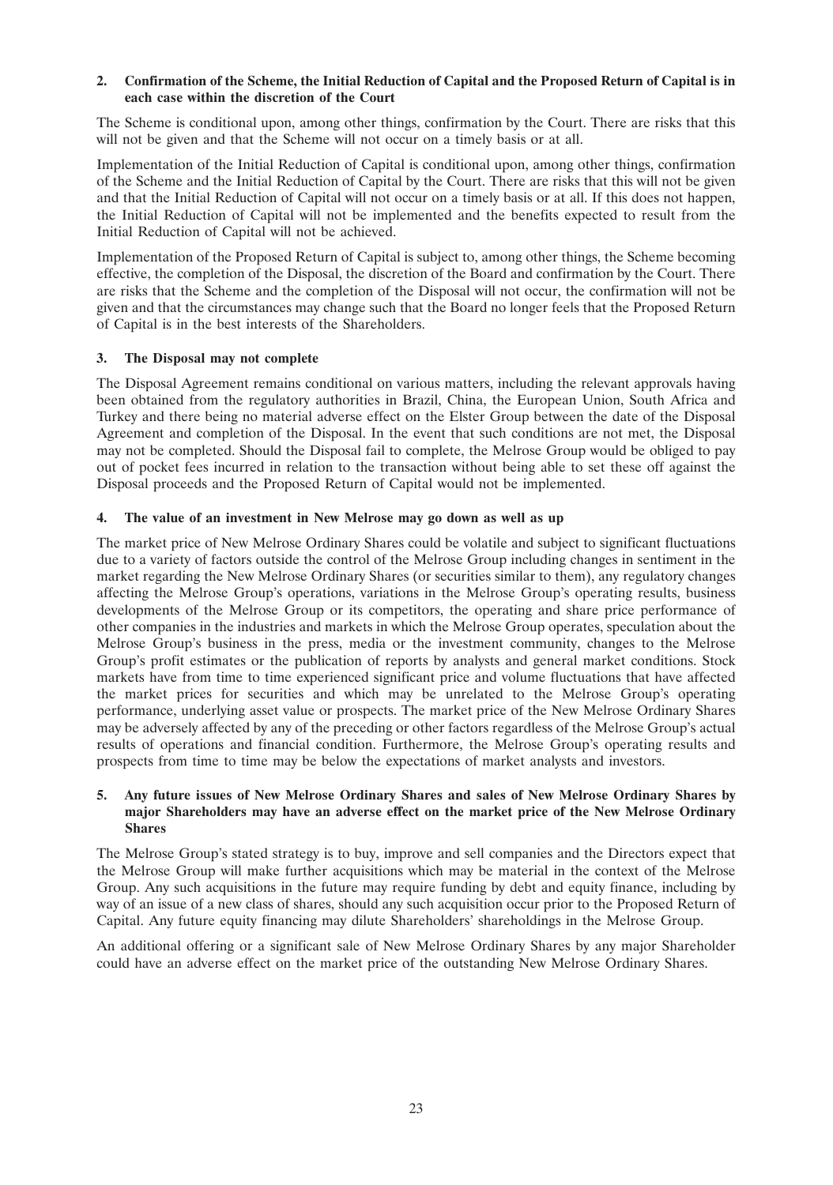# **2. Confirmation of the Scheme, the Initial Reduction of Capital and the Proposed Return of Capital is in each case within the discretion of the Court**

The Scheme is conditional upon, among other things, confirmation by the Court. There are risks that this will not be given and that the Scheme will not occur on a timely basis or at all.

Implementation of the Initial Reduction of Capital is conditional upon, among other things, confirmation of the Scheme and the Initial Reduction of Capital by the Court. There are risks that this will not be given and that the Initial Reduction of Capital will not occur on a timely basis or at all. If this does not happen, the Initial Reduction of Capital will not be implemented and the benefits expected to result from the Initial Reduction of Capital will not be achieved.

Implementation of the Proposed Return of Capital is subject to, among other things, the Scheme becoming effective, the completion of the Disposal, the discretion of the Board and confirmation by the Court. There are risks that the Scheme and the completion of the Disposal will not occur, the confirmation will not be given and that the circumstances may change such that the Board no longer feels that the Proposed Return of Capital is in the best interests of the Shareholders.

# **3. The Disposal may not complete**

The Disposal Agreement remains conditional on various matters, including the relevant approvals having been obtained from the regulatory authorities in Brazil, China, the European Union, South Africa and Turkey and there being no material adverse effect on the Elster Group between the date of the Disposal Agreement and completion of the Disposal. In the event that such conditions are not met, the Disposal may not be completed. Should the Disposal fail to complete, the Melrose Group would be obliged to pay out of pocket fees incurred in relation to the transaction without being able to set these off against the Disposal proceeds and the Proposed Return of Capital would not be implemented.

# **4. The value of an investment in New Melrose may go down as well as up**

The market price of New Melrose Ordinary Shares could be volatile and subject to significant fluctuations due to a variety of factors outside the control of the Melrose Group including changes in sentiment in the market regarding the New Melrose Ordinary Shares (or securities similar to them), any regulatory changes affecting the Melrose Group's operations, variations in the Melrose Group's operating results, business developments of the Melrose Group or its competitors, the operating and share price performance of other companies in the industries and markets in which the Melrose Group operates, speculation about the Melrose Group's business in the press, media or the investment community, changes to the Melrose Group's profit estimates or the publication of reports by analysts and general market conditions. Stock markets have from time to time experienced significant price and volume fluctuations that have affected the market prices for securities and which may be unrelated to the Melrose Group's operating performance, underlying asset value or prospects. The market price of the New Melrose Ordinary Shares may be adversely affected by any of the preceding or other factors regardless of the Melrose Group's actual results of operations and financial condition. Furthermore, the Melrose Group's operating results and prospects from time to time may be below the expectations of market analysts and investors.

# **5. Any future issues of New Melrose Ordinary Shares and sales of New Melrose Ordinary Shares by major Shareholders may have an adverse effect on the market price of the New Melrose Ordinary Shares**

The Melrose Group's stated strategy is to buy, improve and sell companies and the Directors expect that the Melrose Group will make further acquisitions which may be material in the context of the Melrose Group. Any such acquisitions in the future may require funding by debt and equity finance, including by way of an issue of a new class of shares, should any such acquisition occur prior to the Proposed Return of Capital. Any future equity financing may dilute Shareholders' shareholdings in the Melrose Group.

An additional offering or a significant sale of New Melrose Ordinary Shares by any major Shareholder could have an adverse effect on the market price of the outstanding New Melrose Ordinary Shares.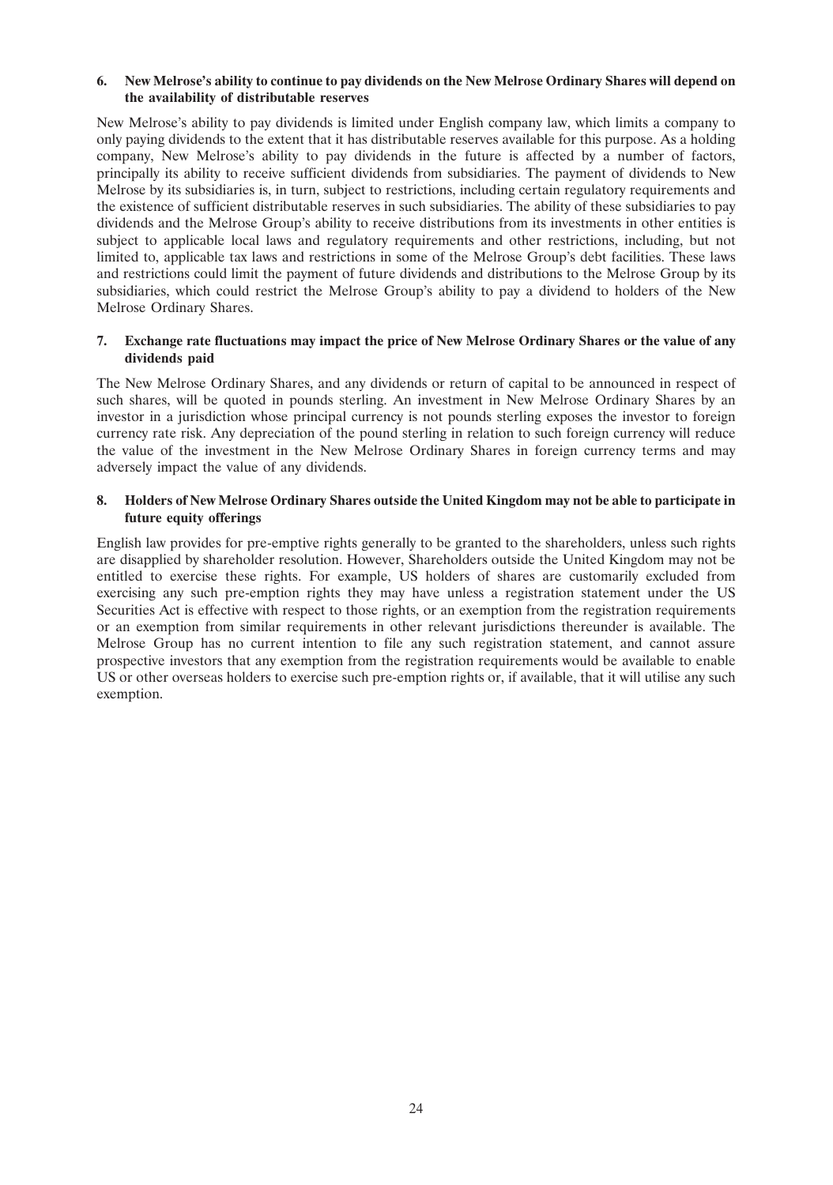#### **6. New Melrose's ability to continue to pay dividends on the New Melrose Ordinary Shares will depend on the availability of distributable reserves**

New Melrose's ability to pay dividends is limited under English company law, which limits a company to only paying dividends to the extent that it has distributable reserves available for this purpose. As a holding company, New Melrose's ability to pay dividends in the future is affected by a number of factors, principally its ability to receive sufficient dividends from subsidiaries. The payment of dividends to New Melrose by its subsidiaries is, in turn, subject to restrictions, including certain regulatory requirements and the existence of sufficient distributable reserves in such subsidiaries. The ability of these subsidiaries to pay dividends and the Melrose Group's ability to receive distributions from its investments in other entities is subject to applicable local laws and regulatory requirements and other restrictions, including, but not limited to, applicable tax laws and restrictions in some of the Melrose Group's debt facilities. These laws and restrictions could limit the payment of future dividends and distributions to the Melrose Group by its subsidiaries, which could restrict the Melrose Group's ability to pay a dividend to holders of the New Melrose Ordinary Shares.

#### **7. Exchange rate fluctuations may impact the price of New Melrose Ordinary Shares or the value of any dividends paid**

The New Melrose Ordinary Shares, and any dividends or return of capital to be announced in respect of such shares, will be quoted in pounds sterling. An investment in New Melrose Ordinary Shares by an investor in a jurisdiction whose principal currency is not pounds sterling exposes the investor to foreign currency rate risk. Any depreciation of the pound sterling in relation to such foreign currency will reduce the value of the investment in the New Melrose Ordinary Shares in foreign currency terms and may adversely impact the value of any dividends.

#### **8. Holders of New Melrose Ordinary Shares outside the United Kingdom may not be able to participate in future equity offerings**

English law provides for pre-emptive rights generally to be granted to the shareholders, unless such rights are disapplied by shareholder resolution. However, Shareholders outside the United Kingdom may not be entitled to exercise these rights. For example, US holders of shares are customarily excluded from exercising any such pre-emption rights they may have unless a registration statement under the US Securities Act is effective with respect to those rights, or an exemption from the registration requirements or an exemption from similar requirements in other relevant jurisdictions thereunder is available. The Melrose Group has no current intention to file any such registration statement, and cannot assure prospective investors that any exemption from the registration requirements would be available to enable US or other overseas holders to exercise such pre-emption rights or, if available, that it will utilise any such exemption.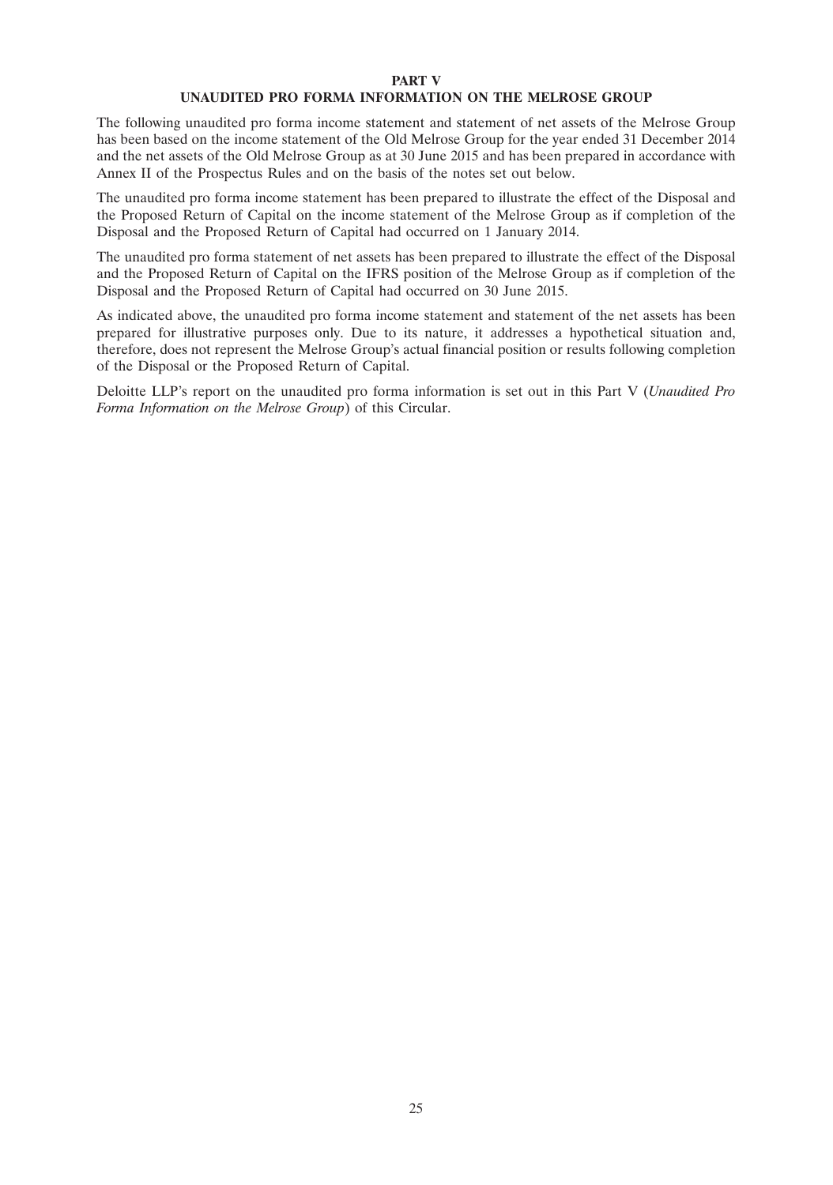#### **PART V**

# **UNAUDITED PRO FORMA INFORMATION ON THE MELROSE GROUP**

The following unaudited pro forma income statement and statement of net assets of the Melrose Group has been based on the income statement of the Old Melrose Group for the year ended 31 December 2014 and the net assets of the Old Melrose Group as at 30 June 2015 and has been prepared in accordance with Annex II of the Prospectus Rules and on the basis of the notes set out below.

The unaudited pro forma income statement has been prepared to illustrate the effect of the Disposal and the Proposed Return of Capital on the income statement of the Melrose Group as if completion of the Disposal and the Proposed Return of Capital had occurred on 1 January 2014.

The unaudited pro forma statement of net assets has been prepared to illustrate the effect of the Disposal and the Proposed Return of Capital on the IFRS position of the Melrose Group as if completion of the Disposal and the Proposed Return of Capital had occurred on 30 June 2015.

As indicated above, the unaudited pro forma income statement and statement of the net assets has been prepared for illustrative purposes only. Due to its nature, it addresses a hypothetical situation and, therefore, does not represent the Melrose Group's actual financial position or results following completion of the Disposal or the Proposed Return of Capital.

Deloitte LLP's report on the unaudited pro forma information is set out in this Part V (*Unaudited Pro Forma Information on the Melrose Group*) of this Circular.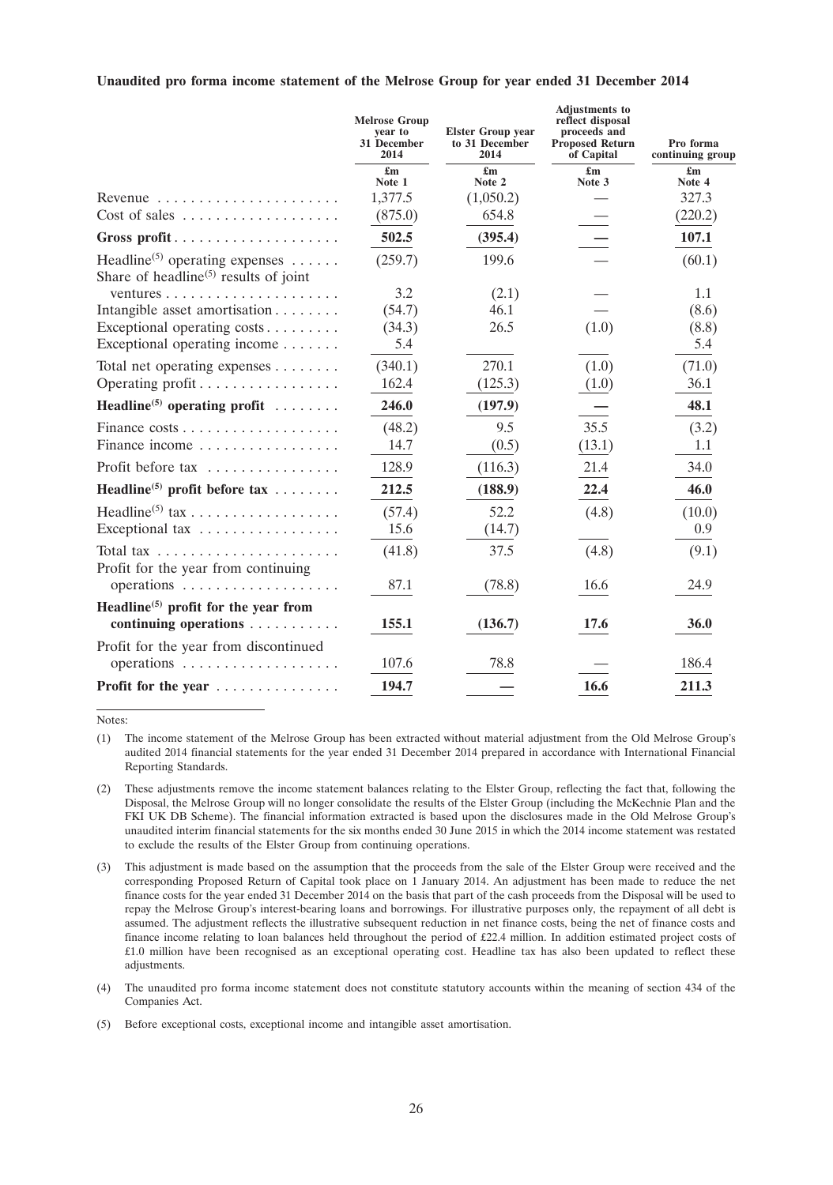#### **Unaudited pro forma income statement of the Melrose Group for year ended 31 December 2014**

|                                                                                                                            | <b>Melrose Group</b><br>vear to<br>31 December<br>2014 | <b>Elster Group year</b><br>to 31 December<br>2014 | <b>Adjustments</b> to<br>reflect disposal<br>proceeds and<br><b>Proposed Return</b><br>of Capital | Pro forma<br>continuing group       |  |
|----------------------------------------------------------------------------------------------------------------------------|--------------------------------------------------------|----------------------------------------------------|---------------------------------------------------------------------------------------------------|-------------------------------------|--|
|                                                                                                                            | £m<br>Note 1                                           | £m<br>Note 2                                       | £m<br>Note 3                                                                                      | $\mathbf{f}_{\mathbf{m}}$<br>Note 4 |  |
|                                                                                                                            | 1,377.5                                                | (1,050.2)                                          |                                                                                                   | 327.3                               |  |
| $Cost of sales \dots \dots \dots \dots \dots \dots \dots$                                                                  | (875.0)                                                | 654.8                                              |                                                                                                   | (220.2)                             |  |
|                                                                                                                            | 502.5                                                  | (395.4)                                            |                                                                                                   | 107.1                               |  |
| Headline <sup>(5)</sup> operating expenses $\dots \dots$<br>Share of headline <sup><math>(5)</math></sup> results of joint | (259.7)                                                | 199.6                                              |                                                                                                   | (60.1)                              |  |
|                                                                                                                            | 3.2                                                    | (2.1)                                              |                                                                                                   | 1.1                                 |  |
| Intangible asset amortisation                                                                                              | (54.7)                                                 | 46.1                                               |                                                                                                   | (8.6)                               |  |
| Exceptional operating costs                                                                                                | (34.3)                                                 | 26.5                                               | (1.0)                                                                                             | (8.8)                               |  |
| Exceptional operating income                                                                                               | 5.4                                                    |                                                    |                                                                                                   | 5.4                                 |  |
| Total net operating expenses                                                                                               | (340.1)                                                | 270.1                                              | (1.0)                                                                                             | (71.0)                              |  |
| Operating profit                                                                                                           | 162.4                                                  | (125.3)                                            | (1.0)                                                                                             | 36.1                                |  |
| Headline <sup>(5)</sup> operating profit $\ldots \ldots$                                                                   | 246.0                                                  | (197.9)                                            |                                                                                                   | 48.1                                |  |
|                                                                                                                            | (48.2)                                                 | 9.5                                                | 35.5                                                                                              | (3.2)                               |  |
| Finance income                                                                                                             | 14.7                                                   | (0.5)                                              | (13.1)                                                                                            | 1.1                                 |  |
| Profit before tax                                                                                                          | 128.9                                                  | (116.3)                                            | 21.4                                                                                              | 34.0                                |  |
| Headline <sup>(5)</sup> profit before tax                                                                                  | 212.5                                                  | (188.9)                                            | 22.4                                                                                              | 46.0                                |  |
|                                                                                                                            | (57.4)                                                 | 52.2                                               | (4.8)                                                                                             | (10.0)                              |  |
| Exceptional tax                                                                                                            | 15.6                                                   | (14.7)                                             |                                                                                                   | 0.9                                 |  |
| Profit for the year from continuing                                                                                        | (41.8)                                                 | 37.5                                               | (4.8)                                                                                             | (9.1)                               |  |
| operations $\dots \dots \dots \dots \dots \dots$                                                                           | 87.1                                                   | (78.8)                                             | 16.6                                                                                              | 24.9                                |  |
| Headline <sup><math>(5)</math></sup> profit for the year from                                                              |                                                        |                                                    |                                                                                                   |                                     |  |
| continuing operations                                                                                                      | 155.1                                                  | (136.7)                                            | 17.6                                                                                              | 36.0                                |  |
| Profit for the year from discontinued                                                                                      |                                                        |                                                    |                                                                                                   |                                     |  |
|                                                                                                                            | 107.6                                                  | 78.8                                               |                                                                                                   | 186.4                               |  |
| Profit for the year                                                                                                        | 194.7                                                  |                                                    | 16.6                                                                                              | 211.3                               |  |

Notes:

(1) The income statement of the Melrose Group has been extracted without material adjustment from the Old Melrose Group's audited 2014 financial statements for the year ended 31 December 2014 prepared in accordance with International Financial Reporting Standards.

- (2) These adjustments remove the income statement balances relating to the Elster Group, reflecting the fact that, following the Disposal, the Melrose Group will no longer consolidate the results of the Elster Group (including the McKechnie Plan and the FKI UK DB Scheme). The financial information extracted is based upon the disclosures made in the Old Melrose Group's unaudited interim financial statements for the six months ended 30 June 2015 in which the 2014 income statement was restated to exclude the results of the Elster Group from continuing operations.
- (3) This adjustment is made based on the assumption that the proceeds from the sale of the Elster Group were received and the corresponding Proposed Return of Capital took place on 1 January 2014. An adjustment has been made to reduce the net finance costs for the year ended 31 December 2014 on the basis that part of the cash proceeds from the Disposal will be used to repay the Melrose Group's interest-bearing loans and borrowings. For illustrative purposes only, the repayment of all debt is assumed. The adjustment reflects the illustrative subsequent reduction in net finance costs, being the net of finance costs and finance income relating to loan balances held throughout the period of £22.4 million. In addition estimated project costs of £1.0 million have been recognised as an exceptional operating cost. Headline tax has also been updated to reflect these adjustments.

(4) The unaudited pro forma income statement does not constitute statutory accounts within the meaning of section 434 of the Companies Act.

(5) Before exceptional costs, exceptional income and intangible asset amortisation.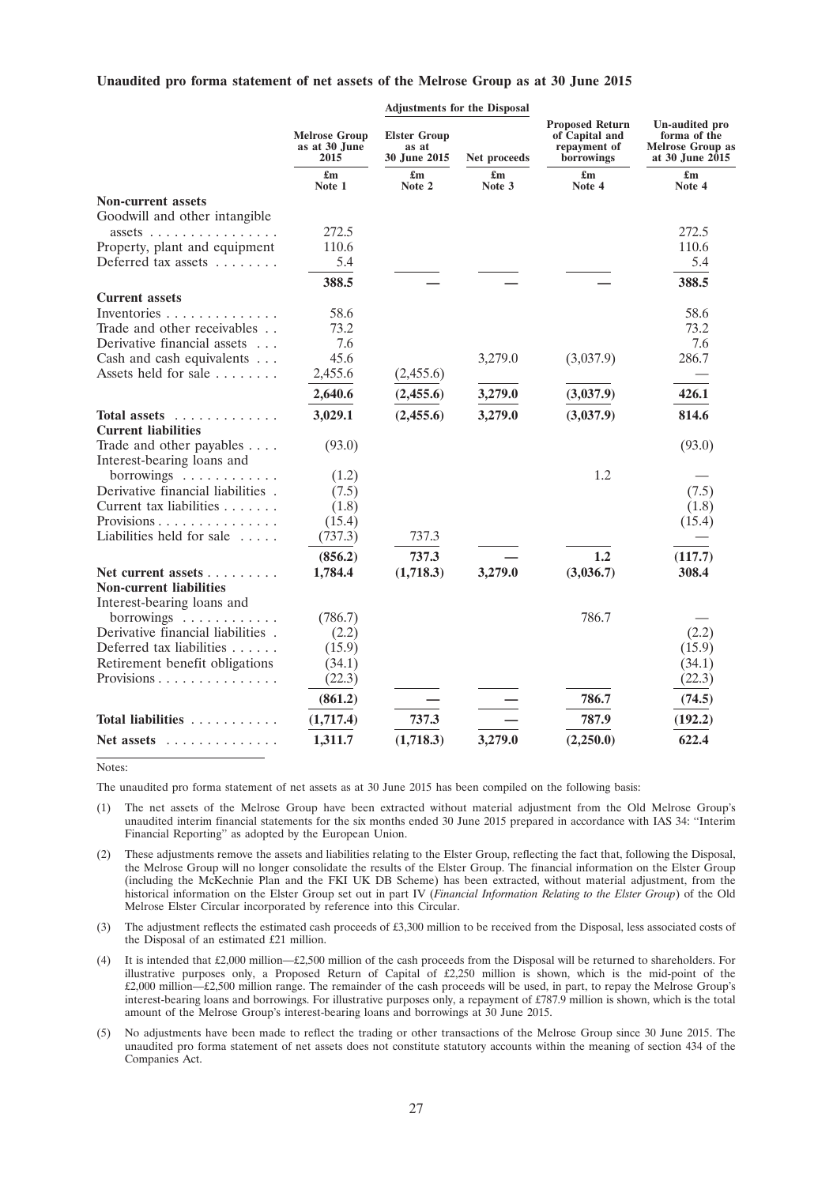#### **Unaudited pro forma statement of net assets of the Melrose Group as at 30 June 2015**

|                                                                                    |                                        |                                              | <b>Adjustments for the Disposal</b> |                                                                        |                                                                              |
|------------------------------------------------------------------------------------|----------------------------------------|----------------------------------------------|-------------------------------------|------------------------------------------------------------------------|------------------------------------------------------------------------------|
|                                                                                    | Melrose Group<br>as at 30 June<br>2015 | <b>Elster Group</b><br>as at<br>30 June 2015 | Net proceeds                        | <b>Proposed Return</b><br>of Capital and<br>repayment of<br>borrowings | Un-audited pro<br>forma of the<br><b>Melrose Group as</b><br>at 30 June 2015 |
|                                                                                    | £m<br>Note 1                           | £m<br>Note 2                                 | £m<br>Note 3                        | £m<br>Note 4                                                           | £m<br>Note 4                                                                 |
| <b>Non-current assets</b>                                                          |                                        |                                              |                                     |                                                                        |                                                                              |
| Goodwill and other intangible                                                      |                                        |                                              |                                     |                                                                        |                                                                              |
| $assets \ldots \ldots \ldots \ldots \ldots$                                        | 272.5                                  |                                              |                                     |                                                                        | 272.5                                                                        |
| Property, plant and equipment                                                      | 110.6                                  |                                              |                                     |                                                                        | 110.6                                                                        |
| Deferred tax assets                                                                | 5.4                                    |                                              |                                     |                                                                        | 5.4                                                                          |
|                                                                                    | 388.5                                  |                                              |                                     |                                                                        | 388.5                                                                        |
| <b>Current assets</b>                                                              |                                        |                                              |                                     |                                                                        |                                                                              |
| Inventories                                                                        | 58.6                                   |                                              |                                     |                                                                        | 58.6                                                                         |
| Trade and other receivables                                                        | 73.2                                   |                                              |                                     |                                                                        | 73.2                                                                         |
| Derivative financial assets                                                        | 7.6                                    |                                              |                                     |                                                                        | 7.6                                                                          |
| Cash and cash equivalents                                                          | 45.6                                   |                                              | 3,279.0                             | (3,037.9)                                                              | 286.7                                                                        |
| Assets held for sale                                                               | 2,455.6                                | (2,455.6)                                    |                                     |                                                                        |                                                                              |
|                                                                                    | 2,640.6                                | (2,455.6)                                    | 3,279.0                             | (3,037.9)                                                              | 426.1                                                                        |
| Total assets                                                                       | 3,029.1                                | (2,455.6)                                    | 3,279.0                             | (3,037.9)                                                              | 814.6                                                                        |
| <b>Current liabilities</b>                                                         |                                        |                                              |                                     |                                                                        |                                                                              |
| Trade and other payables                                                           | (93.0)                                 |                                              |                                     |                                                                        | (93.0)                                                                       |
| Interest-bearing loans and                                                         |                                        |                                              |                                     |                                                                        |                                                                              |
| borrowings $\dots \dots \dots$                                                     | (1.2)                                  |                                              |                                     | 1.2                                                                    |                                                                              |
| Derivative financial liabilities.                                                  | (7.5)                                  |                                              |                                     |                                                                        | (7.5)                                                                        |
| Current tax liabilities                                                            | (1.8)                                  |                                              |                                     |                                                                        | (1.8)                                                                        |
|                                                                                    | (15.4)                                 |                                              |                                     |                                                                        | (15.4)                                                                       |
| Liabilities held for sale                                                          | (737.3)                                | 737.3                                        |                                     |                                                                        |                                                                              |
|                                                                                    | (856.2)                                | 737.3                                        |                                     | 1.2                                                                    | (117.7)                                                                      |
| Net current assets<br><b>Non-current liabilities</b><br>Interest-bearing loans and | 1,784.4                                | (1,718.3)                                    | 3,279.0                             | (3,036.7)                                                              | 308.4                                                                        |
| borrowings $\dots \dots \dots$                                                     | (786.7)                                |                                              |                                     | 786.7                                                                  |                                                                              |
| Derivative financial liabilities.                                                  | (2.2)                                  |                                              |                                     |                                                                        | (2.2)                                                                        |
| Deferred tax liabilities                                                           | (15.9)                                 |                                              |                                     |                                                                        | (15.9)                                                                       |
| Retirement benefit obligations                                                     | (34.1)                                 |                                              |                                     |                                                                        | (34.1)                                                                       |
| Provisions                                                                         | (22.3)                                 |                                              |                                     |                                                                        | (22.3)                                                                       |
|                                                                                    | (861.2)                                |                                              |                                     | 786.7                                                                  | (74.5)                                                                       |
| Total liabilities                                                                  | (1,717.4)                              | 737.3                                        |                                     | 787.9                                                                  | (192.2)                                                                      |
| Net assets $\ldots$                                                                | 1,311.7                                | (1,718.3)                                    | 3,279.0                             | (2,250.0)                                                              | 622.4                                                                        |

Notes:

The unaudited pro forma statement of net assets as at 30 June 2015 has been compiled on the following basis:

- (1) The net assets of the Melrose Group have been extracted without material adjustment from the Old Melrose Group's unaudited interim financial statements for the six months ended 30 June 2015 prepared in accordance with IAS 34: ''Interim Financial Reporting'' as adopted by the European Union.
- (2) These adjustments remove the assets and liabilities relating to the Elster Group, reflecting the fact that, following the Disposal, the Melrose Group will no longer consolidate the results of the Elster Group. The financial information on the Elster Group (including the McKechnie Plan and the FKI UK DB Scheme) has been extracted, without material adjustment, from the historical information on the Elster Group set out in part IV (*Financial Information Relating to the Elster Group*) of the Old Melrose Elster Circular incorporated by reference into this Circular.
- (3) The adjustment reflects the estimated cash proceeds of £3,300 million to be received from the Disposal, less associated costs of the Disposal of an estimated £21 million.
- (4) It is intended that £2,000 million—£2,500 million of the cash proceeds from the Disposal will be returned to shareholders. For illustrative purposes only, a Proposed Return of Capital of £2,250 million is shown, which is the mid-point of the £2,000 million—£2,500 million range. The remainder of the cash proceeds will be used, in part, to repay the Melrose Group's interest-bearing loans and borrowings. For illustrative purposes only, a repayment of £787.9 million is shown, which is the total amount of the Melrose Group's interest-bearing loans and borrowings at 30 June 2015.
- (5) No adjustments have been made to reflect the trading or other transactions of the Melrose Group since 30 June 2015. The unaudited pro forma statement of net assets does not constitute statutory accounts within the meaning of section 434 of the Companies Act.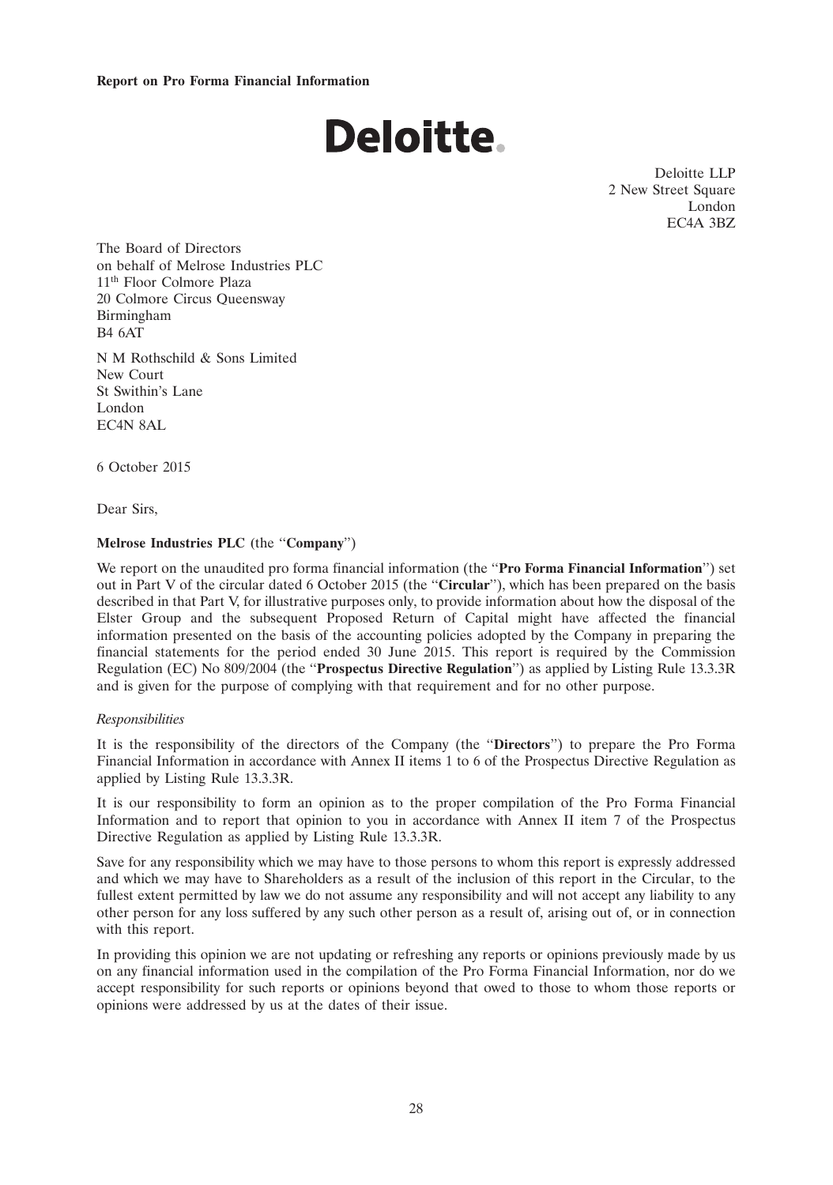# Deloitte.

Deloitte LLP 2 New Street Square London EC4A 3BZ

The Board of Directors on behalf of Melrose Industries PLC 11<sup>th</sup> Floor Colmore Plaza 20 Colmore Circus Queensway Birmingham B4 6AT

N M Rothschild & Sons Limited New Court St Swithin's Lane London EC4N 8AL

6 October 2015

Dear Sirs,

# **Melrose Industries PLC (**the ''**Company**'')

We report on the unaudited pro forma financial information (the ''**Pro Forma Financial Information**'') set out in Part V of the circular dated 6 October 2015 (the ''**Circular**''), which has been prepared on the basis described in that Part V, for illustrative purposes only, to provide information about how the disposal of the Elster Group and the subsequent Proposed Return of Capital might have affected the financial information presented on the basis of the accounting policies adopted by the Company in preparing the financial statements for the period ended 30 June 2015. This report is required by the Commission Regulation (EC) No 809/2004 (the ''**Prospectus Directive Regulation**'') as applied by Listing Rule 13.3.3R and is given for the purpose of complying with that requirement and for no other purpose.

#### *Responsibilities*

It is the responsibility of the directors of the Company (the ''**Directors**'') to prepare the Pro Forma Financial Information in accordance with Annex II items 1 to 6 of the Prospectus Directive Regulation as applied by Listing Rule 13.3.3R.

It is our responsibility to form an opinion as to the proper compilation of the Pro Forma Financial Information and to report that opinion to you in accordance with Annex II item 7 of the Prospectus Directive Regulation as applied by Listing Rule 13.3.3R.

Save for any responsibility which we may have to those persons to whom this report is expressly addressed and which we may have to Shareholders as a result of the inclusion of this report in the Circular, to the fullest extent permitted by law we do not assume any responsibility and will not accept any liability to any other person for any loss suffered by any such other person as a result of, arising out of, or in connection with this report.

In providing this opinion we are not updating or refreshing any reports or opinions previously made by us on any financial information used in the compilation of the Pro Forma Financial Information, nor do we accept responsibility for such reports or opinions beyond that owed to those to whom those reports or opinions were addressed by us at the dates of their issue.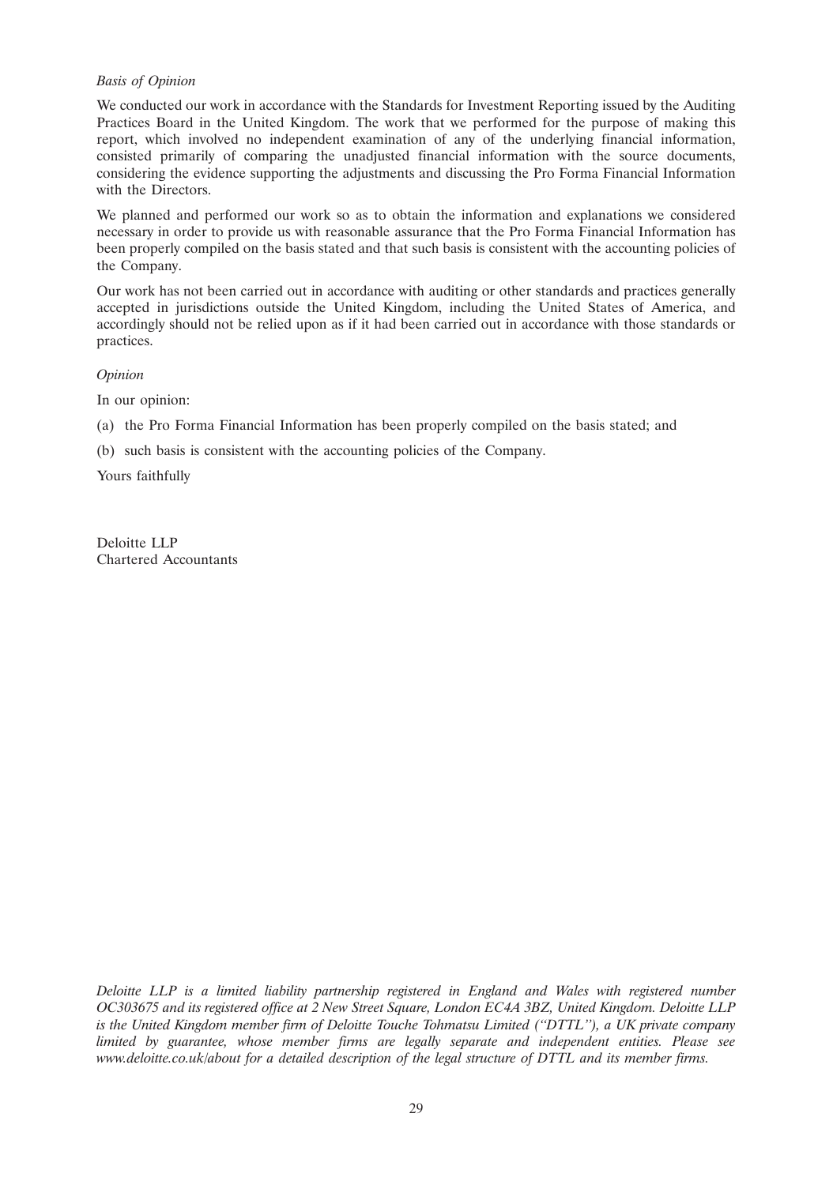# *Basis of Opinion*

We conducted our work in accordance with the Standards for Investment Reporting issued by the Auditing Practices Board in the United Kingdom. The work that we performed for the purpose of making this report, which involved no independent examination of any of the underlying financial information, consisted primarily of comparing the unadjusted financial information with the source documents, considering the evidence supporting the adjustments and discussing the Pro Forma Financial Information with the Directors.

We planned and performed our work so as to obtain the information and explanations we considered necessary in order to provide us with reasonable assurance that the Pro Forma Financial Information has been properly compiled on the basis stated and that such basis is consistent with the accounting policies of the Company.

Our work has not been carried out in accordance with auditing or other standards and practices generally accepted in jurisdictions outside the United Kingdom, including the United States of America, and accordingly should not be relied upon as if it had been carried out in accordance with those standards or practices.

*Opinion*

In our opinion:

(a) the Pro Forma Financial Information has been properly compiled on the basis stated; and

(b) such basis is consistent with the accounting policies of the Company.

Yours faithfully

Deloitte LLP Chartered Accountants

*Deloitte LLP is a limited liability partnership registered in England and Wales with registered number OC303675 and its registered office at 2 New Street Square, London EC4A 3BZ, United Kingdom. Deloitte LLP is the United Kingdom member firm of Deloitte Touche Tohmatsu Limited (''DTTL''), a UK private company limited by guarantee, whose member firms are legally separate and independent entities. Please see www.deloitte.co.uk/about for a detailed description of the legal structure of DTTL and its member firms.*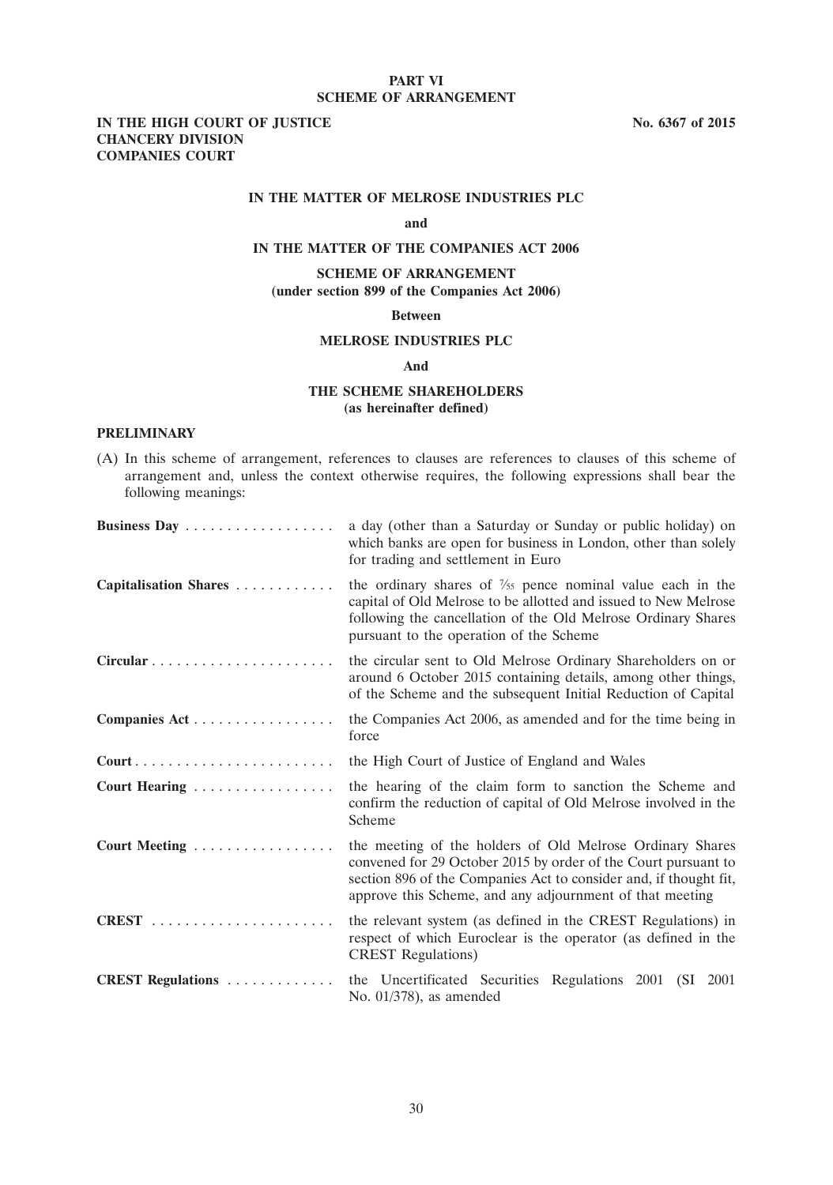# **PART VI SCHEME OF ARRANGEMENT**

# **IN THE HIGH COURT OF JUSTICE No. 6367 of 2015 CHANCERY DIVISION COMPANIES COURT**

#### **IN THE MATTER OF MELROSE INDUSTRIES PLC**

**and**

# **IN THE MATTER OF THE COMPANIES ACT 2006**

**SCHEME OF ARRANGEMENT (under section 899 of the Companies Act 2006)**

#### **Between**

# **MELROSE INDUSTRIES PLC**

# **And**

# **THE SCHEME SHAREHOLDERS (as hereinafter defined)**

# **PRELIMINARY**

(A) In this scheme of arrangement, references to clauses are references to clauses of this scheme of arrangement and, unless the context otherwise requires, the following expressions shall bear the following meanings:

| Business Day                                                           | a day (other than a Saturday or Sunday or public holiday) on<br>which banks are open for business in London, other than solely<br>for trading and settlement in Euro                                                                                         |  |  |  |  |  |
|------------------------------------------------------------------------|--------------------------------------------------------------------------------------------------------------------------------------------------------------------------------------------------------------------------------------------------------------|--|--|--|--|--|
| Capitalisation Shares                                                  | the ordinary shares of $\frac{7}{55}$ pence nominal value each in the<br>capital of Old Melrose to be allotted and issued to New Melrose<br>following the cancellation of the Old Melrose Ordinary Shares<br>pursuant to the operation of the Scheme         |  |  |  |  |  |
| $Circular \dots \dots \dots \dots \dots \dots \dots \dots \dots \dots$ | the circular sent to Old Melrose Ordinary Shareholders on or<br>around 6 October 2015 containing details, among other things,<br>of the Scheme and the subsequent Initial Reduction of Capital                                                               |  |  |  |  |  |
| Companies Act                                                          | the Companies Act 2006, as amended and for the time being in<br>force                                                                                                                                                                                        |  |  |  |  |  |
|                                                                        | the High Court of Justice of England and Wales                                                                                                                                                                                                               |  |  |  |  |  |
| Court Hearing                                                          | the hearing of the claim form to sanction the Scheme and<br>confirm the reduction of capital of Old Melrose involved in the<br>Scheme                                                                                                                        |  |  |  |  |  |
| Court Meeting                                                          | the meeting of the holders of Old Melrose Ordinary Shares<br>convened for 29 October 2015 by order of the Court pursuant to<br>section 896 of the Companies Act to consider and, if thought fit,<br>approve this Scheme, and any adjournment of that meeting |  |  |  |  |  |
|                                                                        | the relevant system (as defined in the CREST Regulations) in<br>respect of which Euroclear is the operator (as defined in the<br><b>CREST</b> Regulations)                                                                                                   |  |  |  |  |  |
| <b>CREST Regulations </b>                                              | the Uncertificated Securities Regulations 2001 (SI 2001<br>No. 01/378), as amended                                                                                                                                                                           |  |  |  |  |  |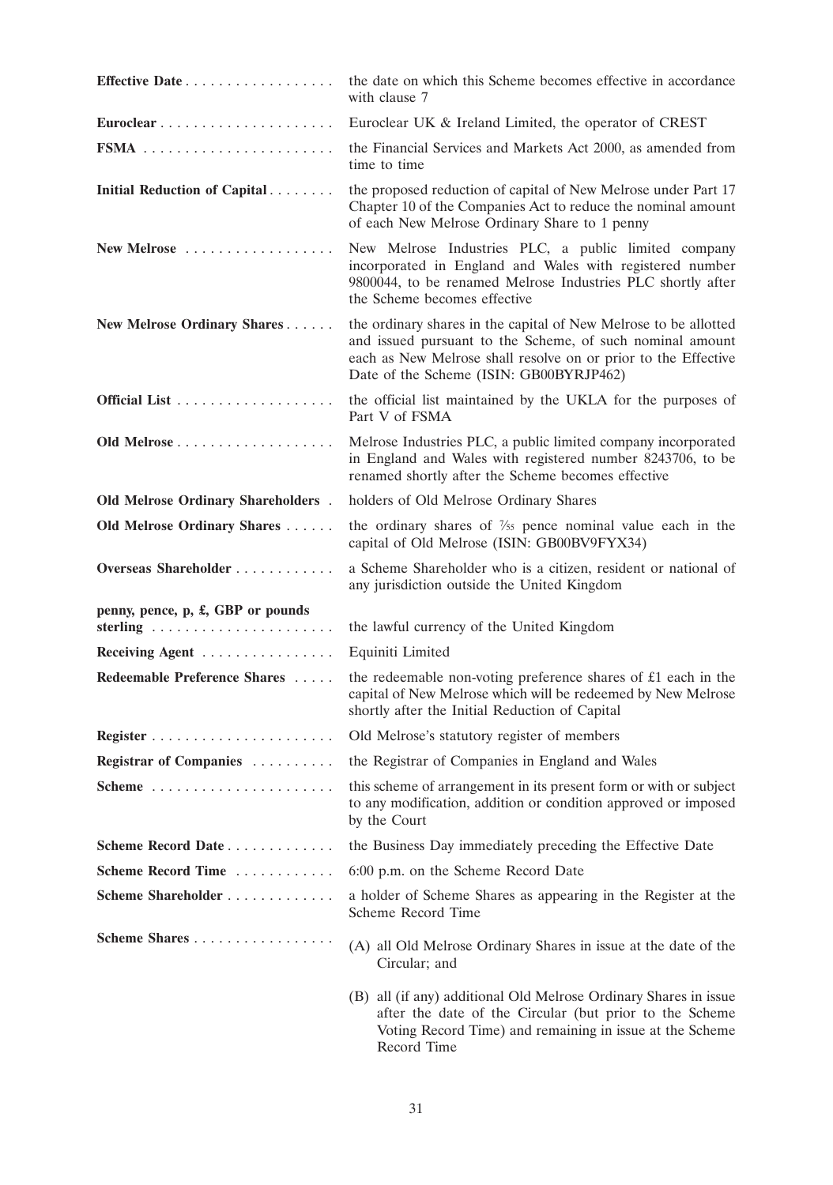| Effective Date                            | the date on which this Scheme becomes effective in accordance<br>with clause 7                                                                                                                                                             |
|-------------------------------------------|--------------------------------------------------------------------------------------------------------------------------------------------------------------------------------------------------------------------------------------------|
|                                           | Euroclear UK & Ireland Limited, the operator of CREST                                                                                                                                                                                      |
|                                           | the Financial Services and Markets Act 2000, as amended from<br>time to time                                                                                                                                                               |
| Initial Reduction of Capital              | the proposed reduction of capital of New Melrose under Part 17<br>Chapter 10 of the Companies Act to reduce the nominal amount<br>of each New Melrose Ordinary Share to 1 penny                                                            |
| New Melrose                               | New Melrose Industries PLC, a public limited company<br>incorporated in England and Wales with registered number<br>9800044, to be renamed Melrose Industries PLC shortly after<br>the Scheme becomes effective                            |
| New Melrose Ordinary Shares               | the ordinary shares in the capital of New Melrose to be allotted<br>and issued pursuant to the Scheme, of such nominal amount<br>each as New Melrose shall resolve on or prior to the Effective<br>Date of the Scheme (ISIN: GB00BYRJP462) |
|                                           | the official list maintained by the UKLA for the purposes of<br>Part V of FSMA                                                                                                                                                             |
|                                           | Melrose Industries PLC, a public limited company incorporated<br>in England and Wales with registered number 8243706, to be<br>renamed shortly after the Scheme becomes effective                                                          |
| <b>Old Melrose Ordinary Shareholders.</b> | holders of Old Melrose Ordinary Shares                                                                                                                                                                                                     |
| Old Melrose Ordinary Shares               | the ordinary shares of $\frac{7}{55}$ pence nominal value each in the<br>capital of Old Melrose (ISIN: GB00BV9FYX34)                                                                                                                       |
| Overseas Shareholder                      | a Scheme Shareholder who is a citizen, resident or national of<br>any jurisdiction outside the United Kingdom                                                                                                                              |
| penny, pence, p, £, GBP or pounds         |                                                                                                                                                                                                                                            |
|                                           | the lawful currency of the United Kingdom                                                                                                                                                                                                  |
| Receiving Agent                           | Equiniti Limited                                                                                                                                                                                                                           |
| Redeemable Preference Shares              | the redeemable non-voting preference shares of £1 each in the<br>capital of New Melrose which will be redeemed by New Melrose<br>shortly after the Initial Reduction of Capital                                                            |
|                                           | Old Melrose's statutory register of members                                                                                                                                                                                                |
| Registrar of Companies                    | the Registrar of Companies in England and Wales                                                                                                                                                                                            |
|                                           | this scheme of arrangement in its present form or with or subject<br>to any modification, addition or condition approved or imposed<br>by the Court                                                                                        |
| Scheme Record Date                        | the Business Day immediately preceding the Effective Date                                                                                                                                                                                  |
| Scheme Record Time                        | 6:00 p.m. on the Scheme Record Date                                                                                                                                                                                                        |
| Scheme Shareholder                        | a holder of Scheme Shares as appearing in the Register at the<br>Scheme Record Time                                                                                                                                                        |
| Scheme Shares                             | (A) all Old Melrose Ordinary Shares in issue at the date of the<br>Circular; and                                                                                                                                                           |
|                                           | (B) all (if any) additional Old Melrose Ordinary Shares in issue<br>after the date of the Circular (but prior to the Scheme<br>Voting Record Time) and remaining in issue at the Scheme                                                    |

Record Time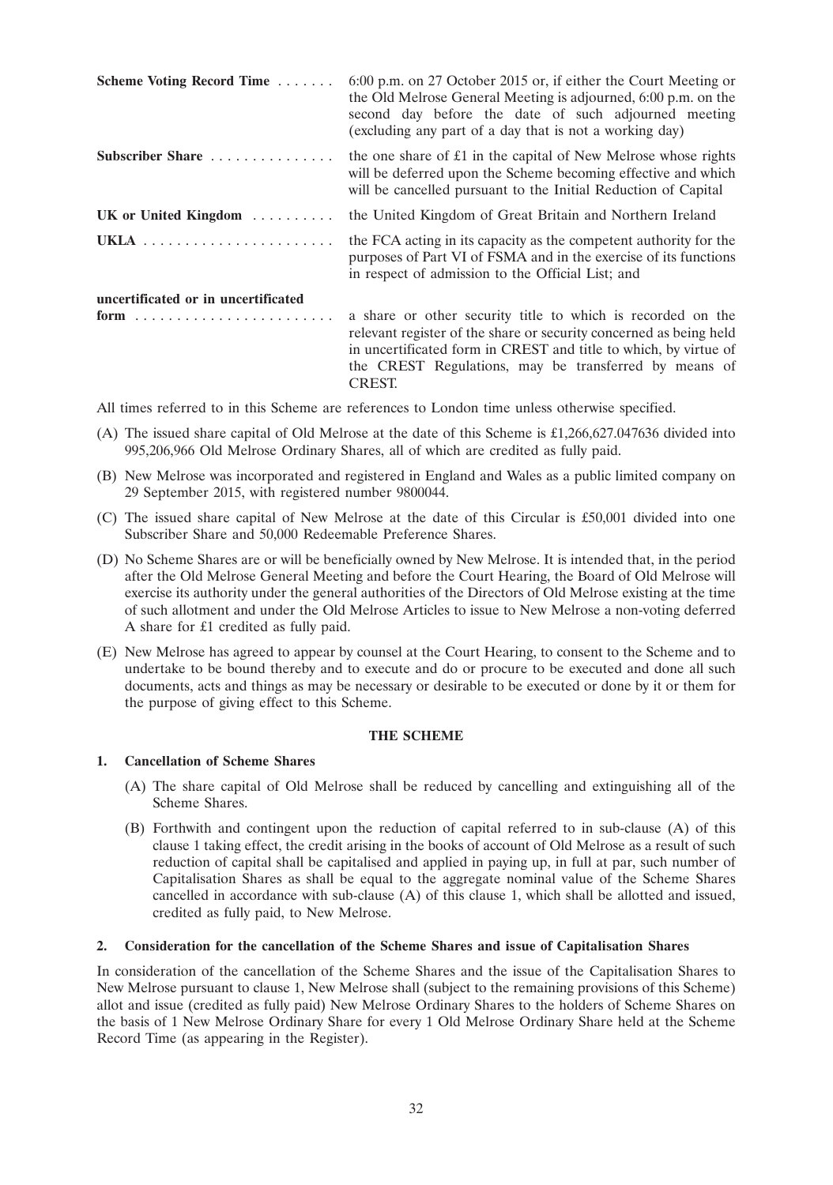| Scheme Voting Record Time           | 6:00 p.m. on 27 October 2015 or, if either the Court Meeting or<br>the Old Melrose General Meeting is adjourned, 6:00 p.m. on the<br>second day before the date of such adjourned meeting<br>(excluding any part of a day that is not a working day)                            |
|-------------------------------------|---------------------------------------------------------------------------------------------------------------------------------------------------------------------------------------------------------------------------------------------------------------------------------|
| Subscriber Share                    | the one share of £1 in the capital of New Melrose whose rights<br>will be deferred upon the Scheme becoming effective and which<br>will be cancelled pursuant to the Initial Reduction of Capital                                                                               |
| UK or United Kingdom $\dots \dots$  | the United Kingdom of Great Britain and Northern Ireland                                                                                                                                                                                                                        |
|                                     | the FCA acting in its capacity as the competent authority for the<br>purposes of Part VI of FSMA and in the exercise of its functions<br>in respect of admission to the Official List; and                                                                                      |
| uncertificated or in uncertificated |                                                                                                                                                                                                                                                                                 |
|                                     | a share or other security title to which is recorded on the<br>relevant register of the share or security concerned as being held<br>in uncertificated form in CREST and title to which, by virtue of<br>the CREST Regulations, may be transferred by means of<br><b>CREST.</b> |

All times referred to in this Scheme are references to London time unless otherwise specified.

- (A) The issued share capital of Old Melrose at the date of this Scheme is £1,266,627.047636 divided into 995,206,966 Old Melrose Ordinary Shares, all of which are credited as fully paid.
- (B) New Melrose was incorporated and registered in England and Wales as a public limited company on 29 September 2015, with registered number 9800044.
- (C) The issued share capital of New Melrose at the date of this Circular is £50,001 divided into one Subscriber Share and 50,000 Redeemable Preference Shares.
- (D) No Scheme Shares are or will be beneficially owned by New Melrose. It is intended that, in the period after the Old Melrose General Meeting and before the Court Hearing, the Board of Old Melrose will exercise its authority under the general authorities of the Directors of Old Melrose existing at the time of such allotment and under the Old Melrose Articles to issue to New Melrose a non-voting deferred A share for £1 credited as fully paid.
- (E) New Melrose has agreed to appear by counsel at the Court Hearing, to consent to the Scheme and to undertake to be bound thereby and to execute and do or procure to be executed and done all such documents, acts and things as may be necessary or desirable to be executed or done by it or them for the purpose of giving effect to this Scheme.

#### **THE SCHEME**

#### **1. Cancellation of Scheme Shares**

- (A) The share capital of Old Melrose shall be reduced by cancelling and extinguishing all of the Scheme Shares.
- (B) Forthwith and contingent upon the reduction of capital referred to in sub-clause (A) of this clause 1 taking effect, the credit arising in the books of account of Old Melrose as a result of such reduction of capital shall be capitalised and applied in paying up, in full at par, such number of Capitalisation Shares as shall be equal to the aggregate nominal value of the Scheme Shares cancelled in accordance with sub-clause (A) of this clause 1, which shall be allotted and issued, credited as fully paid, to New Melrose.

#### **2. Consideration for the cancellation of the Scheme Shares and issue of Capitalisation Shares**

In consideration of the cancellation of the Scheme Shares and the issue of the Capitalisation Shares to New Melrose pursuant to clause 1, New Melrose shall (subject to the remaining provisions of this Scheme) allot and issue (credited as fully paid) New Melrose Ordinary Shares to the holders of Scheme Shares on the basis of 1 New Melrose Ordinary Share for every 1 Old Melrose Ordinary Share held at the Scheme Record Time (as appearing in the Register).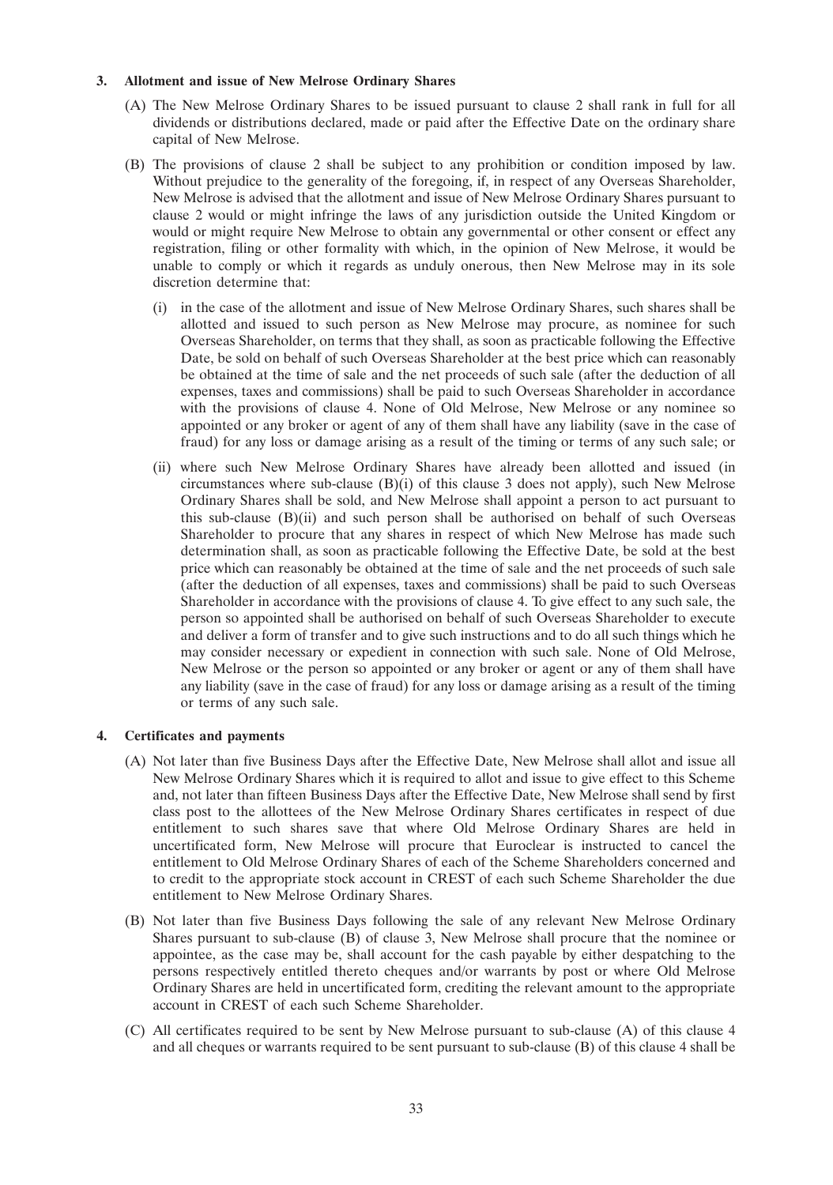#### **3. Allotment and issue of New Melrose Ordinary Shares**

- (A) The New Melrose Ordinary Shares to be issued pursuant to clause 2 shall rank in full for all dividends or distributions declared, made or paid after the Effective Date on the ordinary share capital of New Melrose.
- (B) The provisions of clause 2 shall be subject to any prohibition or condition imposed by law. Without prejudice to the generality of the foregoing, if, in respect of any Overseas Shareholder, New Melrose is advised that the allotment and issue of New Melrose Ordinary Shares pursuant to clause 2 would or might infringe the laws of any jurisdiction outside the United Kingdom or would or might require New Melrose to obtain any governmental or other consent or effect any registration, filing or other formality with which, in the opinion of New Melrose, it would be unable to comply or which it regards as unduly onerous, then New Melrose may in its sole discretion determine that:
	- (i) in the case of the allotment and issue of New Melrose Ordinary Shares, such shares shall be allotted and issued to such person as New Melrose may procure, as nominee for such Overseas Shareholder, on terms that they shall, as soon as practicable following the Effective Date, be sold on behalf of such Overseas Shareholder at the best price which can reasonably be obtained at the time of sale and the net proceeds of such sale (after the deduction of all expenses, taxes and commissions) shall be paid to such Overseas Shareholder in accordance with the provisions of clause 4. None of Old Melrose, New Melrose or any nominee so appointed or any broker or agent of any of them shall have any liability (save in the case of fraud) for any loss or damage arising as a result of the timing or terms of any such sale; or
	- (ii) where such New Melrose Ordinary Shares have already been allotted and issued (in circumstances where sub-clause  $(B)(i)$  of this clause 3 does not apply), such New Melrose Ordinary Shares shall be sold, and New Melrose shall appoint a person to act pursuant to this sub-clause  $(B)(ii)$  and such person shall be authorised on behalf of such Overseas Shareholder to procure that any shares in respect of which New Melrose has made such determination shall, as soon as practicable following the Effective Date, be sold at the best price which can reasonably be obtained at the time of sale and the net proceeds of such sale (after the deduction of all expenses, taxes and commissions) shall be paid to such Overseas Shareholder in accordance with the provisions of clause 4. To give effect to any such sale, the person so appointed shall be authorised on behalf of such Overseas Shareholder to execute and deliver a form of transfer and to give such instructions and to do all such things which he may consider necessary or expedient in connection with such sale. None of Old Melrose, New Melrose or the person so appointed or any broker or agent or any of them shall have any liability (save in the case of fraud) for any loss or damage arising as a result of the timing or terms of any such sale.

#### **4. Certificates and payments**

- (A) Not later than five Business Days after the Effective Date, New Melrose shall allot and issue all New Melrose Ordinary Shares which it is required to allot and issue to give effect to this Scheme and, not later than fifteen Business Days after the Effective Date, New Melrose shall send by first class post to the allottees of the New Melrose Ordinary Shares certificates in respect of due entitlement to such shares save that where Old Melrose Ordinary Shares are held in uncertificated form, New Melrose will procure that Euroclear is instructed to cancel the entitlement to Old Melrose Ordinary Shares of each of the Scheme Shareholders concerned and to credit to the appropriate stock account in CREST of each such Scheme Shareholder the due entitlement to New Melrose Ordinary Shares.
- (B) Not later than five Business Days following the sale of any relevant New Melrose Ordinary Shares pursuant to sub-clause (B) of clause 3, New Melrose shall procure that the nominee or appointee, as the case may be, shall account for the cash payable by either despatching to the persons respectively entitled thereto cheques and/or warrants by post or where Old Melrose Ordinary Shares are held in uncertificated form, crediting the relevant amount to the appropriate account in CREST of each such Scheme Shareholder.
- (C) All certificates required to be sent by New Melrose pursuant to sub-clause (A) of this clause 4 and all cheques or warrants required to be sent pursuant to sub-clause (B) of this clause 4 shall be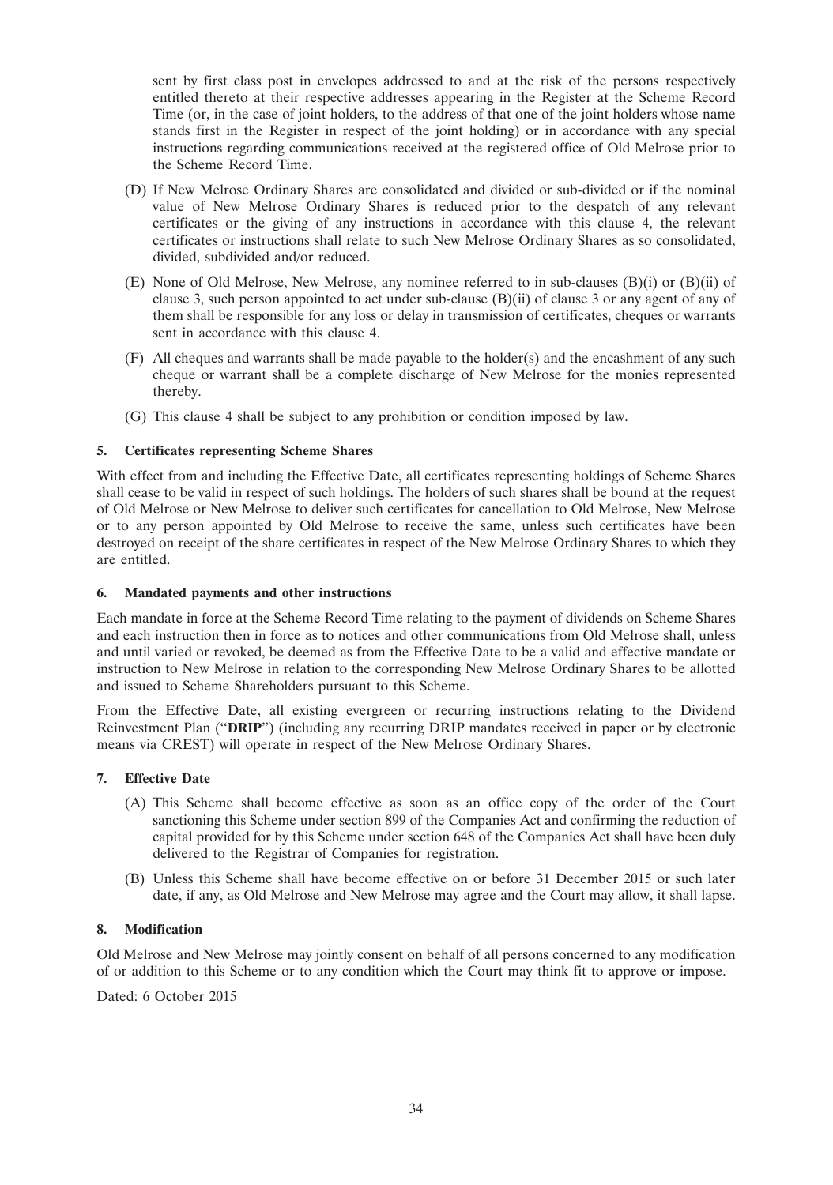sent by first class post in envelopes addressed to and at the risk of the persons respectively entitled thereto at their respective addresses appearing in the Register at the Scheme Record Time (or, in the case of joint holders, to the address of that one of the joint holders whose name stands first in the Register in respect of the joint holding) or in accordance with any special instructions regarding communications received at the registered office of Old Melrose prior to the Scheme Record Time.

- (D) If New Melrose Ordinary Shares are consolidated and divided or sub-divided or if the nominal value of New Melrose Ordinary Shares is reduced prior to the despatch of any relevant certificates or the giving of any instructions in accordance with this clause 4, the relevant certificates or instructions shall relate to such New Melrose Ordinary Shares as so consolidated, divided, subdivided and/or reduced.
- (E) None of Old Melrose, New Melrose, any nominee referred to in sub-clauses (B)(i) or (B)(ii) of clause 3, such person appointed to act under sub-clause (B)(ii) of clause 3 or any agent of any of them shall be responsible for any loss or delay in transmission of certificates, cheques or warrants sent in accordance with this clause 4.
- (F) All cheques and warrants shall be made payable to the holder(s) and the encashment of any such cheque or warrant shall be a complete discharge of New Melrose for the monies represented thereby.
- (G) This clause 4 shall be subject to any prohibition or condition imposed by law.

# **5. Certificates representing Scheme Shares**

With effect from and including the Effective Date, all certificates representing holdings of Scheme Shares shall cease to be valid in respect of such holdings. The holders of such shares shall be bound at the request of Old Melrose or New Melrose to deliver such certificates for cancellation to Old Melrose, New Melrose or to any person appointed by Old Melrose to receive the same, unless such certificates have been destroyed on receipt of the share certificates in respect of the New Melrose Ordinary Shares to which they are entitled.

#### **6. Mandated payments and other instructions**

Each mandate in force at the Scheme Record Time relating to the payment of dividends on Scheme Shares and each instruction then in force as to notices and other communications from Old Melrose shall, unless and until varied or revoked, be deemed as from the Effective Date to be a valid and effective mandate or instruction to New Melrose in relation to the corresponding New Melrose Ordinary Shares to be allotted and issued to Scheme Shareholders pursuant to this Scheme.

From the Effective Date, all existing evergreen or recurring instructions relating to the Dividend Reinvestment Plan (''**DRIP**'') (including any recurring DRIP mandates received in paper or by electronic means via CREST) will operate in respect of the New Melrose Ordinary Shares.

#### **7. Effective Date**

- (A) This Scheme shall become effective as soon as an office copy of the order of the Court sanctioning this Scheme under section 899 of the Companies Act and confirming the reduction of capital provided for by this Scheme under section 648 of the Companies Act shall have been duly delivered to the Registrar of Companies for registration.
- (B) Unless this Scheme shall have become effective on or before 31 December 2015 or such later date, if any, as Old Melrose and New Melrose may agree and the Court may allow, it shall lapse.

#### **8. Modification**

Old Melrose and New Melrose may jointly consent on behalf of all persons concerned to any modification of or addition to this Scheme or to any condition which the Court may think fit to approve or impose.

Dated: 6 October 2015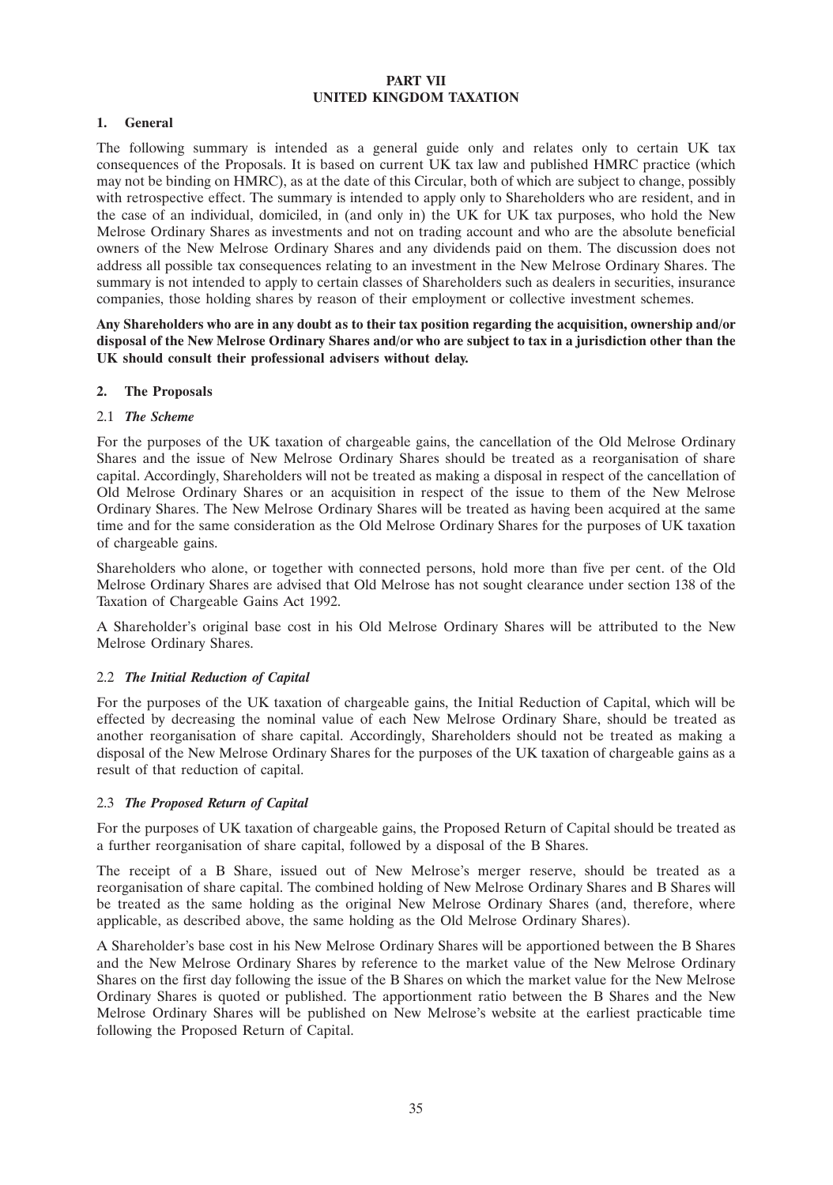#### **PART VII UNITED KINGDOM TAXATION**

# **1. General**

The following summary is intended as a general guide only and relates only to certain UK tax consequences of the Proposals. It is based on current UK tax law and published HMRC practice (which may not be binding on HMRC), as at the date of this Circular, both of which are subject to change, possibly with retrospective effect. The summary is intended to apply only to Shareholders who are resident, and in the case of an individual, domiciled, in (and only in) the UK for UK tax purposes, who hold the New Melrose Ordinary Shares as investments and not on trading account and who are the absolute beneficial owners of the New Melrose Ordinary Shares and any dividends paid on them. The discussion does not address all possible tax consequences relating to an investment in the New Melrose Ordinary Shares. The summary is not intended to apply to certain classes of Shareholders such as dealers in securities, insurance companies, those holding shares by reason of their employment or collective investment schemes.

**Any Shareholders who are in any doubt as to their tax position regarding the acquisition, ownership and/or disposal of the New Melrose Ordinary Shares and/or who are subject to tax in a jurisdiction other than the UK should consult their professional advisers without delay.**

#### **2. The Proposals**

#### 2.1 *The Scheme*

For the purposes of the UK taxation of chargeable gains, the cancellation of the Old Melrose Ordinary Shares and the issue of New Melrose Ordinary Shares should be treated as a reorganisation of share capital. Accordingly, Shareholders will not be treated as making a disposal in respect of the cancellation of Old Melrose Ordinary Shares or an acquisition in respect of the issue to them of the New Melrose Ordinary Shares. The New Melrose Ordinary Shares will be treated as having been acquired at the same time and for the same consideration as the Old Melrose Ordinary Shares for the purposes of UK taxation of chargeable gains.

Shareholders who alone, or together with connected persons, hold more than five per cent. of the Old Melrose Ordinary Shares are advised that Old Melrose has not sought clearance under section 138 of the Taxation of Chargeable Gains Act 1992.

A Shareholder's original base cost in his Old Melrose Ordinary Shares will be attributed to the New Melrose Ordinary Shares.

# 2.2 *The Initial Reduction of Capital*

For the purposes of the UK taxation of chargeable gains, the Initial Reduction of Capital, which will be effected by decreasing the nominal value of each New Melrose Ordinary Share, should be treated as another reorganisation of share capital. Accordingly, Shareholders should not be treated as making a disposal of the New Melrose Ordinary Shares for the purposes of the UK taxation of chargeable gains as a result of that reduction of capital.

#### 2.3 *The Proposed Return of Capital*

For the purposes of UK taxation of chargeable gains, the Proposed Return of Capital should be treated as a further reorganisation of share capital, followed by a disposal of the B Shares.

The receipt of a B Share, issued out of New Melrose's merger reserve, should be treated as a reorganisation of share capital. The combined holding of New Melrose Ordinary Shares and B Shares will be treated as the same holding as the original New Melrose Ordinary Shares (and, therefore, where applicable, as described above, the same holding as the Old Melrose Ordinary Shares).

A Shareholder's base cost in his New Melrose Ordinary Shares will be apportioned between the B Shares and the New Melrose Ordinary Shares by reference to the market value of the New Melrose Ordinary Shares on the first day following the issue of the B Shares on which the market value for the New Melrose Ordinary Shares is quoted or published. The apportionment ratio between the B Shares and the New Melrose Ordinary Shares will be published on New Melrose's website at the earliest practicable time following the Proposed Return of Capital.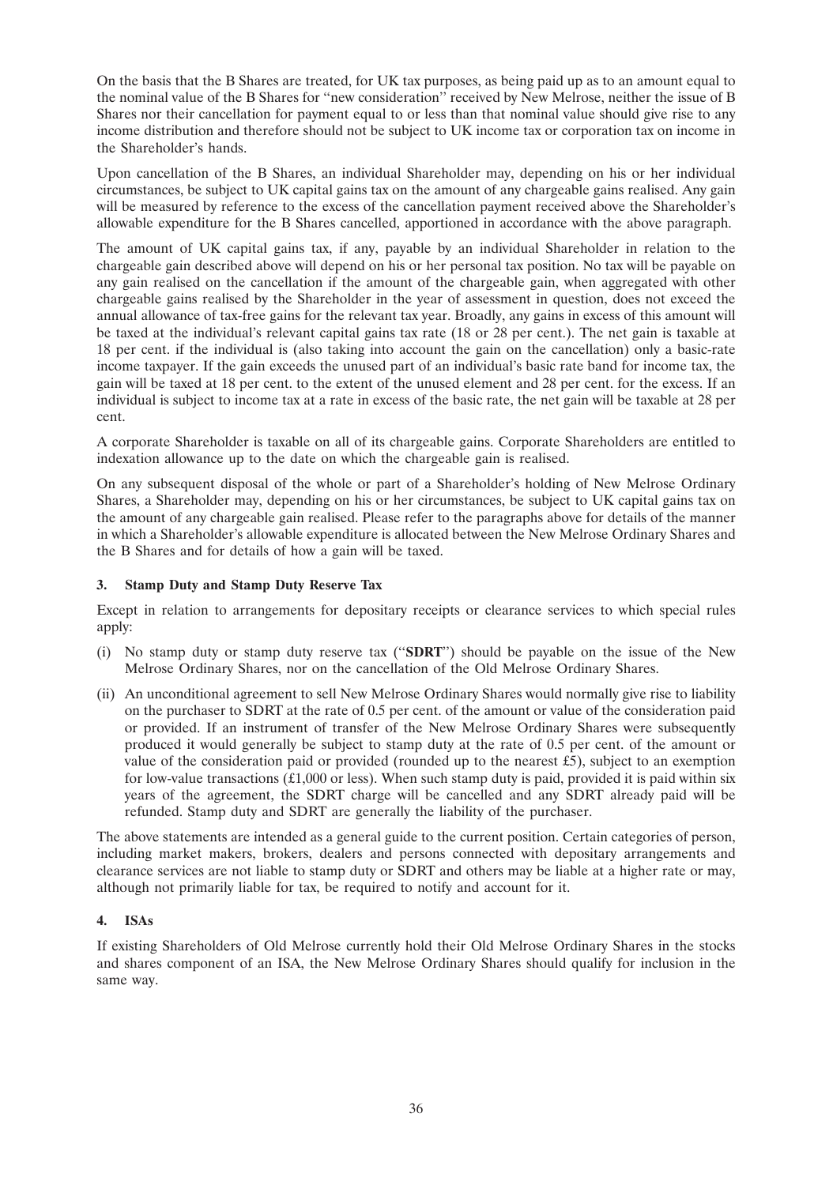On the basis that the B Shares are treated, for UK tax purposes, as being paid up as to an amount equal to the nominal value of the B Shares for ''new consideration'' received by New Melrose, neither the issue of B Shares nor their cancellation for payment equal to or less than that nominal value should give rise to any income distribution and therefore should not be subject to UK income tax or corporation tax on income in the Shareholder's hands.

Upon cancellation of the B Shares, an individual Shareholder may, depending on his or her individual circumstances, be subject to UK capital gains tax on the amount of any chargeable gains realised. Any gain will be measured by reference to the excess of the cancellation payment received above the Shareholder's allowable expenditure for the B Shares cancelled, apportioned in accordance with the above paragraph.

The amount of UK capital gains tax, if any, payable by an individual Shareholder in relation to the chargeable gain described above will depend on his or her personal tax position. No tax will be payable on any gain realised on the cancellation if the amount of the chargeable gain, when aggregated with other chargeable gains realised by the Shareholder in the year of assessment in question, does not exceed the annual allowance of tax-free gains for the relevant tax year. Broadly, any gains in excess of this amount will be taxed at the individual's relevant capital gains tax rate (18 or 28 per cent.). The net gain is taxable at 18 per cent. if the individual is (also taking into account the gain on the cancellation) only a basic-rate income taxpayer. If the gain exceeds the unused part of an individual's basic rate band for income tax, the gain will be taxed at 18 per cent. to the extent of the unused element and 28 per cent. for the excess. If an individual is subject to income tax at a rate in excess of the basic rate, the net gain will be taxable at 28 per cent.

A corporate Shareholder is taxable on all of its chargeable gains. Corporate Shareholders are entitled to indexation allowance up to the date on which the chargeable gain is realised.

On any subsequent disposal of the whole or part of a Shareholder's holding of New Melrose Ordinary Shares, a Shareholder may, depending on his or her circumstances, be subject to UK capital gains tax on the amount of any chargeable gain realised. Please refer to the paragraphs above for details of the manner in which a Shareholder's allowable expenditure is allocated between the New Melrose Ordinary Shares and the B Shares and for details of how a gain will be taxed.

#### **3. Stamp Duty and Stamp Duty Reserve Tax**

Except in relation to arrangements for depositary receipts or clearance services to which special rules apply:

- (i) No stamp duty or stamp duty reserve tax (''**SDRT**'') should be payable on the issue of the New Melrose Ordinary Shares, nor on the cancellation of the Old Melrose Ordinary Shares.
- (ii) An unconditional agreement to sell New Melrose Ordinary Shares would normally give rise to liability on the purchaser to SDRT at the rate of 0.5 per cent. of the amount or value of the consideration paid or provided. If an instrument of transfer of the New Melrose Ordinary Shares were subsequently produced it would generally be subject to stamp duty at the rate of 0.5 per cent. of the amount or value of the consideration paid or provided (rounded up to the nearest £5), subject to an exemption for low-value transactions  $(\text{\textsterling}1,000 \text{ or less})$ . When such stamp duty is paid, provided it is paid within six years of the agreement, the SDRT charge will be cancelled and any SDRT already paid will be refunded. Stamp duty and SDRT are generally the liability of the purchaser.

The above statements are intended as a general guide to the current position. Certain categories of person, including market makers, brokers, dealers and persons connected with depositary arrangements and clearance services are not liable to stamp duty or SDRT and others may be liable at a higher rate or may, although not primarily liable for tax, be required to notify and account for it.

# **4. ISAs**

If existing Shareholders of Old Melrose currently hold their Old Melrose Ordinary Shares in the stocks and shares component of an ISA, the New Melrose Ordinary Shares should qualify for inclusion in the same way.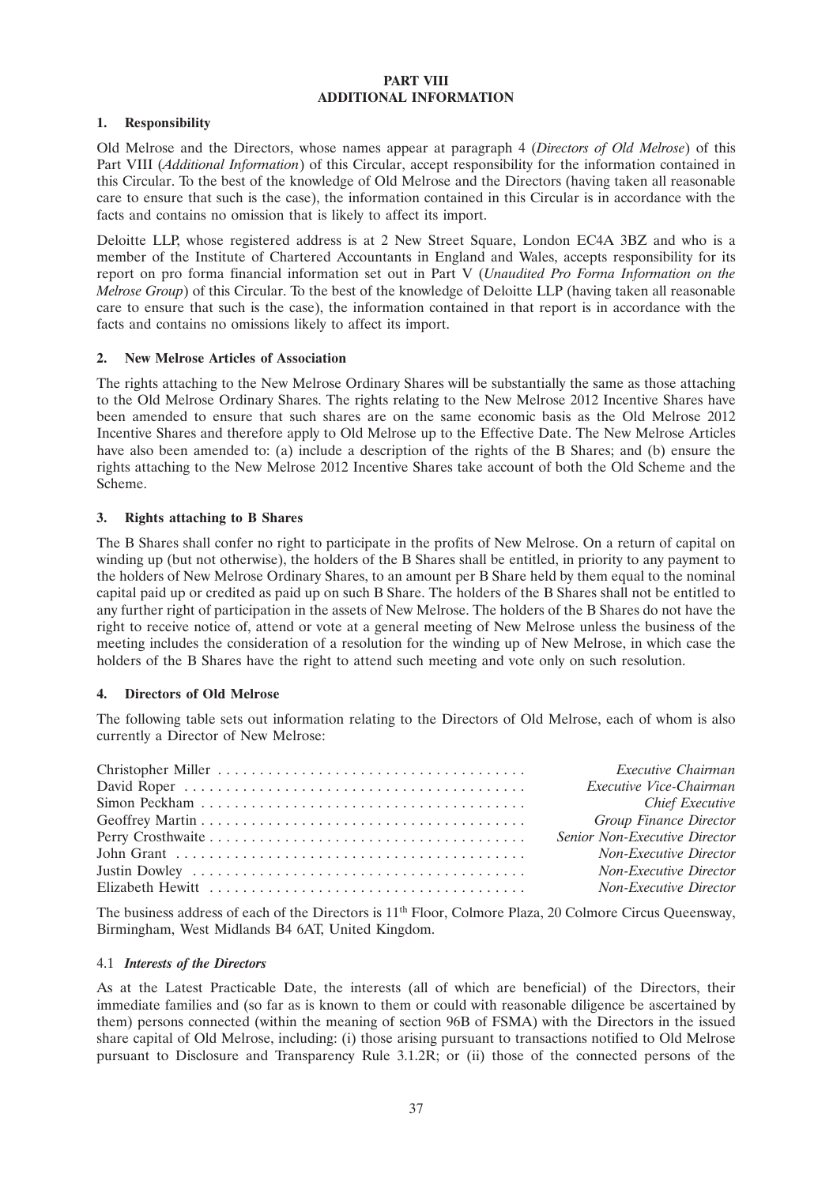#### **PART VIII ADDITIONAL INFORMATION**

# **1. Responsibility**

Old Melrose and the Directors, whose names appear at paragraph 4 (*Directors of Old Melrose*) of this Part VIII (*Additional Information*) of this Circular, accept responsibility for the information contained in this Circular. To the best of the knowledge of Old Melrose and the Directors (having taken all reasonable care to ensure that such is the case), the information contained in this Circular is in accordance with the facts and contains no omission that is likely to affect its import.

Deloitte LLP, whose registered address is at 2 New Street Square, London EC4A 3BZ and who is a member of the Institute of Chartered Accountants in England and Wales, accepts responsibility for its report on pro forma financial information set out in Part V (*Unaudited Pro Forma Information on the Melrose Group*) of this Circular. To the best of the knowledge of Deloitte LLP (having taken all reasonable care to ensure that such is the case), the information contained in that report is in accordance with the facts and contains no omissions likely to affect its import.

# **2. New Melrose Articles of Association**

The rights attaching to the New Melrose Ordinary Shares will be substantially the same as those attaching to the Old Melrose Ordinary Shares. The rights relating to the New Melrose 2012 Incentive Shares have been amended to ensure that such shares are on the same economic basis as the Old Melrose 2012 Incentive Shares and therefore apply to Old Melrose up to the Effective Date. The New Melrose Articles have also been amended to: (a) include a description of the rights of the B Shares; and (b) ensure the rights attaching to the New Melrose 2012 Incentive Shares take account of both the Old Scheme and the Scheme.

# **3. Rights attaching to B Shares**

The B Shares shall confer no right to participate in the profits of New Melrose. On a return of capital on winding up (but not otherwise), the holders of the B Shares shall be entitled, in priority to any payment to the holders of New Melrose Ordinary Shares, to an amount per B Share held by them equal to the nominal capital paid up or credited as paid up on such B Share. The holders of the B Shares shall not be entitled to any further right of participation in the assets of New Melrose. The holders of the B Shares do not have the right to receive notice of, attend or vote at a general meeting of New Melrose unless the business of the meeting includes the consideration of a resolution for the winding up of New Melrose, in which case the holders of the B Shares have the right to attend such meeting and vote only on such resolution.

#### **4. Directors of Old Melrose**

The following table sets out information relating to the Directors of Old Melrose, each of whom is also currently a Director of New Melrose:

| Executive Chairman             |
|--------------------------------|
| <i>Executive Vice-Chairman</i> |
| Chief Executive                |
| Group Finance Director         |
| Senior Non-Executive Director  |
| Non-Executive Director         |
| <b>Non-Executive Director</b>  |
| Non-Executive Director         |
|                                |

The business address of each of the Directors is 11<sup>th</sup> Floor, Colmore Plaza, 20 Colmore Circus Queensway, Birmingham, West Midlands B4 6AT, United Kingdom.

#### 4.1 *Interests of the Directors*

As at the Latest Practicable Date, the interests (all of which are beneficial) of the Directors, their immediate families and (so far as is known to them or could with reasonable diligence be ascertained by them) persons connected (within the meaning of section 96B of FSMA) with the Directors in the issued share capital of Old Melrose, including: (i) those arising pursuant to transactions notified to Old Melrose pursuant to Disclosure and Transparency Rule 3.1.2R; or (ii) those of the connected persons of the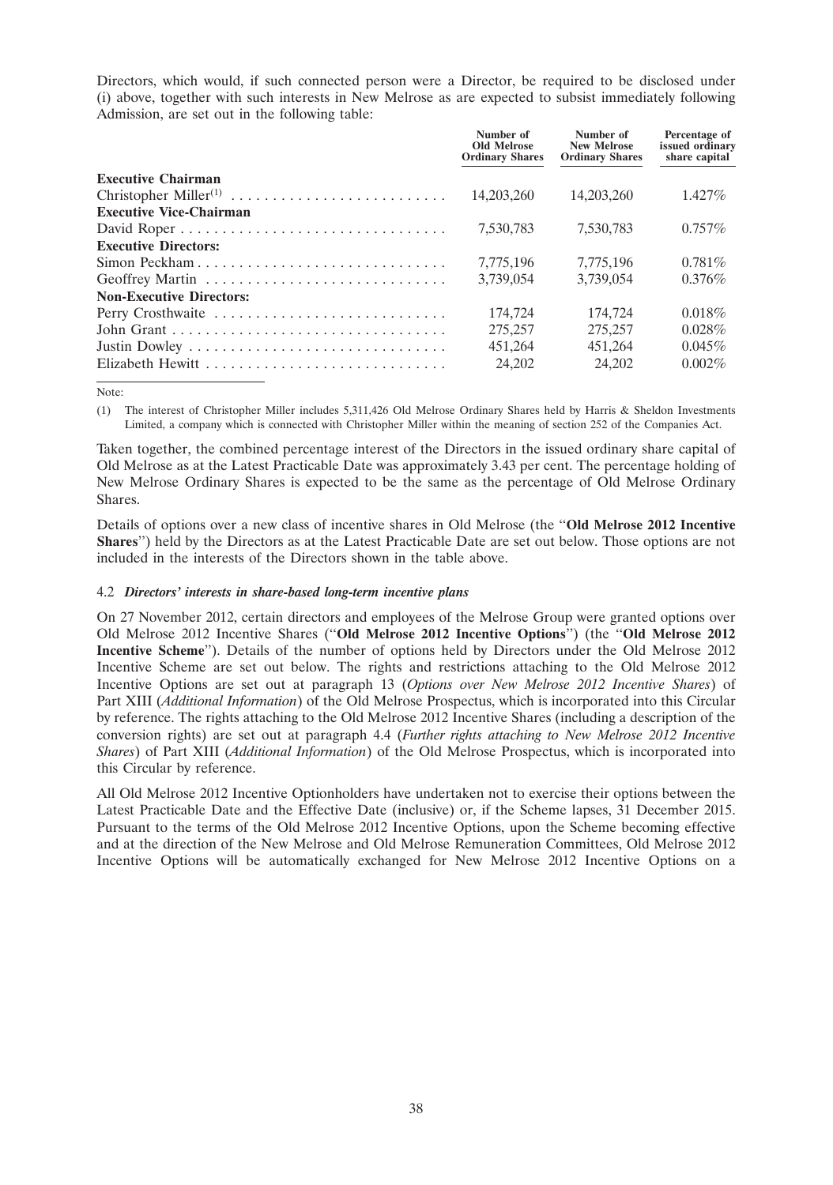Directors, which would, if such connected person were a Director, be required to be disclosed under (i) above, together with such interests in New Melrose as are expected to subsist immediately following Admission, are set out in the following table:

|                                 | Number of<br><b>Old Melrose</b><br><b>Ordinary Shares</b> | Number of<br><b>New Melrose</b><br><b>Ordinary Shares</b> | Percentage of<br>issued ordinary<br>share capital |
|---------------------------------|-----------------------------------------------------------|-----------------------------------------------------------|---------------------------------------------------|
| <b>Executive Chairman</b>       |                                                           |                                                           |                                                   |
|                                 | 14,203,260                                                | 14,203,260                                                | $1.427\%$                                         |
| <b>Executive Vice-Chairman</b>  |                                                           |                                                           |                                                   |
|                                 | 7,530,783                                                 | 7.530.783                                                 | $0.757\%$                                         |
| <b>Executive Directors:</b>     |                                                           |                                                           |                                                   |
| Simon Peckham                   | 7,775,196                                                 | 7,775,196                                                 | $0.781\%$                                         |
|                                 | 3,739,054                                                 | 3,739,054                                                 | $0.376\%$                                         |
| <b>Non-Executive Directors:</b> |                                                           |                                                           |                                                   |
| Perry Crosthwaite               | 174,724                                                   | 174,724                                                   | $0.018\%$                                         |
|                                 | 275,257                                                   | 275,257                                                   | $0.028\%$                                         |
|                                 | 451,264                                                   | 451,264                                                   | 0.045%                                            |
|                                 | 24,202                                                    | 24,202                                                    | $0.002\%$                                         |

Note:

(1) The interest of Christopher Miller includes 5,311,426 Old Melrose Ordinary Shares held by Harris & Sheldon Investments Limited, a company which is connected with Christopher Miller within the meaning of section 252 of the Companies Act.

Taken together, the combined percentage interest of the Directors in the issued ordinary share capital of Old Melrose as at the Latest Practicable Date was approximately 3.43 per cent. The percentage holding of New Melrose Ordinary Shares is expected to be the same as the percentage of Old Melrose Ordinary Shares.

Details of options over a new class of incentive shares in Old Melrose (the ''**Old Melrose 2012 Incentive Shares**'') held by the Directors as at the Latest Practicable Date are set out below. Those options are not included in the interests of the Directors shown in the table above.

#### 4.2 *Directors' interests in share-based long-term incentive plans*

On 27 November 2012, certain directors and employees of the Melrose Group were granted options over Old Melrose 2012 Incentive Shares (''**Old Melrose 2012 Incentive Options**'') (the ''**Old Melrose 2012 Incentive Scheme**''). Details of the number of options held by Directors under the Old Melrose 2012 Incentive Scheme are set out below. The rights and restrictions attaching to the Old Melrose 2012 Incentive Options are set out at paragraph 13 (*Options over New Melrose 2012 Incentive Shares*) of Part XIII (*Additional Information*) of the Old Melrose Prospectus, which is incorporated into this Circular by reference. The rights attaching to the Old Melrose 2012 Incentive Shares (including a description of the conversion rights) are set out at paragraph 4.4 (*Further rights attaching to New Melrose 2012 Incentive Shares*) of Part XIII (*Additional Information*) of the Old Melrose Prospectus, which is incorporated into this Circular by reference.

All Old Melrose 2012 Incentive Optionholders have undertaken not to exercise their options between the Latest Practicable Date and the Effective Date (inclusive) or, if the Scheme lapses, 31 December 2015. Pursuant to the terms of the Old Melrose 2012 Incentive Options, upon the Scheme becoming effective and at the direction of the New Melrose and Old Melrose Remuneration Committees, Old Melrose 2012 Incentive Options will be automatically exchanged for New Melrose 2012 Incentive Options on a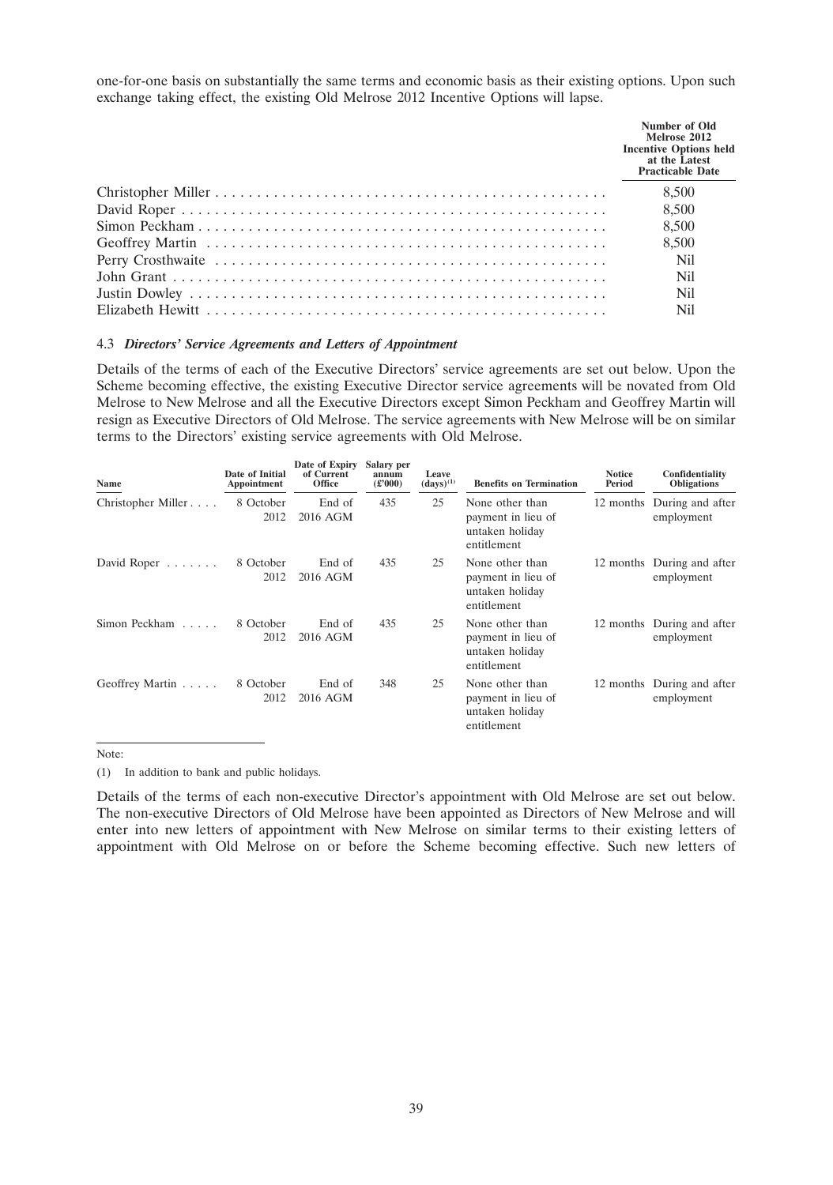one-for-one basis on substantially the same terms and economic basis as their existing options. Upon such exchange taking effect, the existing Old Melrose 2012 Incentive Options will lapse.

| Number of Old<br>Melrose 2012<br><b>Incentive Options held</b><br>at the Latest<br><b>Practicable Date</b> |
|------------------------------------------------------------------------------------------------------------|
| 8,500                                                                                                      |
| 8,500                                                                                                      |
| 8,500                                                                                                      |
| 8,500                                                                                                      |
| Nil                                                                                                        |
| Nil                                                                                                        |
| Nil                                                                                                        |
| Nil                                                                                                        |

#### 4.3 *Directors' Service Agreements and Letters of Appointment*

Details of the terms of each of the Executive Directors' service agreements are set out below. Upon the Scheme becoming effective, the existing Executive Director service agreements will be novated from Old Melrose to New Melrose and all the Executive Directors except Simon Peckham and Geoffrey Martin will resign as Executive Directors of Old Melrose. The service agreements with New Melrose will be on similar terms to the Directors' existing service agreements with Old Melrose.

| Name                      | Date of Initial<br>Appointment | Date of Expiry<br>of Current<br>Office | Salary per<br>annum<br>(E'000) | Leave<br>$(days)^{(1)}$ | <b>Benefits on Termination</b>                                          | <b>Notice</b><br>Period | Confidentiality<br><b>Obligations</b>    |
|---------------------------|--------------------------------|----------------------------------------|--------------------------------|-------------------------|-------------------------------------------------------------------------|-------------------------|------------------------------------------|
| Christopher Miller        | 8 October<br>2012              | End of<br>2016 AGM                     | 435                            | 25                      | None other than<br>payment in lieu of<br>untaken holiday<br>entitlement |                         | 12 months During and after<br>employment |
| David Roper $\dots \dots$ | 8 October<br>2012              | End of<br>2016 AGM                     | 435                            | 25                      | None other than<br>payment in lieu of<br>untaken holiday<br>entitlement |                         | 12 months During and after<br>employment |
| Simon Peckham             | 8 October<br>2012              | End of<br>2016 AGM                     | 435                            | 25                      | None other than<br>payment in lieu of<br>untaken holiday<br>entitlement |                         | 12 months During and after<br>employment |
| Geoffrey Martin           | 8 October<br>2012              | End of<br>2016 AGM                     | 348                            | 25                      | None other than<br>payment in lieu of<br>untaken holiday<br>entitlement |                         | 12 months During and after<br>employment |

#### Note:

(1) In addition to bank and public holidays.

Details of the terms of each non-executive Director's appointment with Old Melrose are set out below. The non-executive Directors of Old Melrose have been appointed as Directors of New Melrose and will enter into new letters of appointment with New Melrose on similar terms to their existing letters of appointment with Old Melrose on or before the Scheme becoming effective. Such new letters of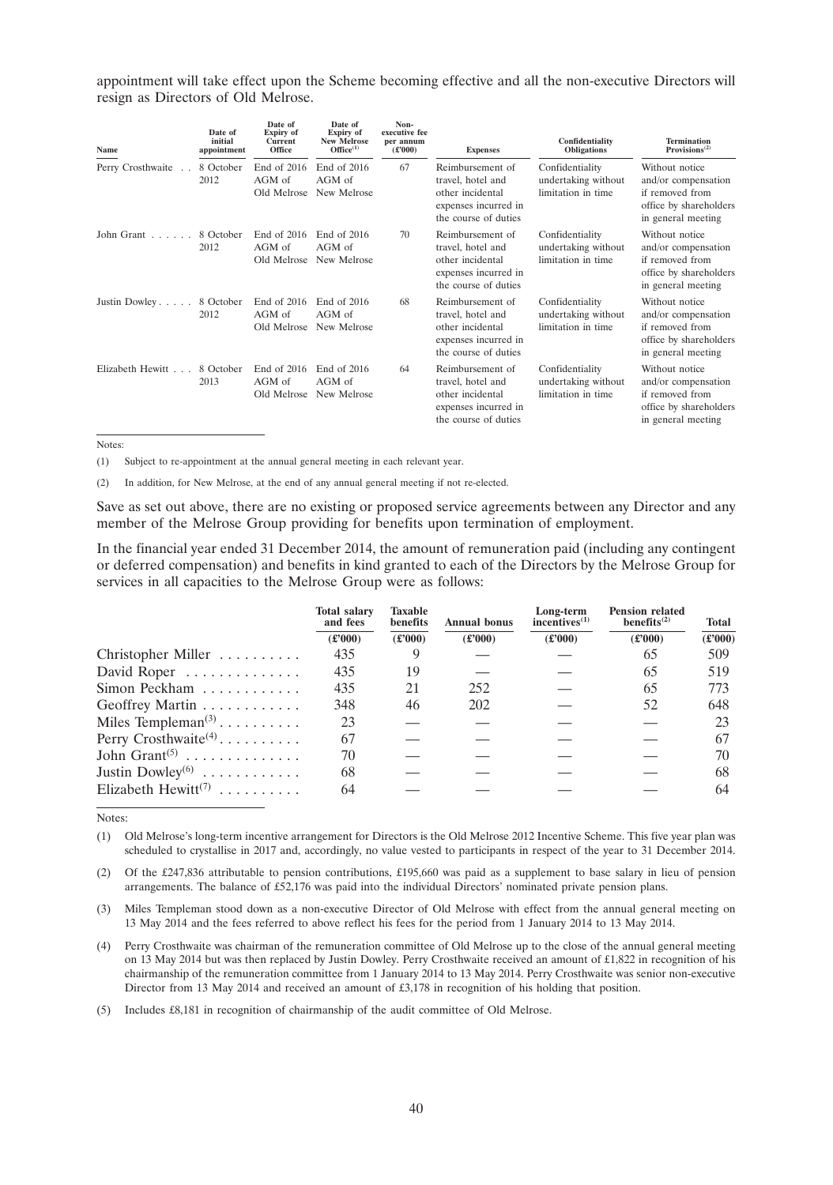appointment will take effect upon the Scheme becoming effective and all the non-executive Directors will resign as Directors of Old Melrose.

| Name                    | Date of<br>initial<br>appointment | Date of<br>Expiry of<br>Current<br>Office | Date of<br>Expiry of<br><b>New Melrose</b><br>$Office^{(1)}$ | Non-<br>executive fee<br>per annum<br>(E'000) | <b>Expenses</b>                                                                                           | Confidentiality<br><b>Obligations</b>                        | <b>Termination</b><br>Provisions <sup>(2)</sup>                                                          |
|-------------------------|-----------------------------------|-------------------------------------------|--------------------------------------------------------------|-----------------------------------------------|-----------------------------------------------------------------------------------------------------------|--------------------------------------------------------------|----------------------------------------------------------------------------------------------------------|
| Perry Crosthwaite       | 8 October<br>2012                 | End of $2016$<br>AGM of<br>Old Melrose    | End of 2016<br>AGM of<br>New Melrose                         | 67                                            | Reimbursement of<br>travel, hotel and<br>other incidental<br>expenses incurred in<br>the course of duties | Confidentiality<br>undertaking without<br>limitation in time | Without notice<br>and/or compensation<br>if removed from<br>office by shareholders<br>in general meeting |
| John Grant $\ldots$ .   | 8 October<br>2012                 | End of $2016$<br>AGM of<br>Old Melrose    | End of 2016<br>AGM of<br>New Melrose                         | 70                                            | Reimbursement of<br>travel, hotel and<br>other incidental<br>expenses incurred in<br>the course of duties | Confidentiality<br>undertaking without<br>limitation in time | Without notice<br>and/or compensation<br>if removed from<br>office by shareholders<br>in general meeting |
| Justin Dowley 8 October | 2012                              | End of $2016$<br>$AGM$ of<br>Old Melrose  | End of 2016<br>$AGM$ of<br>New Melrose                       | 68                                            | Reimbursement of<br>travel, hotel and<br>other incidental<br>expenses incurred in<br>the course of duties | Confidentiality<br>undertaking without<br>limitation in time | Without notice<br>and/or compensation<br>if removed from<br>office by shareholders<br>in general meeting |
| Elizabeth Hewitt        | 8 October<br>2013                 | End of $2016$<br>AGM of<br>Old Melrose    | End of 2016<br>AGM of<br>New Melrose                         | 64                                            | Reimbursement of<br>travel, hotel and<br>other incidental<br>expenses incurred in<br>the course of duties | Confidentiality<br>undertaking without<br>limitation in time | Without notice<br>and/or compensation<br>if removed from<br>office by shareholders<br>in general meeting |

Notes:

(1) Subject to re-appointment at the annual general meeting in each relevant year.

(2) In addition, for New Melrose, at the end of any annual general meeting if not re-elected.

Save as set out above, there are no existing or proposed service agreements between any Director and any member of the Melrose Group providing for benefits upon termination of employment.

In the financial year ended 31 December 2014, the amount of remuneration paid (including any contingent or deferred compensation) and benefits in kind granted to each of the Directors by the Melrose Group for services in all capacities to the Melrose Group were as follows:

|                                             | <b>Total salary</b><br>and fees | <b>Taxable</b><br><b>benefits</b> | <b>Annual bonus</b> | Long-term<br>incentives <sup>(1)</sup> | <b>Pension related</b><br>benefits $^{(2)}$ | <b>Total</b> |
|---------------------------------------------|---------------------------------|-----------------------------------|---------------------|----------------------------------------|---------------------------------------------|--------------|
|                                             | (E'000)                         | (E'000)                           | (E'000)             | (E'000)                                | (E'000)                                     | (E'000)      |
| Christopher Miller                          | 435                             |                                   |                     |                                        | 65                                          | 509          |
| David Roper                                 | 435                             | 19                                |                     |                                        | 65                                          | 519          |
| Simon Peckham                               | 435                             | 21                                | 252                 |                                        | 65                                          | 773          |
| Geoffrey Martin                             | 348                             | 46                                | 202                 |                                        | 52                                          | 648          |
| Miles Templeman <sup><math>(3)</math></sup> | 23                              |                                   |                     |                                        |                                             | 23           |
| Perry Crosthwaite <sup>(4)</sup> .          | 67                              |                                   |                     |                                        |                                             | 67           |
| John Grant <sup><math>(5)</math></sup>      | 70                              |                                   |                     |                                        |                                             | 70           |
| Justin Dowley <sup>(6)</sup>                | 68                              |                                   |                     |                                        |                                             | 68           |
| Elizabeth Hewitt <sup>(7)</sup>             | 64                              |                                   |                     |                                        |                                             | 64           |

Notes:

(1) Old Melrose's long-term incentive arrangement for Directors is the Old Melrose 2012 Incentive Scheme. This five year plan was scheduled to crystallise in 2017 and, accordingly, no value vested to participants in respect of the year to 31 December 2014.

(2) Of the £247,836 attributable to pension contributions, £195,660 was paid as a supplement to base salary in lieu of pension arrangements. The balance of £52,176 was paid into the individual Directors' nominated private pension plans.

(3) Miles Templeman stood down as a non-executive Director of Old Melrose with effect from the annual general meeting on 13 May 2014 and the fees referred to above reflect his fees for the period from 1 January 2014 to 13 May 2014.

(4) Perry Crosthwaite was chairman of the remuneration committee of Old Melrose up to the close of the annual general meeting on 13 May 2014 but was then replaced by Justin Dowley. Perry Crosthwaite received an amount of £1,822 in recognition of his chairmanship of the remuneration committee from 1 January 2014 to 13 May 2014. Perry Crosthwaite was senior non-executive Director from 13 May 2014 and received an amount of £3,178 in recognition of his holding that position.

(5) Includes £8,181 in recognition of chairmanship of the audit committee of Old Melrose.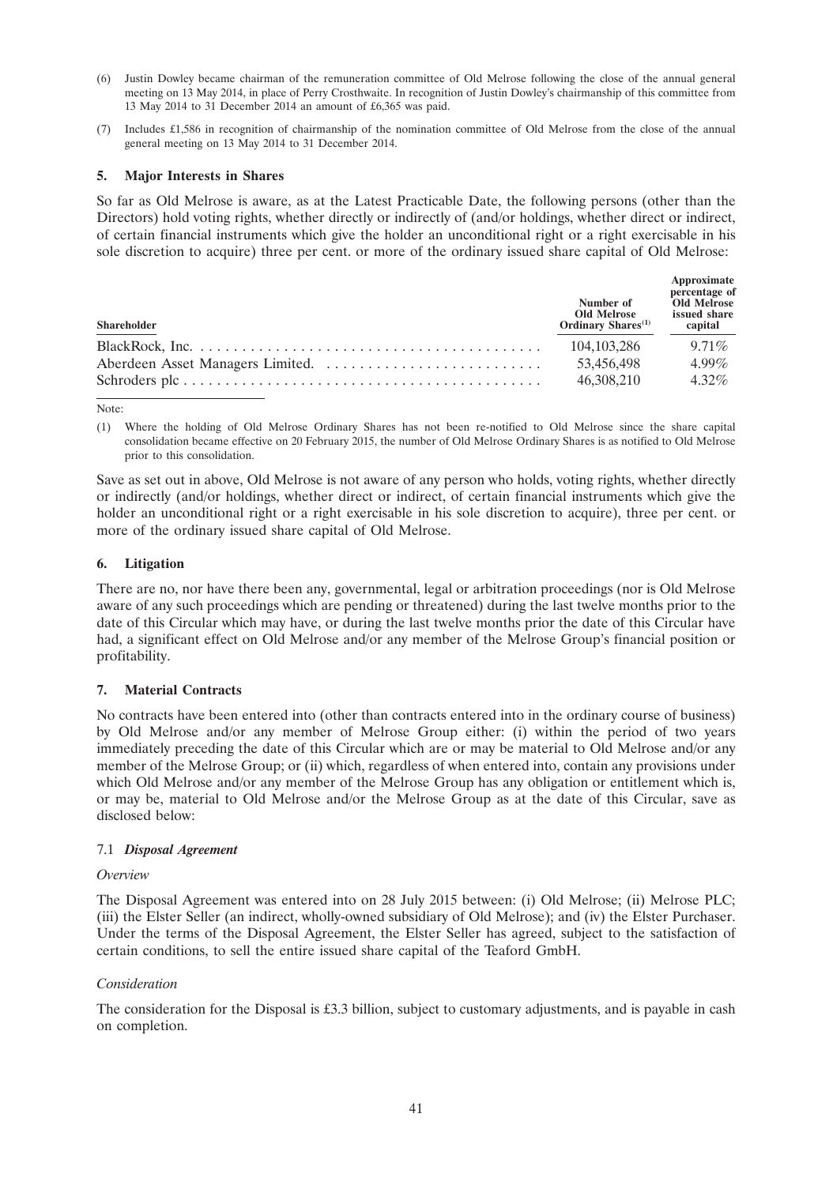- (6) Justin Dowley became chairman of the remuneration committee of Old Melrose following the close of the annual general meeting on 13 May 2014, in place of Perry Crosthwaite. In recognition of Justin Dowley's chairmanship of this committee from 13 May 2014 to 31 December 2014 an amount of £6,365 was paid.
- (7) Includes £1,586 in recognition of chairmanship of the nomination committee of Old Melrose from the close of the annual general meeting on 13 May 2014 to 31 December 2014.

#### **5. Major Interests in Shares**

So far as Old Melrose is aware, as at the Latest Practicable Date, the following persons (other than the Directors) hold voting rights, whether directly or indirectly of (and/or holdings, whether direct or indirect, of certain financial instruments which give the holder an unconditional right or a right exercisable in his sole discretion to acquire) three per cent. or more of the ordinary issued share capital of Old Melrose:

| <b>Shareholder</b> | Number of<br>Old Melrose<br>Ordinary Shares <sup>(1)</sup> | Approximate<br>percentage of<br>Old Melrose<br>issued share<br>capital |
|--------------------|------------------------------------------------------------|------------------------------------------------------------------------|
|                    | 104, 103, 286                                              | $9.71\%$                                                               |
|                    | 53,456,498                                                 | $4.99\%$                                                               |
|                    | 46,308,210                                                 | $4.32\%$                                                               |

Note:

Save as set out in above, Old Melrose is not aware of any person who holds, voting rights, whether directly or indirectly (and/or holdings, whether direct or indirect, of certain financial instruments which give the holder an unconditional right or a right exercisable in his sole discretion to acquire), three per cent. or more of the ordinary issued share capital of Old Melrose.

# **6. Litigation**

There are no, nor have there been any, governmental, legal or arbitration proceedings (nor is Old Melrose aware of any such proceedings which are pending or threatened) during the last twelve months prior to the date of this Circular which may have, or during the last twelve months prior the date of this Circular have had, a significant effect on Old Melrose and/or any member of the Melrose Group's financial position or profitability.

#### **7. Material Contracts**

No contracts have been entered into (other than contracts entered into in the ordinary course of business) by Old Melrose and/or any member of Melrose Group either: (i) within the period of two years immediately preceding the date of this Circular which are or may be material to Old Melrose and/or any member of the Melrose Group; or (ii) which, regardless of when entered into, contain any provisions under which Old Melrose and/or any member of the Melrose Group has any obligation or entitlement which is, or may be, material to Old Melrose and/or the Melrose Group as at the date of this Circular, save as disclosed below:

#### 7.1 *Disposal Agreement*

#### *Overview*

The Disposal Agreement was entered into on 28 July 2015 between: (i) Old Melrose; (ii) Melrose PLC; (iii) the Elster Seller (an indirect, wholly-owned subsidiary of Old Melrose); and (iv) the Elster Purchaser. Under the terms of the Disposal Agreement, the Elster Seller has agreed, subject to the satisfaction of certain conditions, to sell the entire issued share capital of the Teaford GmbH.

# *Consideration*

The consideration for the Disposal is £3.3 billion, subject to customary adjustments, and is payable in cash on completion.

<sup>(1)</sup> Where the holding of Old Melrose Ordinary Shares has not been re-notified to Old Melrose since the share capital consolidation became effective on 20 February 2015, the number of Old Melrose Ordinary Shares is as notified to Old Melrose prior to this consolidation.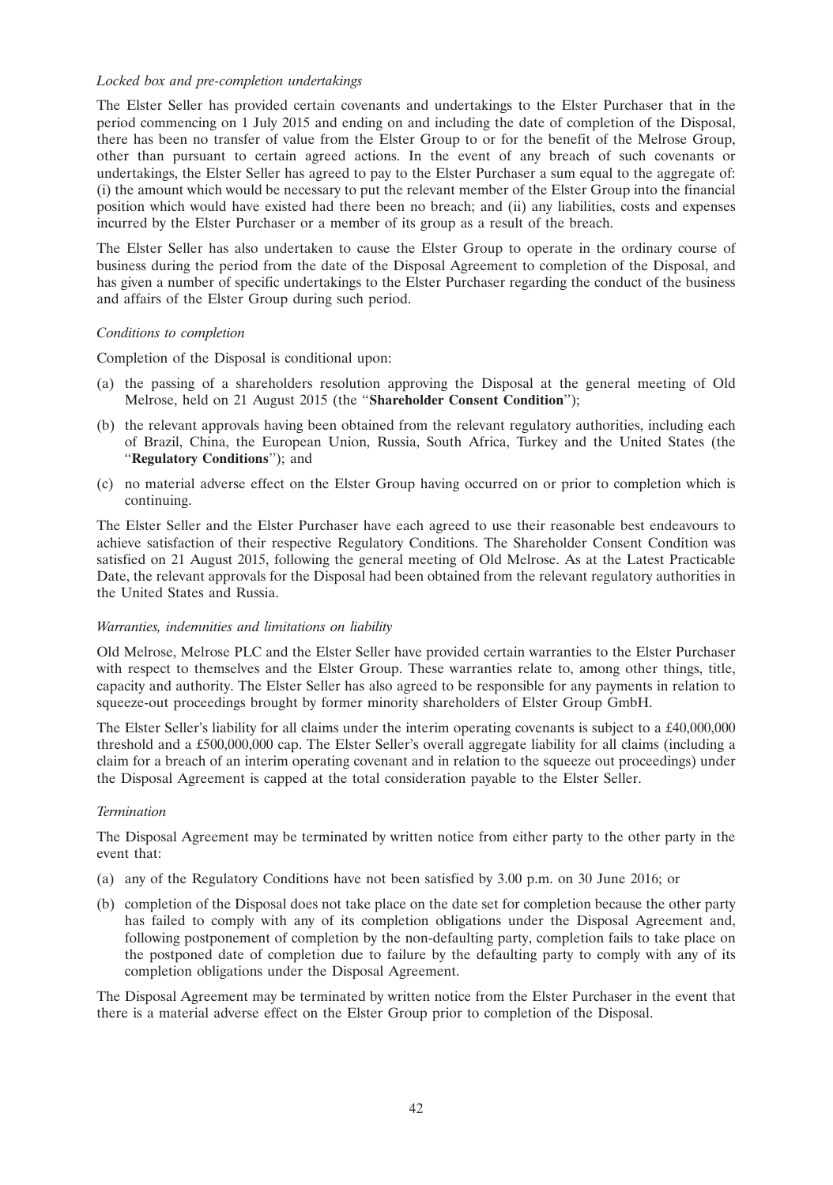#### *Locked box and pre-completion undertakings*

The Elster Seller has provided certain covenants and undertakings to the Elster Purchaser that in the period commencing on 1 July 2015 and ending on and including the date of completion of the Disposal, there has been no transfer of value from the Elster Group to or for the benefit of the Melrose Group, other than pursuant to certain agreed actions. In the event of any breach of such covenants or undertakings, the Elster Seller has agreed to pay to the Elster Purchaser a sum equal to the aggregate of: (i) the amount which would be necessary to put the relevant member of the Elster Group into the financial position which would have existed had there been no breach; and (ii) any liabilities, costs and expenses incurred by the Elster Purchaser or a member of its group as a result of the breach.

The Elster Seller has also undertaken to cause the Elster Group to operate in the ordinary course of business during the period from the date of the Disposal Agreement to completion of the Disposal, and has given a number of specific undertakings to the Elster Purchaser regarding the conduct of the business and affairs of the Elster Group during such period.

#### *Conditions to completion*

Completion of the Disposal is conditional upon:

- (a) the passing of a shareholders resolution approving the Disposal at the general meeting of Old Melrose, held on 21 August 2015 (the ''**Shareholder Consent Condition**'');
- (b) the relevant approvals having been obtained from the relevant regulatory authorities, including each of Brazil, China, the European Union, Russia, South Africa, Turkey and the United States (the ''**Regulatory Conditions**''); and
- (c) no material adverse effect on the Elster Group having occurred on or prior to completion which is continuing.

The Elster Seller and the Elster Purchaser have each agreed to use their reasonable best endeavours to achieve satisfaction of their respective Regulatory Conditions. The Shareholder Consent Condition was satisfied on 21 August 2015, following the general meeting of Old Melrose. As at the Latest Practicable Date, the relevant approvals for the Disposal had been obtained from the relevant regulatory authorities in the United States and Russia.

#### *Warranties, indemnities and limitations on liability*

Old Melrose, Melrose PLC and the Elster Seller have provided certain warranties to the Elster Purchaser with respect to themselves and the Elster Group. These warranties relate to, among other things, title, capacity and authority. The Elster Seller has also agreed to be responsible for any payments in relation to squeeze-out proceedings brought by former minority shareholders of Elster Group GmbH.

The Elster Seller's liability for all claims under the interim operating covenants is subject to a £40,000,000 threshold and a £500,000,000 cap. The Elster Seller's overall aggregate liability for all claims (including a claim for a breach of an interim operating covenant and in relation to the squeeze out proceedings) under the Disposal Agreement is capped at the total consideration payable to the Elster Seller.

#### *Termination*

The Disposal Agreement may be terminated by written notice from either party to the other party in the event that:

- (a) any of the Regulatory Conditions have not been satisfied by 3.00 p.m. on 30 June 2016; or
- (b) completion of the Disposal does not take place on the date set for completion because the other party has failed to comply with any of its completion obligations under the Disposal Agreement and, following postponement of completion by the non-defaulting party, completion fails to take place on the postponed date of completion due to failure by the defaulting party to comply with any of its completion obligations under the Disposal Agreement.

The Disposal Agreement may be terminated by written notice from the Elster Purchaser in the event that there is a material adverse effect on the Elster Group prior to completion of the Disposal.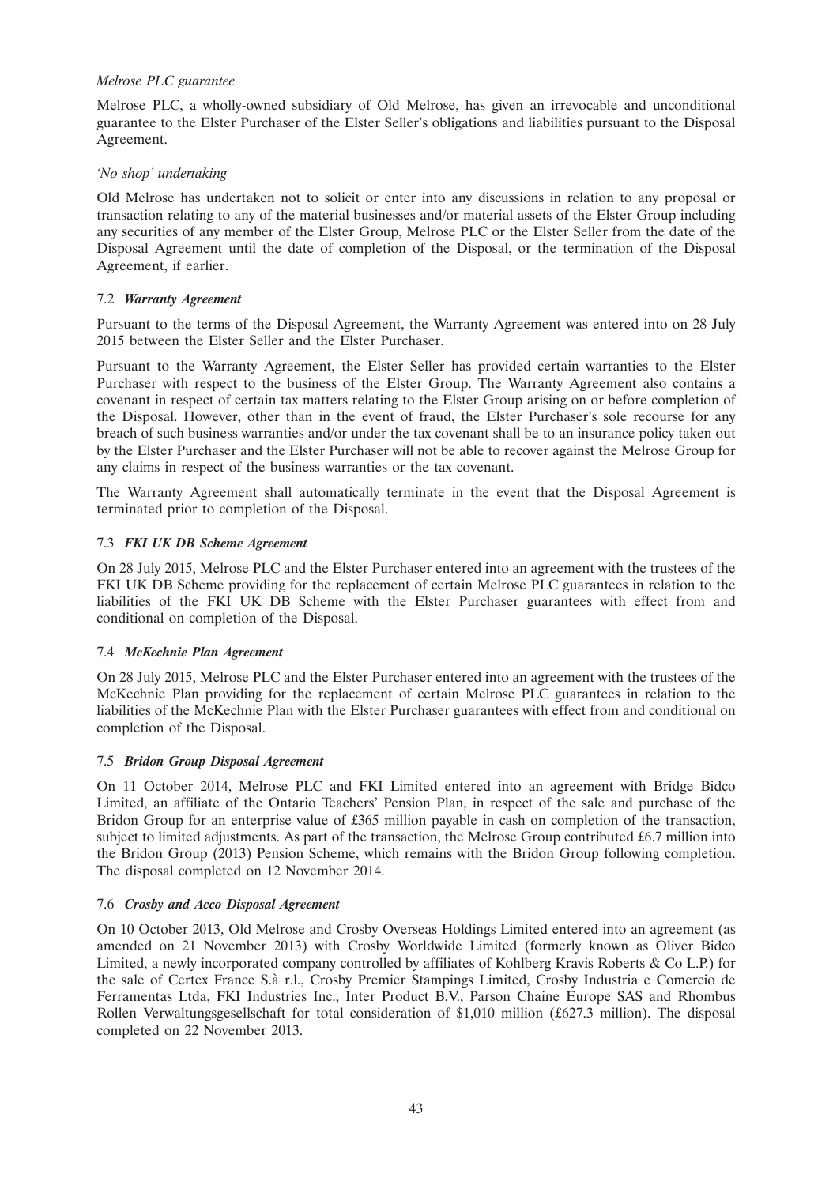# *Melrose PLC guarantee*

Melrose PLC, a wholly-owned subsidiary of Old Melrose, has given an irrevocable and unconditional guarantee to the Elster Purchaser of the Elster Seller's obligations and liabilities pursuant to the Disposal Agreement.

# *'No shop' undertaking*

Old Melrose has undertaken not to solicit or enter into any discussions in relation to any proposal or transaction relating to any of the material businesses and/or material assets of the Elster Group including any securities of any member of the Elster Group, Melrose PLC or the Elster Seller from the date of the Disposal Agreement until the date of completion of the Disposal, or the termination of the Disposal Agreement, if earlier.

# 7.2 *Warranty Agreement*

Pursuant to the terms of the Disposal Agreement, the Warranty Agreement was entered into on 28 July 2015 between the Elster Seller and the Elster Purchaser.

Pursuant to the Warranty Agreement, the Elster Seller has provided certain warranties to the Elster Purchaser with respect to the business of the Elster Group. The Warranty Agreement also contains a covenant in respect of certain tax matters relating to the Elster Group arising on or before completion of the Disposal. However, other than in the event of fraud, the Elster Purchaser's sole recourse for any breach of such business warranties and/or under the tax covenant shall be to an insurance policy taken out by the Elster Purchaser and the Elster Purchaser will not be able to recover against the Melrose Group for any claims in respect of the business warranties or the tax covenant.

The Warranty Agreement shall automatically terminate in the event that the Disposal Agreement is terminated prior to completion of the Disposal.

# 7.3 *FKI UK DB Scheme Agreement*

On 28 July 2015, Melrose PLC and the Elster Purchaser entered into an agreement with the trustees of the FKI UK DB Scheme providing for the replacement of certain Melrose PLC guarantees in relation to the liabilities of the FKI UK DB Scheme with the Elster Purchaser guarantees with effect from and conditional on completion of the Disposal.

#### 7.4 *McKechnie Plan Agreement*

On 28 July 2015, Melrose PLC and the Elster Purchaser entered into an agreement with the trustees of the McKechnie Plan providing for the replacement of certain Melrose PLC guarantees in relation to the liabilities of the McKechnie Plan with the Elster Purchaser guarantees with effect from and conditional on completion of the Disposal.

#### 7.5 *Bridon Group Disposal Agreement*

On 11 October 2014, Melrose PLC and FKI Limited entered into an agreement with Bridge Bidco Limited, an affiliate of the Ontario Teachers' Pension Plan, in respect of the sale and purchase of the Bridon Group for an enterprise value of £365 million payable in cash on completion of the transaction, subject to limited adjustments. As part of the transaction, the Melrose Group contributed £6.7 million into the Bridon Group (2013) Pension Scheme, which remains with the Bridon Group following completion. The disposal completed on 12 November 2014.

#### 7.6 *Crosby and Acco Disposal Agreement*

On 10 October 2013, Old Melrose and Crosby Overseas Holdings Limited entered into an agreement (as amended on 21 November 2013) with Crosby Worldwide Limited (formerly known as Oliver Bidco Limited, a newly incorporated company controlled by affiliates of Kohlberg Kravis Roberts & Co L.P.) for the sale of Certex France S.a r.l., Crosby Premier Stampings Limited, Crosby Industria e Comercio de ` Ferramentas Ltda, FKI Industries Inc., Inter Product B.V., Parson Chaine Europe SAS and Rhombus Rollen Verwaltungsgesellschaft for total consideration of \$1,010 million (£627.3 million). The disposal completed on 22 November 2013.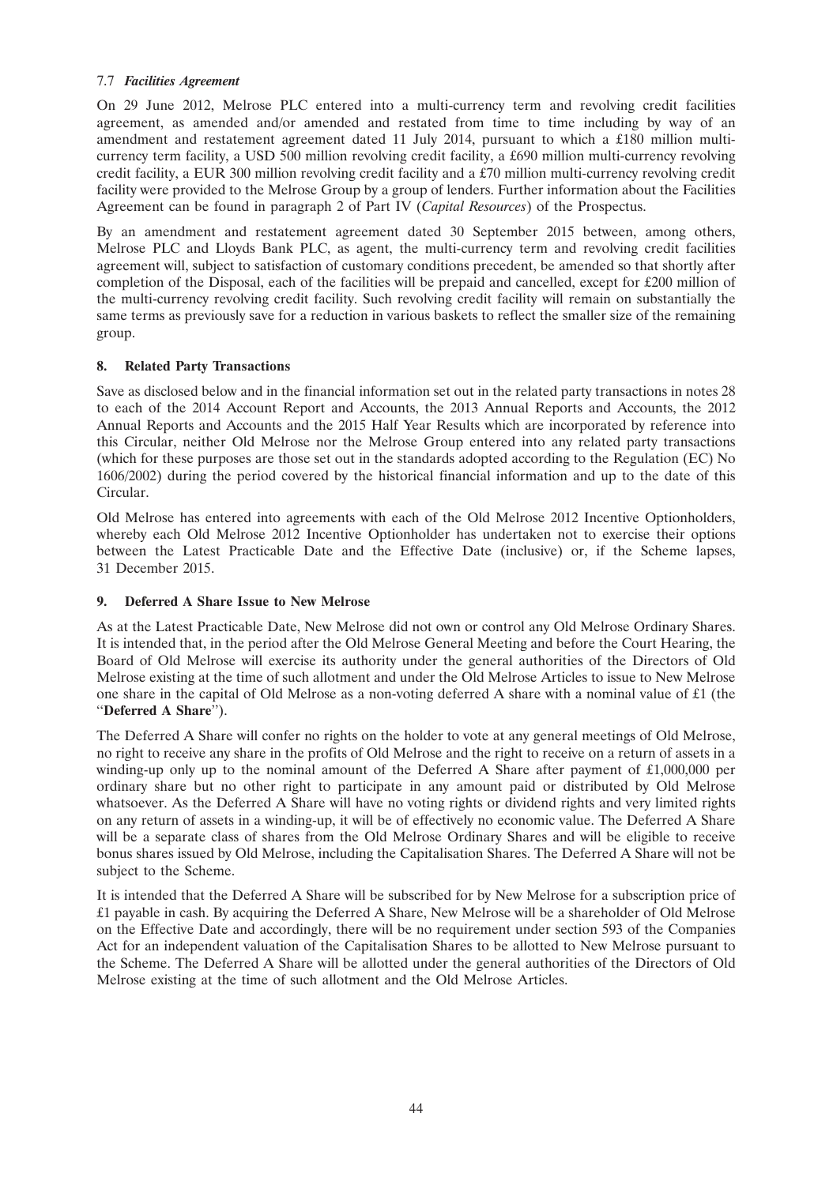# 7.7 *Facilities Agreement*

On 29 June 2012, Melrose PLC entered into a multi-currency term and revolving credit facilities agreement, as amended and/or amended and restated from time to time including by way of an amendment and restatement agreement dated 11 July 2014, pursuant to which a £180 million multicurrency term facility, a USD 500 million revolving credit facility, a £690 million multi-currency revolving credit facility, a EUR 300 million revolving credit facility and a £70 million multi-currency revolving credit facility were provided to the Melrose Group by a group of lenders. Further information about the Facilities Agreement can be found in paragraph 2 of Part IV (*Capital Resources*) of the Prospectus.

By an amendment and restatement agreement dated 30 September 2015 between, among others, Melrose PLC and Lloyds Bank PLC, as agent, the multi-currency term and revolving credit facilities agreement will, subject to satisfaction of customary conditions precedent, be amended so that shortly after completion of the Disposal, each of the facilities will be prepaid and cancelled, except for £200 million of the multi-currency revolving credit facility. Such revolving credit facility will remain on substantially the same terms as previously save for a reduction in various baskets to reflect the smaller size of the remaining group.

# **8. Related Party Transactions**

Save as disclosed below and in the financial information set out in the related party transactions in notes 28 to each of the 2014 Account Report and Accounts, the 2013 Annual Reports and Accounts, the 2012 Annual Reports and Accounts and the 2015 Half Year Results which are incorporated by reference into this Circular, neither Old Melrose nor the Melrose Group entered into any related party transactions (which for these purposes are those set out in the standards adopted according to the Regulation (EC) No 1606/2002) during the period covered by the historical financial information and up to the date of this Circular.

Old Melrose has entered into agreements with each of the Old Melrose 2012 Incentive Optionholders, whereby each Old Melrose 2012 Incentive Optionholder has undertaken not to exercise their options between the Latest Practicable Date and the Effective Date (inclusive) or, if the Scheme lapses, 31 December 2015.

# **9. Deferred A Share Issue to New Melrose**

As at the Latest Practicable Date, New Melrose did not own or control any Old Melrose Ordinary Shares. It is intended that, in the period after the Old Melrose General Meeting and before the Court Hearing, the Board of Old Melrose will exercise its authority under the general authorities of the Directors of Old Melrose existing at the time of such allotment and under the Old Melrose Articles to issue to New Melrose one share in the capital of Old Melrose as a non-voting deferred A share with a nominal value of £1 (the ''**Deferred A Share**'').

The Deferred A Share will confer no rights on the holder to vote at any general meetings of Old Melrose, no right to receive any share in the profits of Old Melrose and the right to receive on a return of assets in a winding-up only up to the nominal amount of the Deferred A Share after payment of £1,000,000 per ordinary share but no other right to participate in any amount paid or distributed by Old Melrose whatsoever. As the Deferred A Share will have no voting rights or dividend rights and very limited rights on any return of assets in a winding-up, it will be of effectively no economic value. The Deferred A Share will be a separate class of shares from the Old Melrose Ordinary Shares and will be eligible to receive bonus shares issued by Old Melrose, including the Capitalisation Shares. The Deferred A Share will not be subject to the Scheme.

It is intended that the Deferred A Share will be subscribed for by New Melrose for a subscription price of £1 payable in cash. By acquiring the Deferred A Share, New Melrose will be a shareholder of Old Melrose on the Effective Date and accordingly, there will be no requirement under section 593 of the Companies Act for an independent valuation of the Capitalisation Shares to be allotted to New Melrose pursuant to the Scheme. The Deferred A Share will be allotted under the general authorities of the Directors of Old Melrose existing at the time of such allotment and the Old Melrose Articles.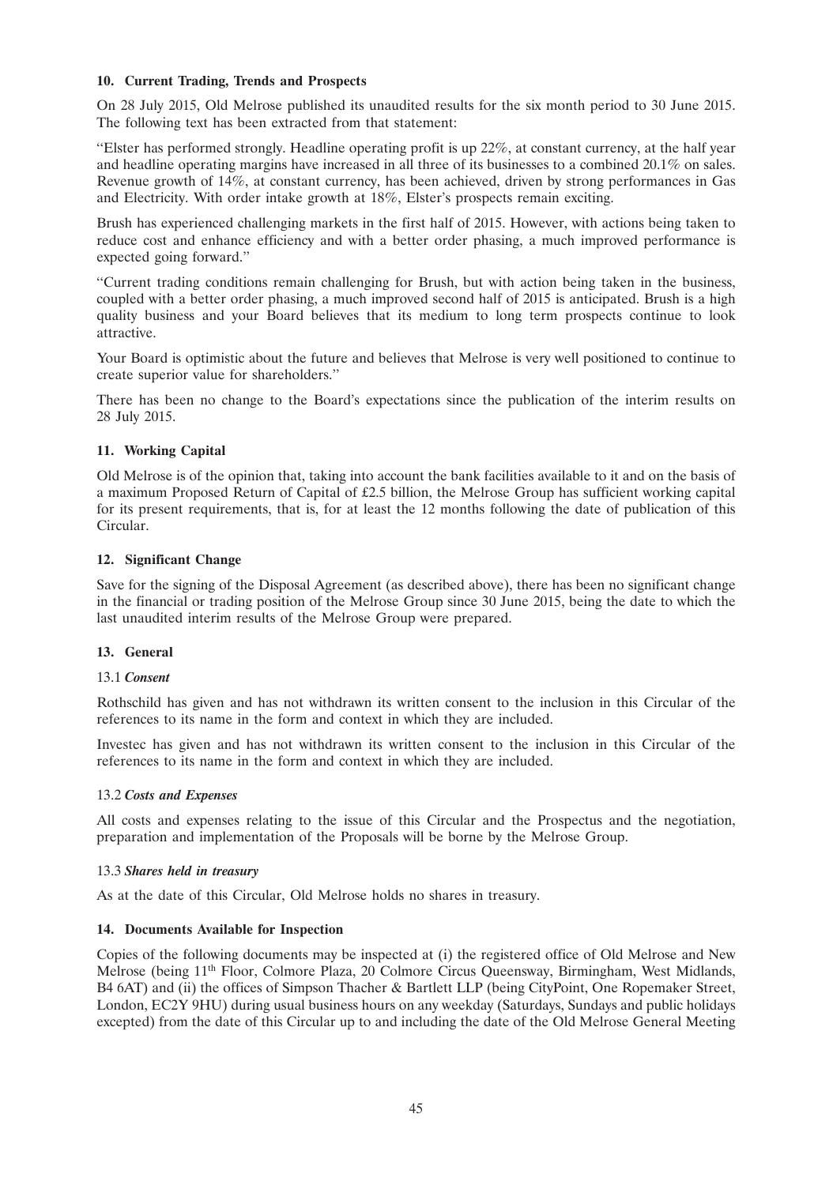# **10. Current Trading, Trends and Prospects**

On 28 July 2015, Old Melrose published its unaudited results for the six month period to 30 June 2015. The following text has been extracted from that statement:

''Elster has performed strongly. Headline operating profit is up 22%, at constant currency, at the half year and headline operating margins have increased in all three of its businesses to a combined 20.1% on sales. Revenue growth of 14%, at constant currency, has been achieved, driven by strong performances in Gas and Electricity. With order intake growth at 18%, Elster's prospects remain exciting.

Brush has experienced challenging markets in the first half of 2015. However, with actions being taken to reduce cost and enhance efficiency and with a better order phasing, a much improved performance is expected going forward.''

''Current trading conditions remain challenging for Brush, but with action being taken in the business, coupled with a better order phasing, a much improved second half of 2015 is anticipated. Brush is a high quality business and your Board believes that its medium to long term prospects continue to look attractive.

Your Board is optimistic about the future and believes that Melrose is very well positioned to continue to create superior value for shareholders.''

There has been no change to the Board's expectations since the publication of the interim results on 28 July 2015.

# **11. Working Capital**

Old Melrose is of the opinion that, taking into account the bank facilities available to it and on the basis of a maximum Proposed Return of Capital of £2.5 billion, the Melrose Group has sufficient working capital for its present requirements, that is, for at least the 12 months following the date of publication of this Circular.

# **12. Significant Change**

Save for the signing of the Disposal Agreement (as described above), there has been no significant change in the financial or trading position of the Melrose Group since 30 June 2015, being the date to which the last unaudited interim results of the Melrose Group were prepared.

# **13. General**

# 13.1 *Consent*

Rothschild has given and has not withdrawn its written consent to the inclusion in this Circular of the references to its name in the form and context in which they are included.

Investec has given and has not withdrawn its written consent to the inclusion in this Circular of the references to its name in the form and context in which they are included.

#### 13.2 *Costs and Expenses*

All costs and expenses relating to the issue of this Circular and the Prospectus and the negotiation, preparation and implementation of the Proposals will be borne by the Melrose Group.

# 13.3 *Shares held in treasury*

As at the date of this Circular, Old Melrose holds no shares in treasury.

#### **14. Documents Available for Inspection**

Copies of the following documents may be inspected at (i) the registered office of Old Melrose and New Melrose (being 11th Floor, Colmore Plaza, 20 Colmore Circus Queensway, Birmingham, West Midlands, B4 6AT) and (ii) the offices of Simpson Thacher & Bartlett LLP (being CityPoint, One Ropemaker Street, London, EC2Y 9HU) during usual business hours on any weekday (Saturdays, Sundays and public holidays excepted) from the date of this Circular up to and including the date of the Old Melrose General Meeting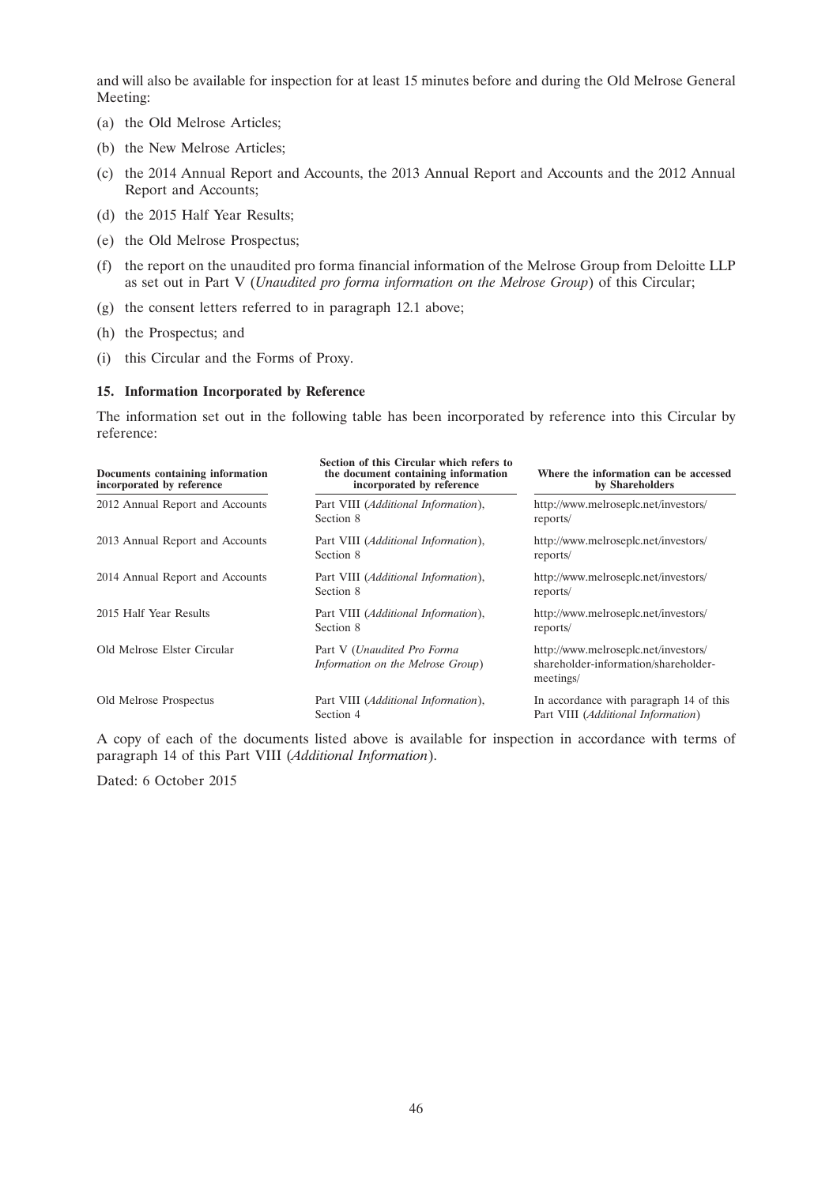and will also be available for inspection for at least 15 minutes before and during the Old Melrose General Meeting:

- (a) the Old Melrose Articles;
- (b) the New Melrose Articles;
- (c) the 2014 Annual Report and Accounts, the 2013 Annual Report and Accounts and the 2012 Annual Report and Accounts;
- (d) the 2015 Half Year Results;
- (e) the Old Melrose Prospectus;
- (f) the report on the unaudited pro forma financial information of the Melrose Group from Deloitte LLP as set out in Part V (*Unaudited pro forma information on the Melrose Group*) of this Circular;
- (g) the consent letters referred to in paragraph 12.1 above;
- (h) the Prospectus; and
- (i) this Circular and the Forms of Proxy.

#### **15. Information Incorporated by Reference**

The information set out in the following table has been incorporated by reference into this Circular by reference:

| Documents containing information<br>incorporated by reference | Section of this Circular which refers to<br>the document containing information<br>incorporated by reference | Where the information can be accessed<br>by Shareholders                                  |  |
|---------------------------------------------------------------|--------------------------------------------------------------------------------------------------------------|-------------------------------------------------------------------------------------------|--|
| 2012 Annual Report and Accounts                               | Part VIII (Additional Information),<br>Section 8                                                             | http://www.melroseplc.net/investors/<br>reports/                                          |  |
| 2013 Annual Report and Accounts                               | Part VIII (Additional Information),<br>Section 8                                                             | http://www.melroseplc.net/investors/<br>reports/                                          |  |
| 2014 Annual Report and Accounts                               | Part VIII (Additional Information),<br>Section 8                                                             | http://www.melroseplc.net/investors/<br>reports/                                          |  |
| 2015 Half Year Results                                        | Part VIII (Additional Information),<br>Section 8                                                             | http://www.melroseplc.net/investors/<br>reports/                                          |  |
| Old Melrose Elster Circular                                   | Part V (Unaudited Pro Forma<br>Information on the Melrose Group)                                             | http://www.melroseplc.net/investors/<br>shareholder-information/shareholder-<br>meetings/ |  |
| Old Melrose Prospectus                                        | Part VIII (Additional Information),<br>Section 4                                                             | In accordance with paragraph 14 of this<br>Part VIII (Additional Information)             |  |

A copy of each of the documents listed above is available for inspection in accordance with terms of paragraph 14 of this Part VIII (*Additional Information*).

Dated: 6 October 2015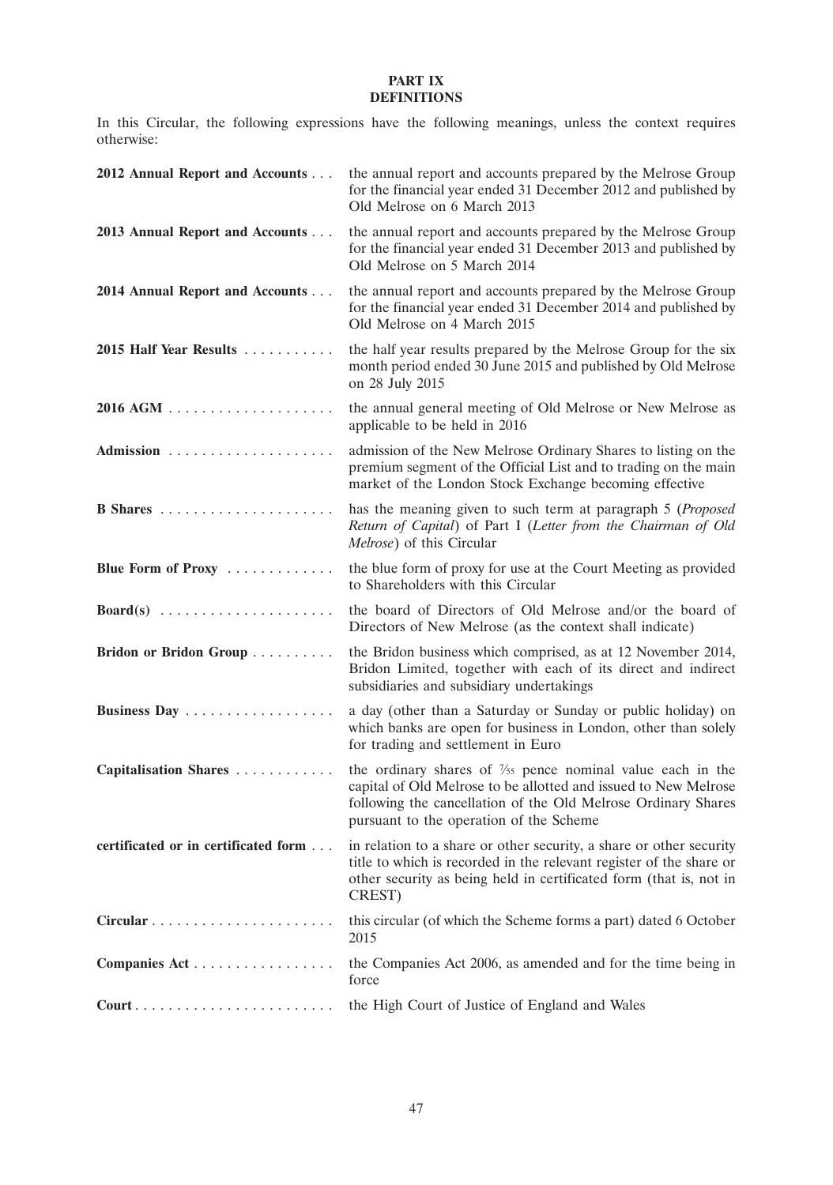# **PART IX DEFINITIONS**

In this Circular, the following expressions have the following meanings, unless the context requires otherwise:

| 2012 Annual Report and Accounts      | the annual report and accounts prepared by the Melrose Group<br>for the financial year ended 31 December 2012 and published by<br>Old Melrose on 6 March 2013                                                                                        |
|--------------------------------------|------------------------------------------------------------------------------------------------------------------------------------------------------------------------------------------------------------------------------------------------------|
| 2013 Annual Report and Accounts      | the annual report and accounts prepared by the Melrose Group<br>for the financial year ended 31 December 2013 and published by<br>Old Melrose on 5 March 2014                                                                                        |
| 2014 Annual Report and Accounts      | the annual report and accounts prepared by the Melrose Group<br>for the financial year ended 31 December 2014 and published by<br>Old Melrose on 4 March 2015                                                                                        |
| 2015 Half Year Results               | the half year results prepared by the Melrose Group for the six<br>month period ended 30 June 2015 and published by Old Melrose<br>on 28 July 2015                                                                                                   |
|                                      | the annual general meeting of Old Melrose or New Melrose as<br>applicable to be held in 2016                                                                                                                                                         |
|                                      | admission of the New Melrose Ordinary Shares to listing on the<br>premium segment of the Official List and to trading on the main<br>market of the London Stock Exchange becoming effective                                                          |
|                                      | has the meaning given to such term at paragraph 5 (Proposed<br>Return of Capital) of Part I (Letter from the Chairman of Old<br>Melrose) of this Circular                                                                                            |
| Blue Form of Proxy                   | the blue form of proxy for use at the Court Meeting as provided<br>to Shareholders with this Circular                                                                                                                                                |
| $Board(s)$                           | the board of Directors of Old Melrose and/or the board of<br>Directors of New Melrose (as the context shall indicate)                                                                                                                                |
| Bridon or Bridon Group               | the Bridon business which comprised, as at 12 November 2014,<br>Bridon Limited, together with each of its direct and indirect<br>subsidiaries and subsidiary undertakings                                                                            |
| Business Day                         | a day (other than a Saturday or Sunday or public holiday) on<br>which banks are open for business in London, other than solely<br>for trading and settlement in Euro                                                                                 |
| Capitalisation Shares                | the ordinary shares of $\frac{7}{55}$ pence nominal value each in the<br>capital of Old Melrose to be allotted and issued to New Melrose<br>following the cancellation of the Old Melrose Ordinary Shares<br>pursuant to the operation of the Scheme |
| certificated or in certificated form | in relation to a share or other security, a share or other security<br>title to which is recorded in the relevant register of the share or<br>other security as being held in certificated form (that is, not in<br>CREST)                           |
|                                      | this circular (of which the Scheme forms a part) dated 6 October<br>2015                                                                                                                                                                             |
| Companies Act                        | the Companies Act 2006, as amended and for the time being in<br>force                                                                                                                                                                                |
|                                      | the High Court of Justice of England and Wales                                                                                                                                                                                                       |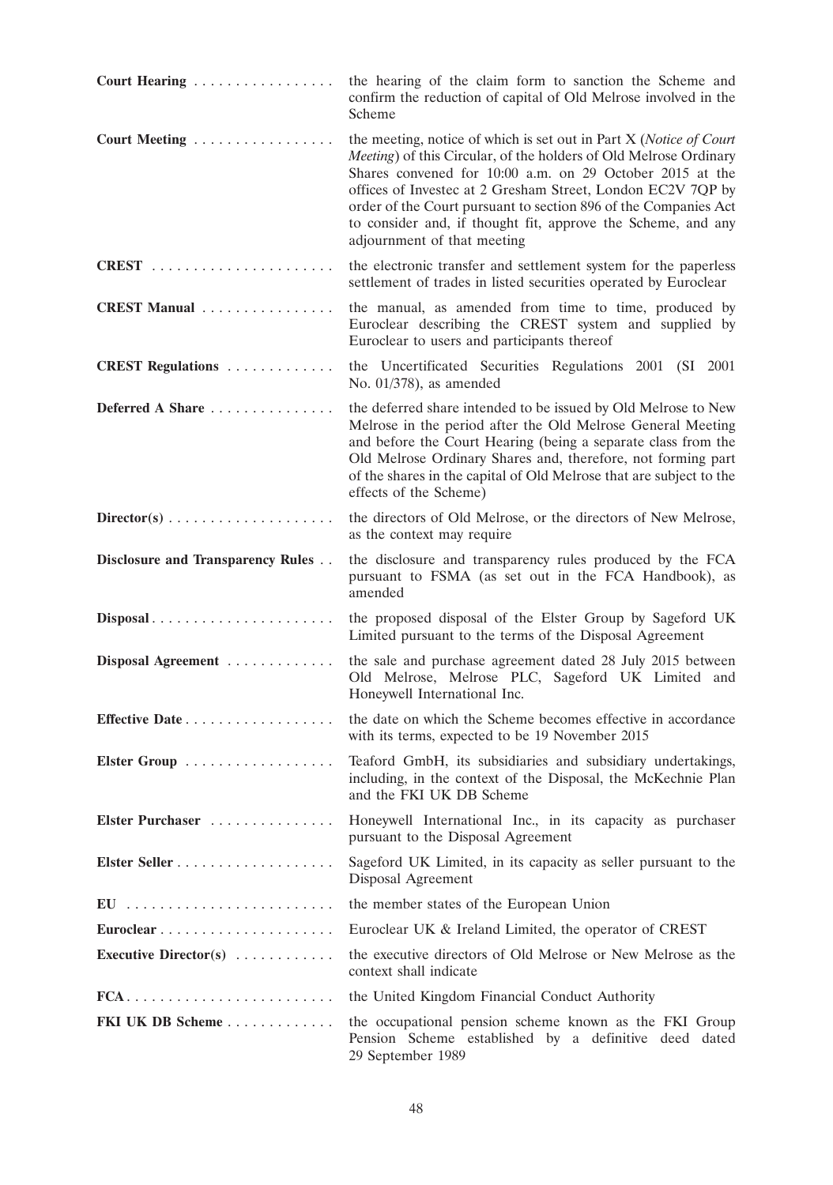| Court Hearing                                                  | the hearing of the claim form to sanction the Scheme and<br>confirm the reduction of capital of Old Melrose involved in the<br>Scheme                                                                                                                                                                                                                                                                                                |
|----------------------------------------------------------------|--------------------------------------------------------------------------------------------------------------------------------------------------------------------------------------------------------------------------------------------------------------------------------------------------------------------------------------------------------------------------------------------------------------------------------------|
| Court Meeting                                                  | the meeting, notice of which is set out in Part X (Notice of Court<br>Meeting) of this Circular, of the holders of Old Melrose Ordinary<br>Shares convened for 10:00 a.m. on 29 October 2015 at the<br>offices of Investec at 2 Gresham Street, London EC2V 7QP by<br>order of the Court pursuant to section 896 of the Companies Act<br>to consider and, if thought fit, approve the Scheme, and any<br>adjournment of that meeting |
|                                                                | the electronic transfer and settlement system for the paperless<br>settlement of trades in listed securities operated by Euroclear                                                                                                                                                                                                                                                                                                   |
| CREST Manual                                                   | the manual, as amended from time to time, produced by<br>Euroclear describing the CREST system and supplied by<br>Euroclear to users and participants thereof                                                                                                                                                                                                                                                                        |
| <b>CREST Regulations </b>                                      | the Uncertificated Securities Regulations 2001 (SI 2001<br>No. $01/378$ ), as amended                                                                                                                                                                                                                                                                                                                                                |
| Deferred A Share                                               | the deferred share intended to be issued by Old Melrose to New<br>Melrose in the period after the Old Melrose General Meeting<br>and before the Court Hearing (being a separate class from the<br>Old Melrose Ordinary Shares and, therefore, not forming part<br>of the shares in the capital of Old Melrose that are subject to the<br>effects of the Scheme)                                                                      |
| $\text{Director}(s) \ldots \ldots \ldots \ldots \ldots \ldots$ | the directors of Old Melrose, or the directors of New Melrose,<br>as the context may require                                                                                                                                                                                                                                                                                                                                         |
| <b>Disclosure and Transparency Rules</b>                       | the disclosure and transparency rules produced by the FCA<br>pursuant to FSMA (as set out in the FCA Handbook), as<br>amended                                                                                                                                                                                                                                                                                                        |
| Disposal                                                       | the proposed disposal of the Elster Group by Sageford UK<br>Limited pursuant to the terms of the Disposal Agreement                                                                                                                                                                                                                                                                                                                  |
| Disposal Agreement                                             | the sale and purchase agreement dated 28 July 2015 between<br>Old Melrose, Melrose PLC, Sageford UK Limited and<br>Honeywell International Inc.                                                                                                                                                                                                                                                                                      |
| Effective Date                                                 | the date on which the Scheme becomes effective in accordance<br>with its terms, expected to be 19 November 2015                                                                                                                                                                                                                                                                                                                      |
| Elster Group                                                   | Teaford GmbH, its subsidiaries and subsidiary undertakings,<br>including, in the context of the Disposal, the McKechnie Plan<br>and the FKI UK DB Scheme                                                                                                                                                                                                                                                                             |
| Elster Purchaser                                               | Honeywell International Inc., in its capacity as purchaser<br>pursuant to the Disposal Agreement                                                                                                                                                                                                                                                                                                                                     |
|                                                                | Sageford UK Limited, in its capacity as seller pursuant to the<br>Disposal Agreement                                                                                                                                                                                                                                                                                                                                                 |
|                                                                | the member states of the European Union                                                                                                                                                                                                                                                                                                                                                                                              |
| Euroclear                                                      | Euroclear UK & Ireland Limited, the operator of CREST                                                                                                                                                                                                                                                                                                                                                                                |
| Executive Director(s)                                          | the executive directors of Old Melrose or New Melrose as the<br>context shall indicate                                                                                                                                                                                                                                                                                                                                               |
| $FCA$                                                          | the United Kingdom Financial Conduct Authority                                                                                                                                                                                                                                                                                                                                                                                       |
| FKI UK DB Scheme                                               | the occupational pension scheme known as the FKI Group<br>Pension Scheme established by a definitive deed dated<br>29 September 1989                                                                                                                                                                                                                                                                                                 |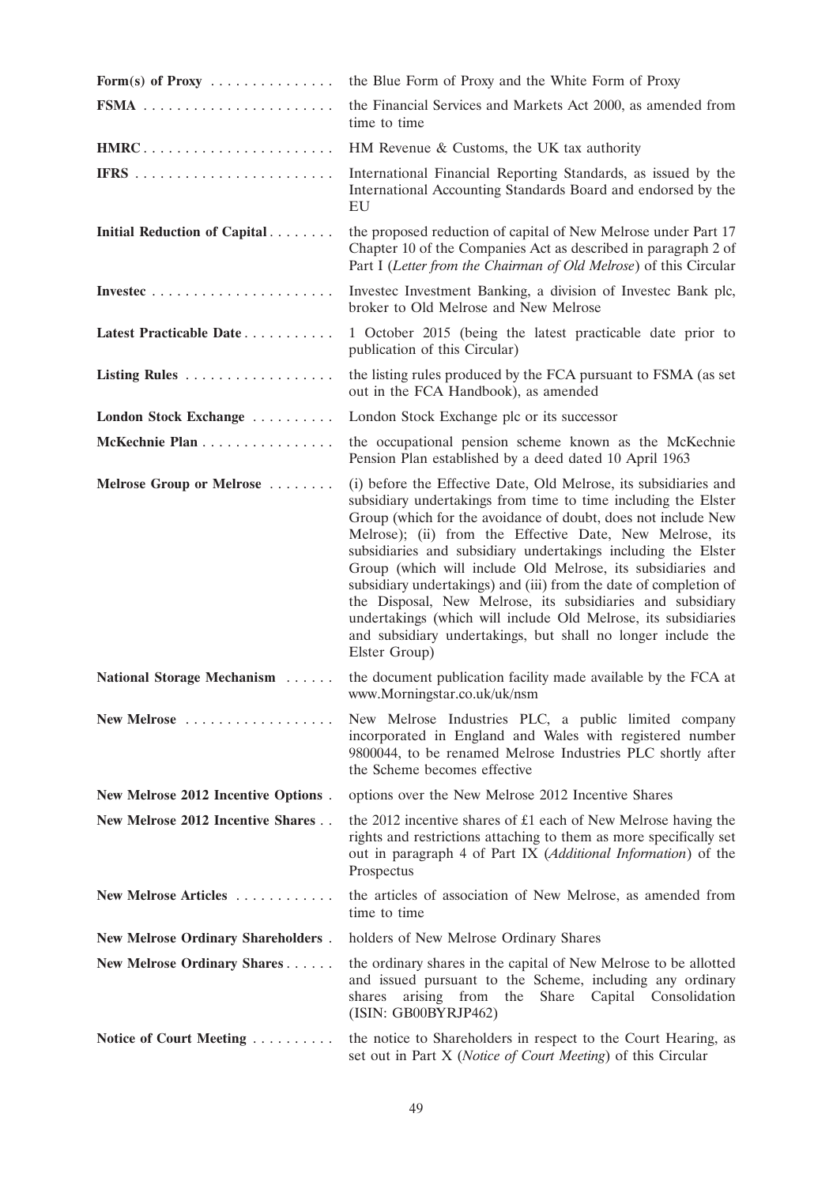| Form(s) of Proxy $\dots \dots \dots \dots$        | the Blue Form of Proxy and the White Form of Proxy                                                                                                                                                                                                                                                                                                                                                                                                                                                                                                                                                                                                                                    |
|---------------------------------------------------|---------------------------------------------------------------------------------------------------------------------------------------------------------------------------------------------------------------------------------------------------------------------------------------------------------------------------------------------------------------------------------------------------------------------------------------------------------------------------------------------------------------------------------------------------------------------------------------------------------------------------------------------------------------------------------------|
|                                                   | the Financial Services and Markets Act 2000, as amended from<br>time to time                                                                                                                                                                                                                                                                                                                                                                                                                                                                                                                                                                                                          |
| HMRC                                              | HM Revenue & Customs, the UK tax authority                                                                                                                                                                                                                                                                                                                                                                                                                                                                                                                                                                                                                                            |
|                                                   | International Financial Reporting Standards, as issued by the<br>International Accounting Standards Board and endorsed by the<br>EU                                                                                                                                                                                                                                                                                                                                                                                                                                                                                                                                                   |
| Initial Reduction of Capital                      | the proposed reduction of capital of New Melrose under Part 17<br>Chapter 10 of the Companies Act as described in paragraph 2 of<br>Part I (Letter from the Chairman of Old Melrose) of this Circular                                                                                                                                                                                                                                                                                                                                                                                                                                                                                 |
|                                                   | Invested Investment Banking, a division of Invested Bank plc,<br>broker to Old Melrose and New Melrose                                                                                                                                                                                                                                                                                                                                                                                                                                                                                                                                                                                |
| Latest Practicable Date                           | 1 October 2015 (being the latest practicable date prior to<br>publication of this Circular)                                                                                                                                                                                                                                                                                                                                                                                                                                                                                                                                                                                           |
| Listing Rules                                     | the listing rules produced by the FCA pursuant to FSMA (as set<br>out in the FCA Handbook), as amended                                                                                                                                                                                                                                                                                                                                                                                                                                                                                                                                                                                |
| London Stock Exchange                             | London Stock Exchange plc or its successor                                                                                                                                                                                                                                                                                                                                                                                                                                                                                                                                                                                                                                            |
| McKechnie Plan                                    | the occupational pension scheme known as the McKechnie<br>Pension Plan established by a deed dated 10 April 1963                                                                                                                                                                                                                                                                                                                                                                                                                                                                                                                                                                      |
| Melrose Group or Melrose                          | (i) before the Effective Date, Old Melrose, its subsidiaries and<br>subsidiary undertakings from time to time including the Elster<br>Group (which for the avoidance of doubt, does not include New<br>Melrose); (ii) from the Effective Date, New Melrose, its<br>subsidiaries and subsidiary undertakings including the Elster<br>Group (which will include Old Melrose, its subsidiaries and<br>subsidiary undertakings) and (iii) from the date of completion of<br>the Disposal, New Melrose, its subsidiaries and subsidiary<br>undertakings (which will include Old Melrose, its subsidiaries<br>and subsidiary undertakings, but shall no longer include the<br>Elster Group) |
| National Storage Mechanism                        | the document publication facility made available by the FCA at<br>www.Morningstar.co.uk/uk/nsm                                                                                                                                                                                                                                                                                                                                                                                                                                                                                                                                                                                        |
| New Melrose $\dots\dots\dots\dots\dots\dots\dots$ | New Melrose Industries PLC, a public limited company<br>incorporated in England and Wales with registered number<br>9800044, to be renamed Melrose Industries PLC shortly after<br>the Scheme becomes effective                                                                                                                                                                                                                                                                                                                                                                                                                                                                       |
| New Melrose 2012 Incentive Options.               | options over the New Melrose 2012 Incentive Shares                                                                                                                                                                                                                                                                                                                                                                                                                                                                                                                                                                                                                                    |
|                                                   |                                                                                                                                                                                                                                                                                                                                                                                                                                                                                                                                                                                                                                                                                       |
| New Melrose 2012 Incentive Shares                 | the 2012 incentive shares of £1 each of New Melrose having the<br>rights and restrictions attaching to them as more specifically set<br>out in paragraph 4 of Part IX (Additional Information) of the<br>Prospectus                                                                                                                                                                                                                                                                                                                                                                                                                                                                   |
| New Melrose Articles                              | the articles of association of New Melrose, as amended from<br>time to time                                                                                                                                                                                                                                                                                                                                                                                                                                                                                                                                                                                                           |
| <b>New Melrose Ordinary Shareholders.</b>         | holders of New Melrose Ordinary Shares                                                                                                                                                                                                                                                                                                                                                                                                                                                                                                                                                                                                                                                |
| New Melrose Ordinary Shares                       | the ordinary shares in the capital of New Melrose to be allotted<br>and issued pursuant to the Scheme, including any ordinary<br>arising from the Share Capital Consolidation<br>shares<br>(ISIN: GB00BYRJP462)                                                                                                                                                                                                                                                                                                                                                                                                                                                                       |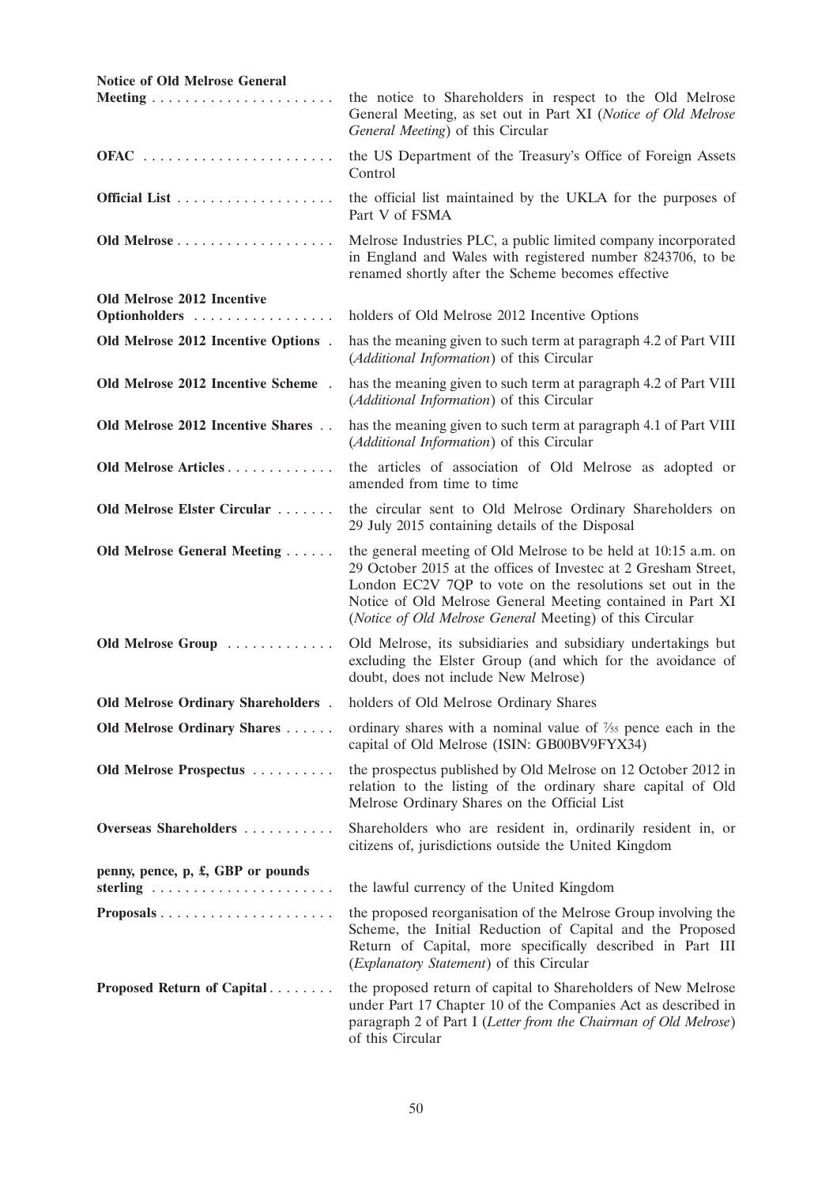| <b>Notice of Old Melrose General</b>        |                                                                                                                                                                                                                                                                                                                          |
|---------------------------------------------|--------------------------------------------------------------------------------------------------------------------------------------------------------------------------------------------------------------------------------------------------------------------------------------------------------------------------|
|                                             | the notice to Shareholders in respect to the Old Melrose<br>General Meeting, as set out in Part XI (Notice of Old Melrose<br>General Meeting) of this Circular                                                                                                                                                           |
|                                             | the US Department of the Treasury's Office of Foreign Assets<br>Control                                                                                                                                                                                                                                                  |
|                                             | the official list maintained by the UKLA for the purposes of<br>Part V of FSMA                                                                                                                                                                                                                                           |
|                                             | Melrose Industries PLC, a public limited company incorporated<br>in England and Wales with registered number 8243706, to be<br>renamed shortly after the Scheme becomes effective                                                                                                                                        |
| Old Melrose 2012 Incentive<br>Optionholders | holders of Old Melrose 2012 Incentive Options                                                                                                                                                                                                                                                                            |
| Old Melrose 2012 Incentive Options .        | has the meaning given to such term at paragraph 4.2 of Part VIII                                                                                                                                                                                                                                                         |
|                                             | (Additional Information) of this Circular                                                                                                                                                                                                                                                                                |
| Old Melrose 2012 Incentive Scheme.          | has the meaning given to such term at paragraph 4.2 of Part VIII<br>(Additional Information) of this Circular                                                                                                                                                                                                            |
| Old Melrose 2012 Incentive Shares           | has the meaning given to such term at paragraph 4.1 of Part VIII<br>(Additional Information) of this Circular                                                                                                                                                                                                            |
| Old Melrose Articles                        | the articles of association of Old Melrose as adopted or<br>amended from time to time                                                                                                                                                                                                                                    |
| Old Melrose Elster Circular                 | the circular sent to Old Melrose Ordinary Shareholders on<br>29 July 2015 containing details of the Disposal                                                                                                                                                                                                             |
| Old Melrose General Meeting                 | the general meeting of Old Melrose to be held at 10:15 a.m. on<br>29 October 2015 at the offices of Invested at 2 Gresham Street,<br>London EC2V 7QP to vote on the resolutions set out in the<br>Notice of Old Melrose General Meeting contained in Part XI<br>(Notice of Old Melrose General Meeting) of this Circular |
| Old Melrose Group                           | Old Melrose, its subsidiaries and subsidiary undertakings but<br>excluding the Elster Group (and which for the avoidance of<br>doubt, does not include New Melrose)                                                                                                                                                      |
| <b>Old Melrose Ordinary Shareholders.</b>   | holders of Old Melrose Ordinary Shares                                                                                                                                                                                                                                                                                   |
| Old Melrose Ordinary Shares                 | ordinary shares with a nominal value of $\frac{7}{55}$ pence each in the<br>capital of Old Melrose (ISIN: GB00BV9FYX34)                                                                                                                                                                                                  |
| Old Melrose Prospectus                      | the prospectus published by Old Melrose on 12 October 2012 in<br>relation to the listing of the ordinary share capital of Old<br>Melrose Ordinary Shares on the Official List                                                                                                                                            |
| Overseas Shareholders                       | Shareholders who are resident in, ordinarily resident in, or<br>citizens of, jurisdictions outside the United Kingdom                                                                                                                                                                                                    |
| penny, pence, p, £, GBP or pounds           |                                                                                                                                                                                                                                                                                                                          |
|                                             | the lawful currency of the United Kingdom                                                                                                                                                                                                                                                                                |
|                                             | the proposed reorganisation of the Melrose Group involving the<br>Scheme, the Initial Reduction of Capital and the Proposed<br>Return of Capital, more specifically described in Part III<br>( <i>Explanatory Statement</i> ) of this Circular                                                                           |
| Proposed Return of Capital                  | the proposed return of capital to Shareholders of New Melrose<br>under Part 17 Chapter 10 of the Companies Act as described in<br>paragraph 2 of Part I (Letter from the Chairman of Old Melrose)<br>of this Circular                                                                                                    |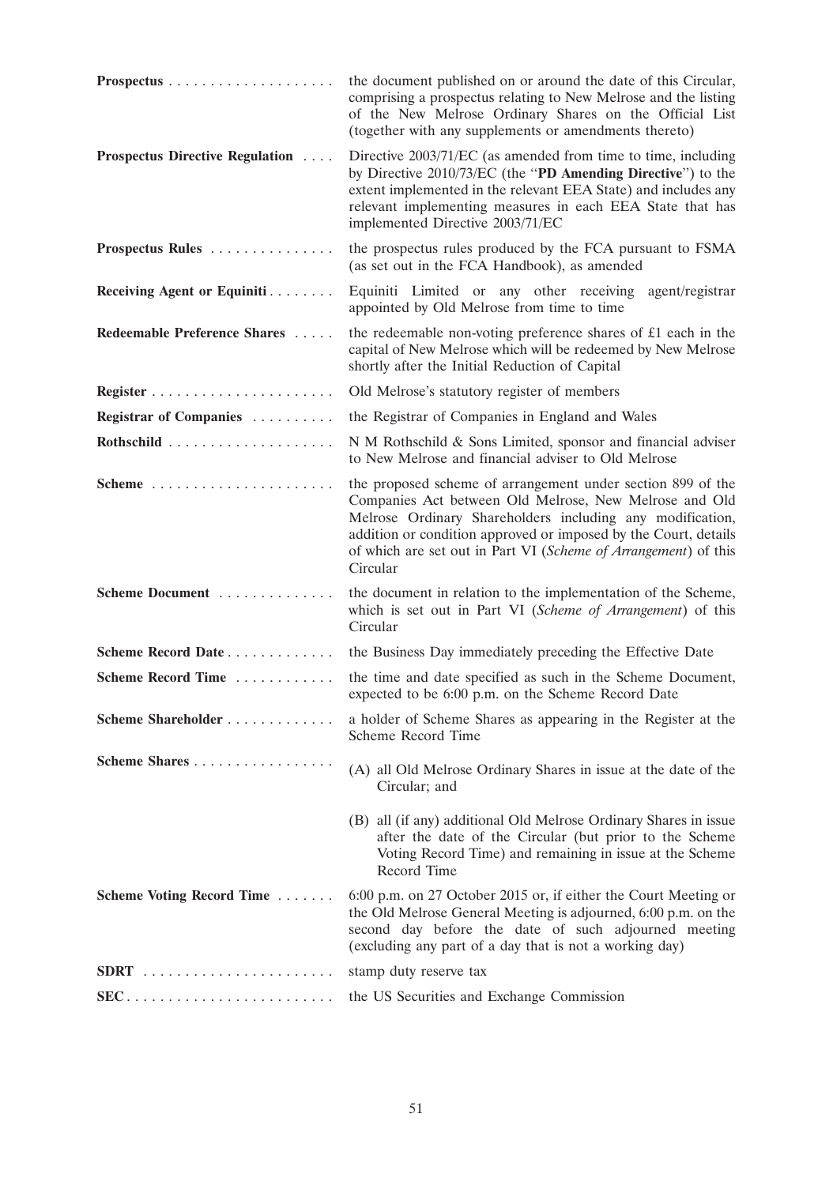|                                                                | the document published on or around the date of this Circular,<br>comprising a prospectus relating to New Melrose and the listing<br>of the New Melrose Ordinary Shares on the Official List<br>(together with any supplements or amendments thereto)                                                                                |
|----------------------------------------------------------------|--------------------------------------------------------------------------------------------------------------------------------------------------------------------------------------------------------------------------------------------------------------------------------------------------------------------------------------|
| Prospectus Directive Regulation                                | Directive 2003/71/EC (as amended from time to time, including<br>by Directive 2010/73/EC (the "PD Amending Directive") to the<br>extent implemented in the relevant EEA State) and includes any<br>relevant implementing measures in each EEA State that has<br>implemented Directive 2003/71/EC                                     |
| Prospectus Rules                                               | the prospectus rules produced by the FCA pursuant to FSMA<br>(as set out in the FCA Handbook), as amended                                                                                                                                                                                                                            |
| Receiving Agent or Equiniti                                    | Equiniti Limited or any other receiving agent/registrar<br>appointed by Old Melrose from time to time                                                                                                                                                                                                                                |
| Redeemable Preference Shares                                   | the redeemable non-voting preference shares of £1 each in the<br>capital of New Melrose which will be redeemed by New Melrose<br>shortly after the Initial Reduction of Capital                                                                                                                                                      |
|                                                                | Old Melrose's statutory register of members                                                                                                                                                                                                                                                                                          |
| Registrar of Companies                                         | the Registrar of Companies in England and Wales                                                                                                                                                                                                                                                                                      |
|                                                                | N M Rothschild & Sons Limited, sponsor and financial adviser<br>to New Melrose and financial adviser to Old Melrose                                                                                                                                                                                                                  |
|                                                                | the proposed scheme of arrangement under section 899 of the<br>Companies Act between Old Melrose, New Melrose and Old<br>Melrose Ordinary Shareholders including any modification,<br>addition or condition approved or imposed by the Court, details<br>of which are set out in Part VI (Scheme of Arrangement) of this<br>Circular |
| Scheme Document                                                | the document in relation to the implementation of the Scheme,<br>which is set out in Part VI (Scheme of Arrangement) of this<br>Circular                                                                                                                                                                                             |
| Scheme Record Date                                             | the Business Day immediately preceding the Effective Date                                                                                                                                                                                                                                                                            |
| Scheme Record Time                                             | the time and date specified as such in the Scheme Document,<br>expected to be 6:00 p.m. on the Scheme Record Date                                                                                                                                                                                                                    |
| Scheme Shareholder                                             | a holder of Scheme Shares as appearing in the Register at the<br>Scheme Record Time                                                                                                                                                                                                                                                  |
| Scheme Shares                                                  | (A) all Old Melrose Ordinary Shares in issue at the date of the<br>Circular; and                                                                                                                                                                                                                                                     |
|                                                                | (B) all (if any) additional Old Melrose Ordinary Shares in issue<br>after the date of the Circular (but prior to the Scheme<br>Voting Record Time) and remaining in issue at the Scheme<br>Record Time                                                                                                                               |
| <b>Scheme Voting Record Time </b>                              | 6:00 p.m. on 27 October 2015 or, if either the Court Meeting or<br>the Old Melrose General Meeting is adjourned, 6:00 p.m. on the<br>second day before the date of such adjourned meeting<br>(excluding any part of a day that is not a working day)                                                                                 |
|                                                                | stamp duty reserve tax                                                                                                                                                                                                                                                                                                               |
| $SEC. \ldots \ldots \ldots \ldots \ldots \ldots \ldots \ldots$ | the US Securities and Exchange Commission                                                                                                                                                                                                                                                                                            |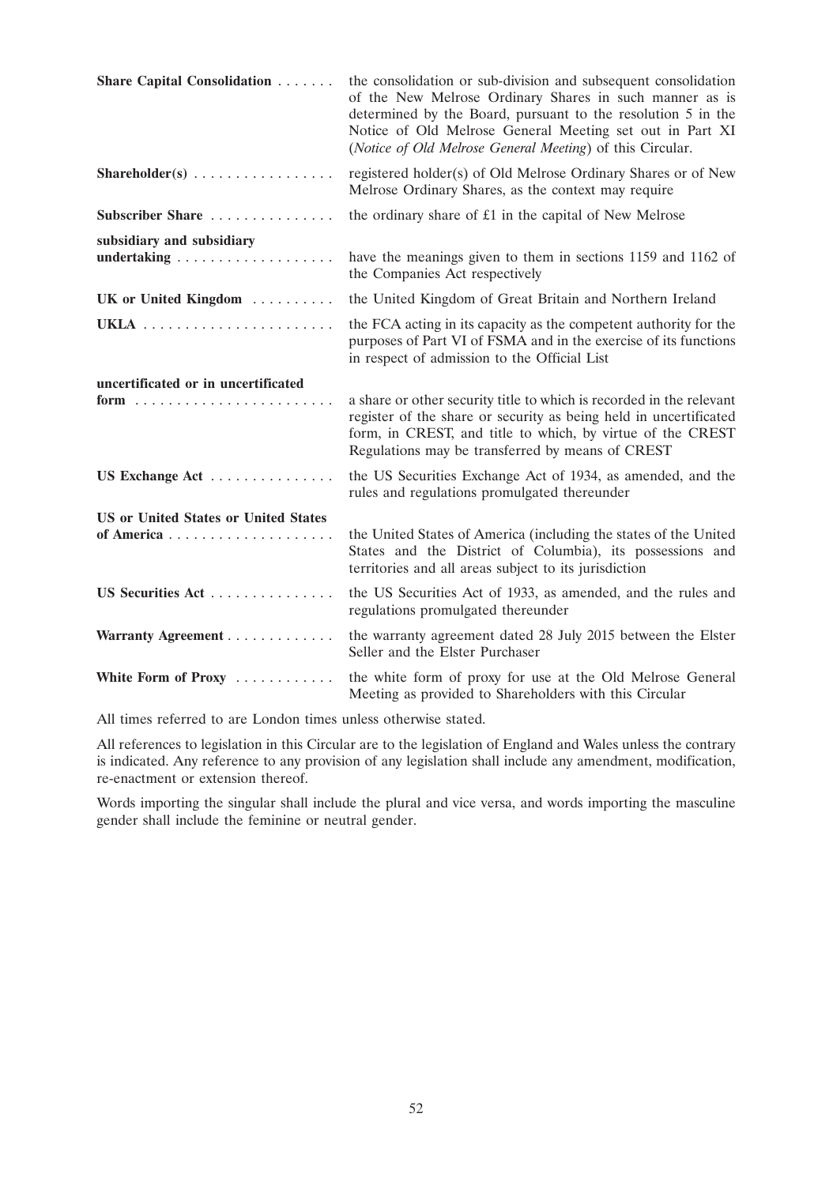| Share Capital Consolidation                 | the consolidation or sub-division and subsequent consolidation<br>of the New Melrose Ordinary Shares in such manner as is<br>determined by the Board, pursuant to the resolution 5 in the<br>Notice of Old Melrose General Meeting set out in Part XI<br>(Notice of Old Melrose General Meeting) of this Circular. |
|---------------------------------------------|--------------------------------------------------------------------------------------------------------------------------------------------------------------------------------------------------------------------------------------------------------------------------------------------------------------------|
| $Shareholder(s)$                            | registered holder(s) of Old Melrose Ordinary Shares or of New<br>Melrose Ordinary Shares, as the context may require                                                                                                                                                                                               |
| Subscriber Share                            | the ordinary share of £1 in the capital of New Melrose                                                                                                                                                                                                                                                             |
| subsidiary and subsidiary                   |                                                                                                                                                                                                                                                                                                                    |
|                                             | have the meanings given to them in sections 1159 and 1162 of<br>the Companies Act respectively                                                                                                                                                                                                                     |
| UK or United Kingdom                        | the United Kingdom of Great Britain and Northern Ireland                                                                                                                                                                                                                                                           |
|                                             | the FCA acting in its capacity as the competent authority for the<br>purposes of Part VI of FSMA and in the exercise of its functions<br>in respect of admission to the Official List                                                                                                                              |
| uncertificated or in uncertificated         |                                                                                                                                                                                                                                                                                                                    |
|                                             | a share or other security title to which is recorded in the relevant<br>register of the share or security as being held in uncertificated<br>form, in CREST, and title to which, by virtue of the CREST<br>Regulations may be transferred by means of CREST                                                        |
| US Exchange Act                             | the US Securities Exchange Act of 1934, as amended, and the<br>rules and regulations promulgated thereunder                                                                                                                                                                                                        |
| <b>US or United States or United States</b> |                                                                                                                                                                                                                                                                                                                    |
|                                             | the United States of America (including the states of the United<br>States and the District of Columbia), its possessions and<br>territories and all areas subject to its jurisdiction                                                                                                                             |
| US Securities Act                           | the US Securities Act of 1933, as amended, and the rules and<br>regulations promulgated thereunder                                                                                                                                                                                                                 |
| Warranty Agreement                          | the warranty agreement dated 28 July 2015 between the Elster<br>Seller and the Elster Purchaser                                                                                                                                                                                                                    |
| White Form of Proxy                         | the white form of proxy for use at the Old Melrose General<br>Meeting as provided to Shareholders with this Circular                                                                                                                                                                                               |

All times referred to are London times unless otherwise stated.

All references to legislation in this Circular are to the legislation of England and Wales unless the contrary is indicated. Any reference to any provision of any legislation shall include any amendment, modification, re-enactment or extension thereof.

Words importing the singular shall include the plural and vice versa, and words importing the masculine gender shall include the feminine or neutral gender.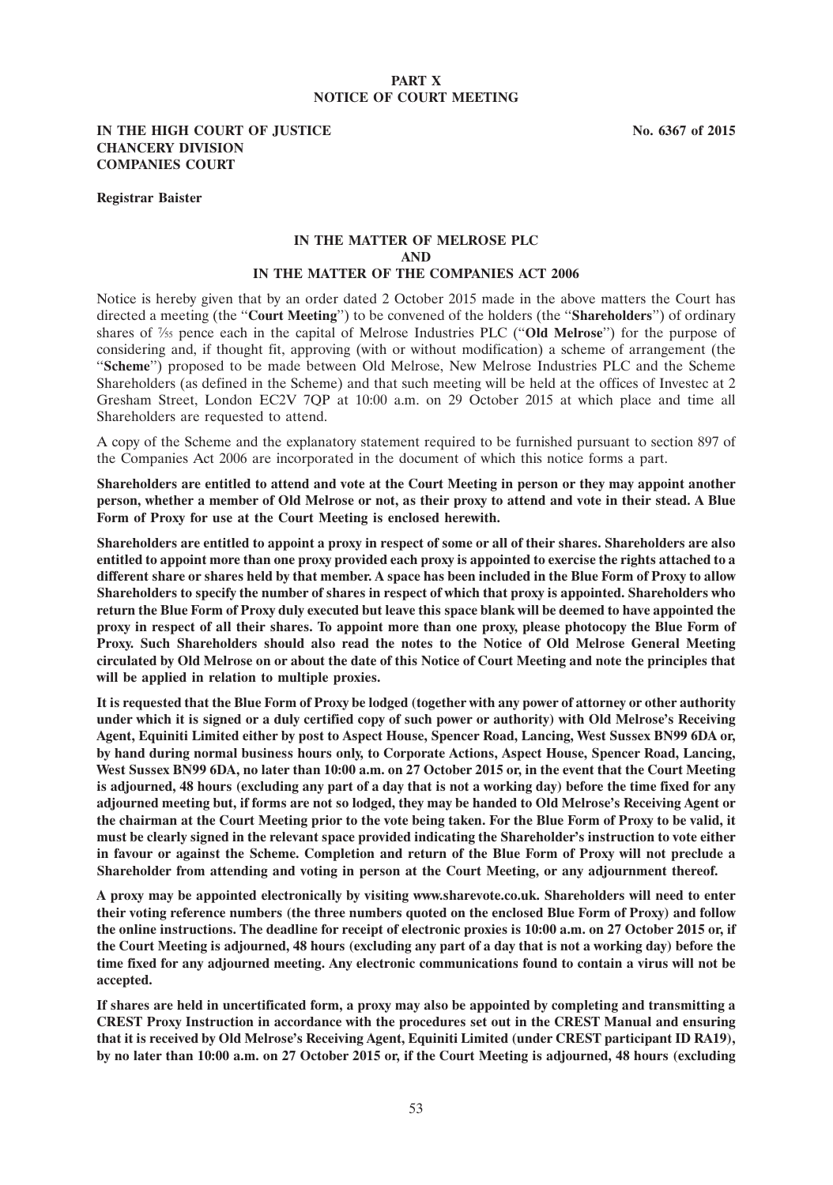#### **PART X NOTICE OF COURT MEETING**

#### **IN THE HIGH COURT OF JUSTICE 2015 CHANCERY DIVISION COMPANIES COURT**

#### **Registrar Baister**

#### **IN THE MATTER OF MELROSE PLC AND IN THE MATTER OF THE COMPANIES ACT 2006**

Notice is hereby given that by an order dated 2 October 2015 made in the above matters the Court has directed a meeting (the ''**Court Meeting**'') to be convened of the holders (the ''**Shareholders**'') of ordinary shares of 7⁄55 pence each in the capital of Melrose Industries PLC (''**Old Melrose**'') for the purpose of considering and, if thought fit, approving (with or without modification) a scheme of arrangement (the ''**Scheme**'') proposed to be made between Old Melrose, New Melrose Industries PLC and the Scheme Shareholders (as defined in the Scheme) and that such meeting will be held at the offices of Investec at 2 Gresham Street, London EC2V 7QP at 10:00 a.m. on 29 October 2015 at which place and time all Shareholders are requested to attend.

A copy of the Scheme and the explanatory statement required to be furnished pursuant to section 897 of the Companies Act 2006 are incorporated in the document of which this notice forms a part.

**Shareholders are entitled to attend and vote at the Court Meeting in person or they may appoint another person, whether a member of Old Melrose or not, as their proxy to attend and vote in their stead. A Blue Form of Proxy for use at the Court Meeting is enclosed herewith.**

**Shareholders are entitled to appoint a proxy in respect of some or all of their shares. Shareholders are also entitled to appoint more than one proxy provided each proxy is appointed to exercise the rights attached to a different share or shares held by that member. A space has been included in the Blue Form of Proxy to allow Shareholders to specify the number of shares in respect of which that proxy is appointed. Shareholders who return the Blue Form of Proxy duly executed but leave this space blank will be deemed to have appointed the proxy in respect of all their shares. To appoint more than one proxy, please photocopy the Blue Form of Proxy. Such Shareholders should also read the notes to the Notice of Old Melrose General Meeting circulated by Old Melrose on or about the date of this Notice of Court Meeting and note the principles that will be applied in relation to multiple proxies.**

**It is requested that the Blue Form of Proxy be lodged (together with any power of attorney or other authority under which it is signed or a duly certified copy of such power or authority) with Old Melrose's Receiving Agent, Equiniti Limited either by post to Aspect House, Spencer Road, Lancing, West Sussex BN99 6DA or, by hand during normal business hours only, to Corporate Actions, Aspect House, Spencer Road, Lancing, West Sussex BN99 6DA, no later than 10:00 a.m. on 27 October 2015 or, in the event that the Court Meeting is adjourned, 48 hours (excluding any part of a day that is not a working day) before the time fixed for any adjourned meeting but, if forms are not so lodged, they may be handed to Old Melrose's Receiving Agent or the chairman at the Court Meeting prior to the vote being taken. For the Blue Form of Proxy to be valid, it must be clearly signed in the relevant space provided indicating the Shareholder's instruction to vote either in favour or against the Scheme. Completion and return of the Blue Form of Proxy will not preclude a Shareholder from attending and voting in person at the Court Meeting, or any adjournment thereof.**

**A proxy may be appointed electronically by visiting www.sharevote.co.uk. Shareholders will need to enter their voting reference numbers (the three numbers quoted on the enclosed Blue Form of Proxy) and follow the online instructions. The deadline for receipt of electronic proxies is 10:00 a.m. on 27 October 2015 or, if the Court Meeting is adjourned, 48 hours (excluding any part of a day that is not a working day) before the time fixed for any adjourned meeting. Any electronic communications found to contain a virus will not be accepted.**

**If shares are held in uncertificated form, a proxy may also be appointed by completing and transmitting a CREST Proxy Instruction in accordance with the procedures set out in the CREST Manual and ensuring that it is received by Old Melrose's Receiving Agent, Equiniti Limited (under CREST participant ID RA19), by no later than 10:00 a.m. on 27 October 2015 or, if the Court Meeting is adjourned, 48 hours (excluding**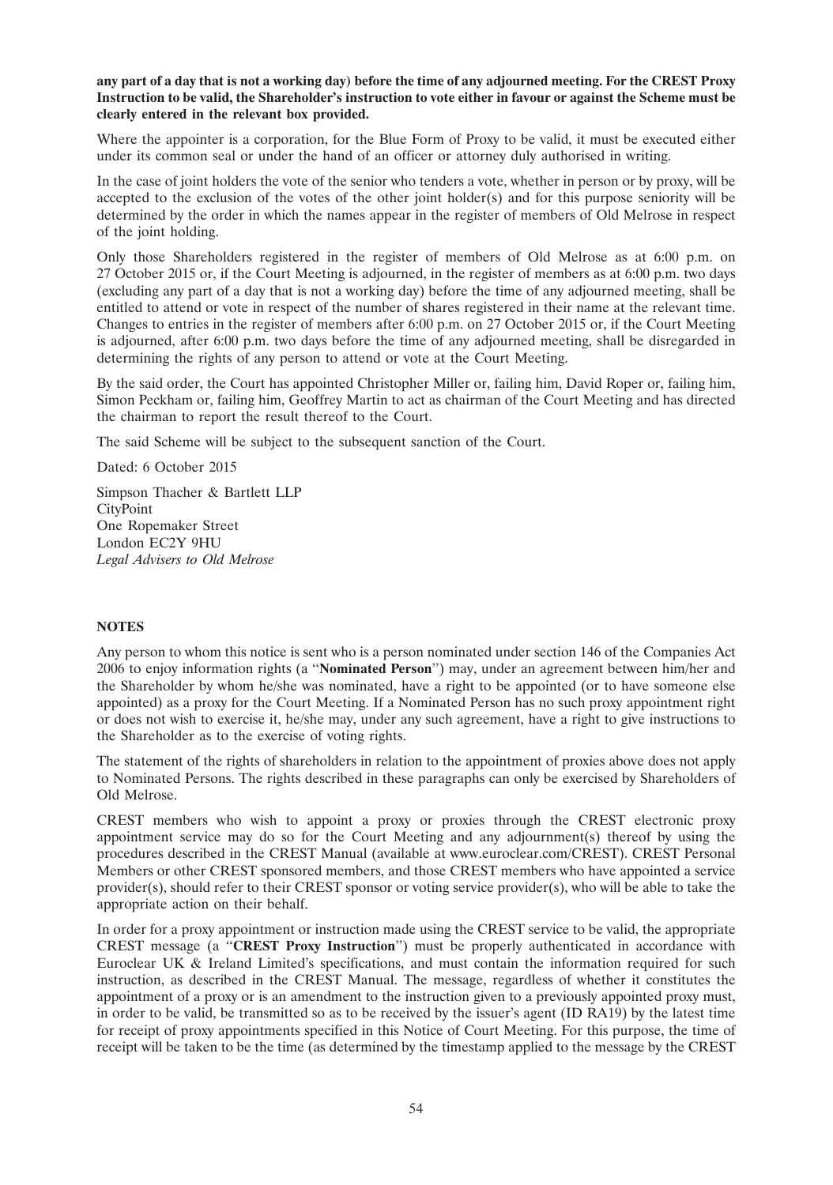#### **any part of a day that is not a working day) before the time of any adjourned meeting. For the CREST Proxy Instruction to be valid, the Shareholder's instruction to vote either in favour or against the Scheme must be clearly entered in the relevant box provided.**

Where the appointer is a corporation, for the Blue Form of Proxy to be valid, it must be executed either under its common seal or under the hand of an officer or attorney duly authorised in writing.

In the case of joint holders the vote of the senior who tenders a vote, whether in person or by proxy, will be accepted to the exclusion of the votes of the other joint holder(s) and for this purpose seniority will be determined by the order in which the names appear in the register of members of Old Melrose in respect of the joint holding.

Only those Shareholders registered in the register of members of Old Melrose as at 6:00 p.m. on 27 October 2015 or, if the Court Meeting is adjourned, in the register of members as at 6:00 p.m. two days (excluding any part of a day that is not a working day) before the time of any adjourned meeting, shall be entitled to attend or vote in respect of the number of shares registered in their name at the relevant time. Changes to entries in the register of members after 6:00 p.m. on 27 October 2015 or, if the Court Meeting is adjourned, after 6:00 p.m. two days before the time of any adjourned meeting, shall be disregarded in determining the rights of any person to attend or vote at the Court Meeting.

By the said order, the Court has appointed Christopher Miller or, failing him, David Roper or, failing him, Simon Peckham or, failing him, Geoffrey Martin to act as chairman of the Court Meeting and has directed the chairman to report the result thereof to the Court.

The said Scheme will be subject to the subsequent sanction of the Court.

Dated: 6 October 2015

Simpson Thacher & Bartlett LLP **CityPoint** One Ropemaker Street London EC2Y 9HU *Legal Advisers to Old Melrose*

#### **NOTES**

Any person to whom this notice is sent who is a person nominated under section 146 of the Companies Act 2006 to enjoy information rights (a ''**Nominated Person**'') may, under an agreement between him/her and the Shareholder by whom he/she was nominated, have a right to be appointed (or to have someone else appointed) as a proxy for the Court Meeting. If a Nominated Person has no such proxy appointment right or does not wish to exercise it, he/she may, under any such agreement, have a right to give instructions to the Shareholder as to the exercise of voting rights.

The statement of the rights of shareholders in relation to the appointment of proxies above does not apply to Nominated Persons. The rights described in these paragraphs can only be exercised by Shareholders of Old Melrose.

CREST members who wish to appoint a proxy or proxies through the CREST electronic proxy appointment service may do so for the Court Meeting and any adjournment(s) thereof by using the procedures described in the CREST Manual (available at www.euroclear.com/CREST). CREST Personal Members or other CREST sponsored members, and those CREST members who have appointed a service provider(s), should refer to their CREST sponsor or voting service provider(s), who will be able to take the appropriate action on their behalf.

In order for a proxy appointment or instruction made using the CREST service to be valid, the appropriate CREST message (a ''**CREST Proxy Instruction**'') must be properly authenticated in accordance with Euroclear UK & Ireland Limited's specifications, and must contain the information required for such instruction, as described in the CREST Manual. The message, regardless of whether it constitutes the appointment of a proxy or is an amendment to the instruction given to a previously appointed proxy must, in order to be valid, be transmitted so as to be received by the issuer's agent (ID RA19) by the latest time for receipt of proxy appointments specified in this Notice of Court Meeting. For this purpose, the time of receipt will be taken to be the time (as determined by the timestamp applied to the message by the CREST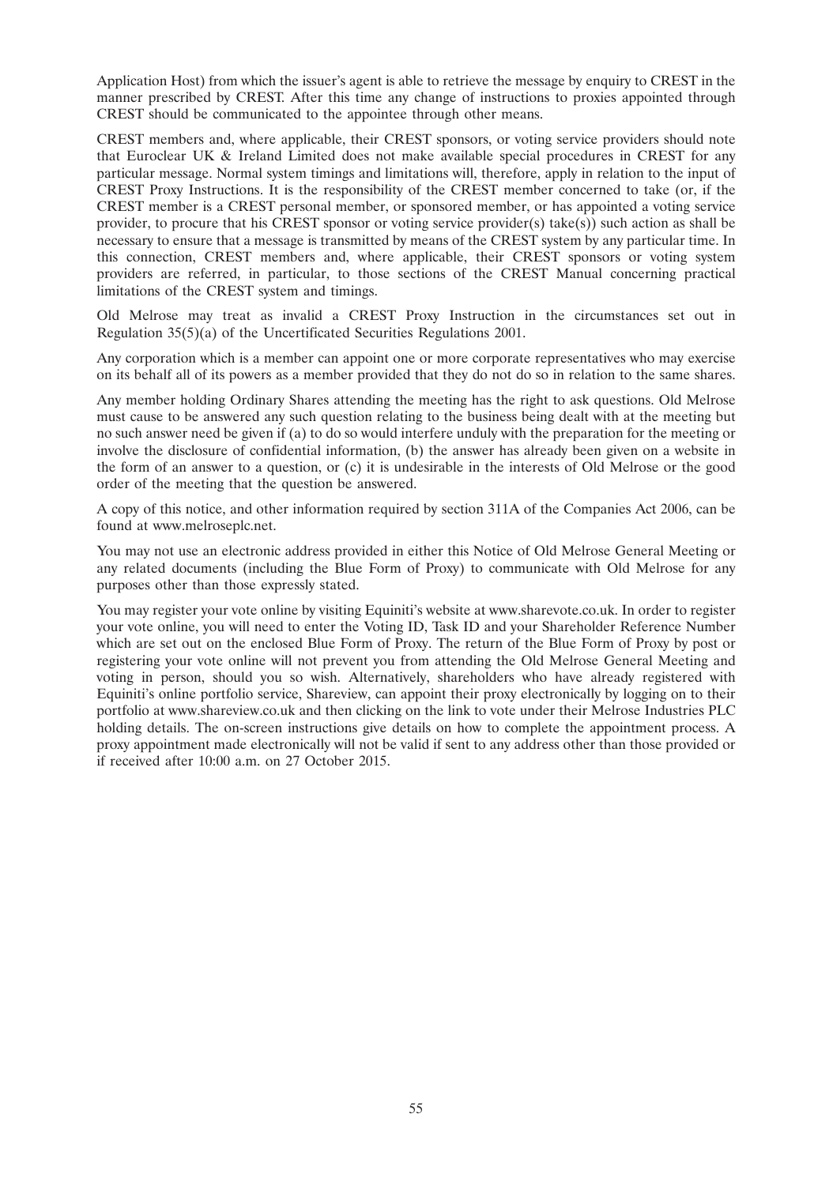Application Host) from which the issuer's agent is able to retrieve the message by enquiry to CREST in the manner prescribed by CREST. After this time any change of instructions to proxies appointed through CREST should be communicated to the appointee through other means.

CREST members and, where applicable, their CREST sponsors, or voting service providers should note that Euroclear UK & Ireland Limited does not make available special procedures in CREST for any particular message. Normal system timings and limitations will, therefore, apply in relation to the input of CREST Proxy Instructions. It is the responsibility of the CREST member concerned to take (or, if the CREST member is a CREST personal member, or sponsored member, or has appointed a voting service provider, to procure that his CREST sponsor or voting service provider(s) take(s)) such action as shall be necessary to ensure that a message is transmitted by means of the CREST system by any particular time. In this connection, CREST members and, where applicable, their CREST sponsors or voting system providers are referred, in particular, to those sections of the CREST Manual concerning practical limitations of the CREST system and timings.

Old Melrose may treat as invalid a CREST Proxy Instruction in the circumstances set out in Regulation 35(5)(a) of the Uncertificated Securities Regulations 2001.

Any corporation which is a member can appoint one or more corporate representatives who may exercise on its behalf all of its powers as a member provided that they do not do so in relation to the same shares.

Any member holding Ordinary Shares attending the meeting has the right to ask questions. Old Melrose must cause to be answered any such question relating to the business being dealt with at the meeting but no such answer need be given if (a) to do so would interfere unduly with the preparation for the meeting or involve the disclosure of confidential information, (b) the answer has already been given on a website in the form of an answer to a question, or (c) it is undesirable in the interests of Old Melrose or the good order of the meeting that the question be answered.

A copy of this notice, and other information required by section 311A of the Companies Act 2006, can be found at www.melroseplc.net.

You may not use an electronic address provided in either this Notice of Old Melrose General Meeting or any related documents (including the Blue Form of Proxy) to communicate with Old Melrose for any purposes other than those expressly stated.

You may register your vote online by visiting Equiniti's website at www.sharevote.co.uk. In order to register your vote online, you will need to enter the Voting ID, Task ID and your Shareholder Reference Number which are set out on the enclosed Blue Form of Proxy. The return of the Blue Form of Proxy by post or registering your vote online will not prevent you from attending the Old Melrose General Meeting and voting in person, should you so wish. Alternatively, shareholders who have already registered with Equiniti's online portfolio service, Shareview, can appoint their proxy electronically by logging on to their portfolio at www.shareview.co.uk and then clicking on the link to vote under their Melrose Industries PLC holding details. The on-screen instructions give details on how to complete the appointment process. A proxy appointment made electronically will not be valid if sent to any address other than those provided or if received after 10:00 a.m. on 27 October 2015.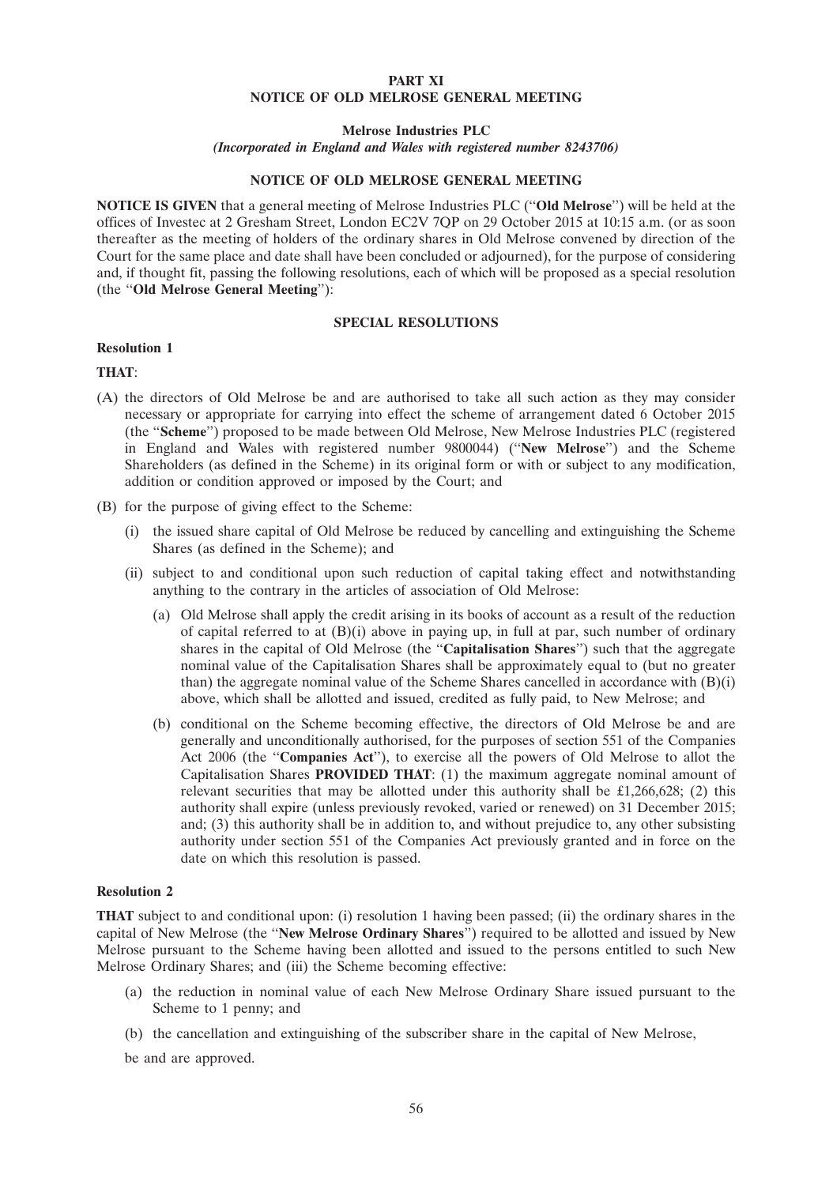#### **PART XI NOTICE OF OLD MELROSE GENERAL MEETING**

#### **Melrose Industries PLC**

*(Incorporated in England and Wales with registered number 8243706)*

# **NOTICE OF OLD MELROSE GENERAL MEETING**

**NOTICE IS GIVEN** that a general meeting of Melrose Industries PLC (''**Old Melrose**'') will be held at the offices of Investec at 2 Gresham Street, London EC2V 7QP on 29 October 2015 at 10:15 a.m. (or as soon thereafter as the meeting of holders of the ordinary shares in Old Melrose convened by direction of the Court for the same place and date shall have been concluded or adjourned), for the purpose of considering and, if thought fit, passing the following resolutions, each of which will be proposed as a special resolution (the ''**Old Melrose General Meeting**''):

# **SPECIAL RESOLUTIONS**

#### **Resolution 1**

#### **THAT**:

- (A) the directors of Old Melrose be and are authorised to take all such action as they may consider necessary or appropriate for carrying into effect the scheme of arrangement dated 6 October 2015 (the ''**Scheme**'') proposed to be made between Old Melrose, New Melrose Industries PLC (registered in England and Wales with registered number 9800044) (''**New Melrose**'') and the Scheme Shareholders (as defined in the Scheme) in its original form or with or subject to any modification, addition or condition approved or imposed by the Court; and
- (B) for the purpose of giving effect to the Scheme:
	- (i) the issued share capital of Old Melrose be reduced by cancelling and extinguishing the Scheme Shares (as defined in the Scheme); and
	- (ii) subject to and conditional upon such reduction of capital taking effect and notwithstanding anything to the contrary in the articles of association of Old Melrose:
		- (a) Old Melrose shall apply the credit arising in its books of account as a result of the reduction of capital referred to at  $(B)(i)$  above in paying up, in full at par, such number of ordinary shares in the capital of Old Melrose (the ''**Capitalisation Shares**'') such that the aggregate nominal value of the Capitalisation Shares shall be approximately equal to (but no greater than) the aggregate nominal value of the Scheme Shares cancelled in accordance with (B)(i) above, which shall be allotted and issued, credited as fully paid, to New Melrose; and
		- (b) conditional on the Scheme becoming effective, the directors of Old Melrose be and are generally and unconditionally authorised, for the purposes of section 551 of the Companies Act 2006 (the ''**Companies Act**''), to exercise all the powers of Old Melrose to allot the Capitalisation Shares **PROVIDED THAT**: (1) the maximum aggregate nominal amount of relevant securities that may be allotted under this authority shall be £1,266,628; (2) this authority shall expire (unless previously revoked, varied or renewed) on 31 December 2015; and; (3) this authority shall be in addition to, and without prejudice to, any other subsisting authority under section 551 of the Companies Act previously granted and in force on the date on which this resolution is passed.

#### **Resolution 2**

**THAT** subject to and conditional upon: (i) resolution 1 having been passed; (ii) the ordinary shares in the capital of New Melrose (the ''**New Melrose Ordinary Shares**'') required to be allotted and issued by New Melrose pursuant to the Scheme having been allotted and issued to the persons entitled to such New Melrose Ordinary Shares; and (iii) the Scheme becoming effective:

- (a) the reduction in nominal value of each New Melrose Ordinary Share issued pursuant to the Scheme to 1 penny; and
- (b) the cancellation and extinguishing of the subscriber share in the capital of New Melrose,

be and are approved.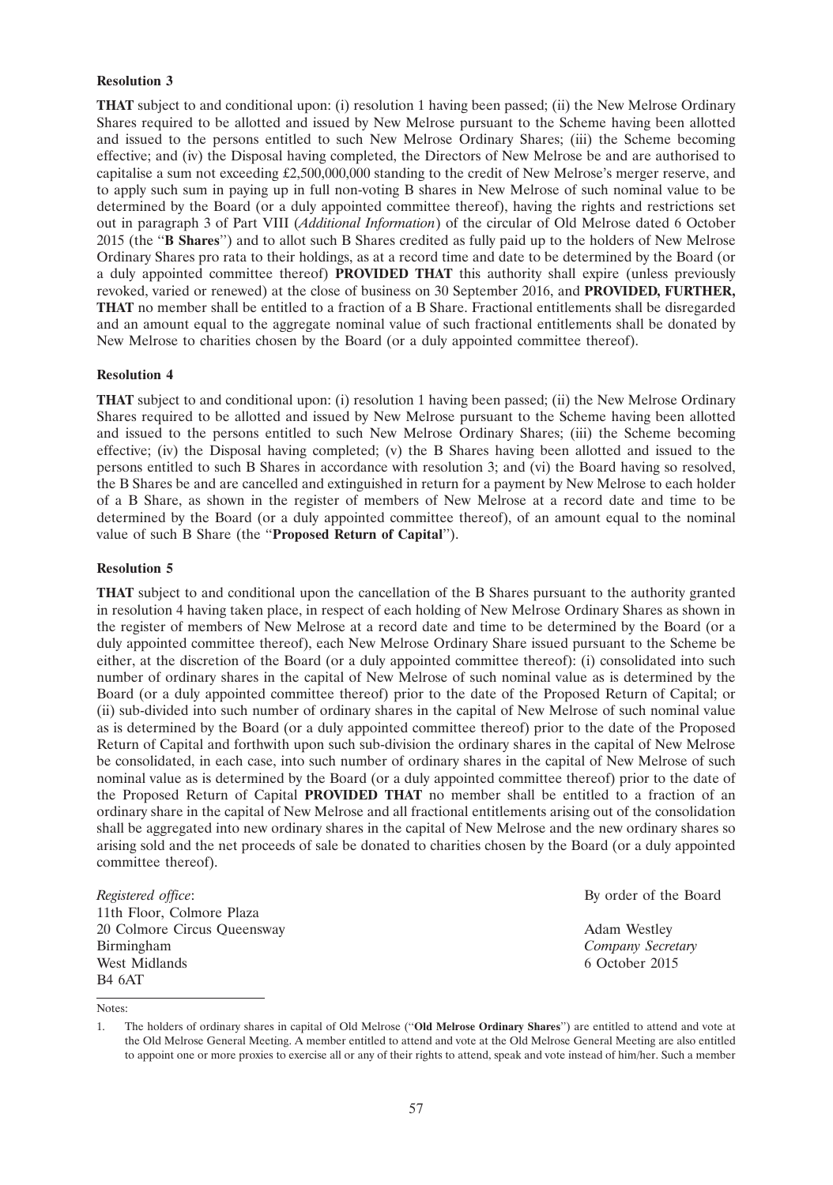#### **Resolution 3**

**THAT** subject to and conditional upon: (i) resolution 1 having been passed; (ii) the New Melrose Ordinary Shares required to be allotted and issued by New Melrose pursuant to the Scheme having been allotted and issued to the persons entitled to such New Melrose Ordinary Shares; (iii) the Scheme becoming effective; and (iv) the Disposal having completed, the Directors of New Melrose be and are authorised to capitalise a sum not exceeding £2,500,000,000 standing to the credit of New Melrose's merger reserve, and to apply such sum in paying up in full non-voting B shares in New Melrose of such nominal value to be determined by the Board (or a duly appointed committee thereof), having the rights and restrictions set out in paragraph 3 of Part VIII (*Additional Information*) of the circular of Old Melrose dated 6 October 2015 (the ''**B Shares**'') and to allot such B Shares credited as fully paid up to the holders of New Melrose Ordinary Shares pro rata to their holdings, as at a record time and date to be determined by the Board (or a duly appointed committee thereof) **PROVIDED THAT** this authority shall expire (unless previously revoked, varied or renewed) at the close of business on 30 September 2016, and **PROVIDED, FURTHER, THAT** no member shall be entitled to a fraction of a B Share. Fractional entitlements shall be disregarded and an amount equal to the aggregate nominal value of such fractional entitlements shall be donated by New Melrose to charities chosen by the Board (or a duly appointed committee thereof).

#### **Resolution 4**

**THAT** subject to and conditional upon: (i) resolution 1 having been passed; (ii) the New Melrose Ordinary Shares required to be allotted and issued by New Melrose pursuant to the Scheme having been allotted and issued to the persons entitled to such New Melrose Ordinary Shares; (iii) the Scheme becoming effective; (iv) the Disposal having completed; (v) the B Shares having been allotted and issued to the persons entitled to such B Shares in accordance with resolution 3; and (vi) the Board having so resolved, the B Shares be and are cancelled and extinguished in return for a payment by New Melrose to each holder of a B Share, as shown in the register of members of New Melrose at a record date and time to be determined by the Board (or a duly appointed committee thereof), of an amount equal to the nominal value of such B Share (the ''**Proposed Return of Capital**'').

#### **Resolution 5**

**THAT** subject to and conditional upon the cancellation of the B Shares pursuant to the authority granted in resolution 4 having taken place, in respect of each holding of New Melrose Ordinary Shares as shown in the register of members of New Melrose at a record date and time to be determined by the Board (or a duly appointed committee thereof), each New Melrose Ordinary Share issued pursuant to the Scheme be either, at the discretion of the Board (or a duly appointed committee thereof): (i) consolidated into such number of ordinary shares in the capital of New Melrose of such nominal value as is determined by the Board (or a duly appointed committee thereof) prior to the date of the Proposed Return of Capital; or (ii) sub-divided into such number of ordinary shares in the capital of New Melrose of such nominal value as is determined by the Board (or a duly appointed committee thereof) prior to the date of the Proposed Return of Capital and forthwith upon such sub-division the ordinary shares in the capital of New Melrose be consolidated, in each case, into such number of ordinary shares in the capital of New Melrose of such nominal value as is determined by the Board (or a duly appointed committee thereof) prior to the date of the Proposed Return of Capital **PROVIDED THAT** no member shall be entitled to a fraction of an ordinary share in the capital of New Melrose and all fractional entitlements arising out of the consolidation shall be aggregated into new ordinary shares in the capital of New Melrose and the new ordinary shares so arising sold and the net proceeds of sale be donated to charities chosen by the Board (or a duly appointed committee thereof).

11th Floor, Colmore Plaza 20 Colmore Circus Queensway Adam Westley Birmingham *Company Secretary*<br>
West Midlands 6 October 2015 B4 6AT

*Registered office*: By order of the Board

6 October 2015

Notes:

<sup>1.</sup> The holders of ordinary shares in capital of Old Melrose (''**Old Melrose Ordinary Shares**'') are entitled to attend and vote at the Old Melrose General Meeting. A member entitled to attend and vote at the Old Melrose General Meeting are also entitled to appoint one or more proxies to exercise all or any of their rights to attend, speak and vote instead of him/her. Such a member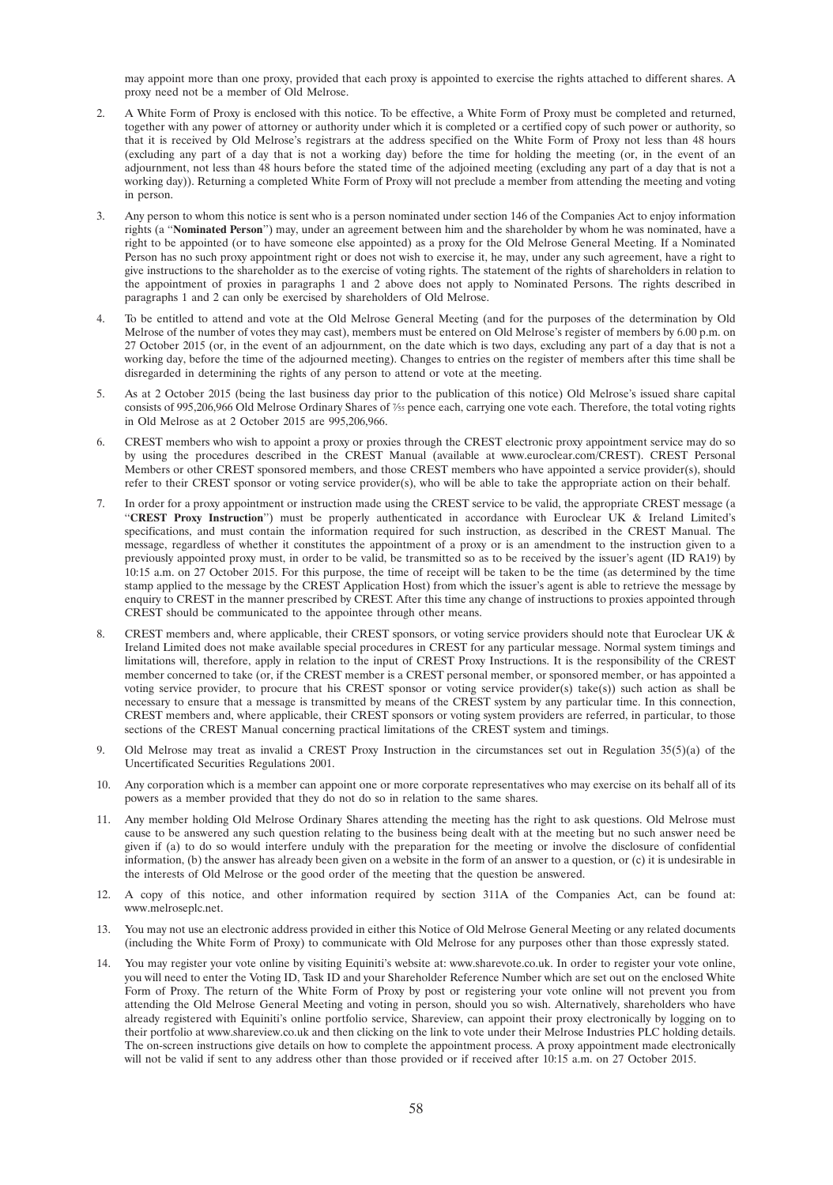may appoint more than one proxy, provided that each proxy is appointed to exercise the rights attached to different shares. A proxy need not be a member of Old Melrose.

- 2. A White Form of Proxy is enclosed with this notice. To be effective, a White Form of Proxy must be completed and returned, together with any power of attorney or authority under which it is completed or a certified copy of such power or authority, so that it is received by Old Melrose's registrars at the address specified on the White Form of Proxy not less than 48 hours (excluding any part of a day that is not a working day) before the time for holding the meeting (or, in the event of an adjournment, not less than 48 hours before the stated time of the adjoined meeting (excluding any part of a day that is not a working day)). Returning a completed White Form of Proxy will not preclude a member from attending the meeting and voting in person.
- 3. Any person to whom this notice is sent who is a person nominated under section 146 of the Companies Act to enjoy information rights (a ''**Nominated Person**'') may, under an agreement between him and the shareholder by whom he was nominated, have a right to be appointed (or to have someone else appointed) as a proxy for the Old Melrose General Meeting. If a Nominated Person has no such proxy appointment right or does not wish to exercise it, he may, under any such agreement, have a right to give instructions to the shareholder as to the exercise of voting rights. The statement of the rights of shareholders in relation to the appointment of proxies in paragraphs 1 and 2 above does not apply to Nominated Persons. The rights described in paragraphs 1 and 2 can only be exercised by shareholders of Old Melrose.
- 4. To be entitled to attend and vote at the Old Melrose General Meeting (and for the purposes of the determination by Old Melrose of the number of votes they may cast), members must be entered on Old Melrose's register of members by 6.00 p.m. on 27 October 2015 (or, in the event of an adjournment, on the date which is two days, excluding any part of a day that is not a working day, before the time of the adjourned meeting). Changes to entries on the register of members after this time shall be disregarded in determining the rights of any person to attend or vote at the meeting.
- 5. As at 2 October 2015 (being the last business day prior to the publication of this notice) Old Melrose's issued share capital consists of 995,206,966 Old Melrose Ordinary Shares of  $\frac{7}{55}$  pence each, carrying one vote each. Therefore, the total voting rights in Old Melrose as at 2 October 2015 are 995,206,966.
- 6. CREST members who wish to appoint a proxy or proxies through the CREST electronic proxy appointment service may do so by using the procedures described in the CREST Manual (available at www.euroclear.com/CREST). CREST Personal Members or other CREST sponsored members, and those CREST members who have appointed a service provider(s), should refer to their CREST sponsor or voting service provider(s), who will be able to take the appropriate action on their behalf.
- 7. In order for a proxy appointment or instruction made using the CREST service to be valid, the appropriate CREST message (a ''**CREST Proxy Instruction**'') must be properly authenticated in accordance with Euroclear UK & Ireland Limited's specifications, and must contain the information required for such instruction, as described in the CREST Manual. The message, regardless of whether it constitutes the appointment of a proxy or is an amendment to the instruction given to a previously appointed proxy must, in order to be valid, be transmitted so as to be received by the issuer's agent (ID RA19) by 10:15 a.m. on 27 October 2015. For this purpose, the time of receipt will be taken to be the time (as determined by the time stamp applied to the message by the CREST Application Host) from which the issuer's agent is able to retrieve the message by enquiry to CREST in the manner prescribed by CREST. After this time any change of instructions to proxies appointed through CREST should be communicated to the appointee through other means.
- 8. CREST members and, where applicable, their CREST sponsors, or voting service providers should note that Euroclear UK & Ireland Limited does not make available special procedures in CREST for any particular message. Normal system timings and limitations will, therefore, apply in relation to the input of CREST Proxy Instructions. It is the responsibility of the CREST member concerned to take (or, if the CREST member is a CREST personal member, or sponsored member, or has appointed a voting service provider, to procure that his CREST sponsor or voting service provider(s) take(s)) such action as shall be necessary to ensure that a message is transmitted by means of the CREST system by any particular time. In this connection, CREST members and, where applicable, their CREST sponsors or voting system providers are referred, in particular, to those sections of the CREST Manual concerning practical limitations of the CREST system and timings.
- 9. Old Melrose may treat as invalid a CREST Proxy Instruction in the circumstances set out in Regulation 35(5)(a) of the Uncertificated Securities Regulations 2001.
- 10. Any corporation which is a member can appoint one or more corporate representatives who may exercise on its behalf all of its powers as a member provided that they do not do so in relation to the same shares.
- 11. Any member holding Old Melrose Ordinary Shares attending the meeting has the right to ask questions. Old Melrose must cause to be answered any such question relating to the business being dealt with at the meeting but no such answer need be given if (a) to do so would interfere unduly with the preparation for the meeting or involve the disclosure of confidential information, (b) the answer has already been given on a website in the form of an answer to a question, or (c) it is undesirable in the interests of Old Melrose or the good order of the meeting that the question be answered.
- 12. A copy of this notice, and other information required by section 311A of the Companies Act, can be found at: www.melroseplc.net.
- 13. You may not use an electronic address provided in either this Notice of Old Melrose General Meeting or any related documents (including the White Form of Proxy) to communicate with Old Melrose for any purposes other than those expressly stated.
- 14. You may register your vote online by visiting Equiniti's website at: www.sharevote.co.uk. In order to register your vote online, you will need to enter the Voting ID, Task ID and your Shareholder Reference Number which are set out on the enclosed White Form of Proxy. The return of the White Form of Proxy by post or registering your vote online will not prevent you from attending the Old Melrose General Meeting and voting in person, should you so wish. Alternatively, shareholders who have already registered with Equiniti's online portfolio service, Shareview, can appoint their proxy electronically by logging on to their portfolio at www.shareview.co.uk and then clicking on the link to vote under their Melrose Industries PLC holding details. The on-screen instructions give details on how to complete the appointment process. A proxy appointment made electronically will not be valid if sent to any address other than those provided or if received after 10:15 a.m. on 27 October 2015.